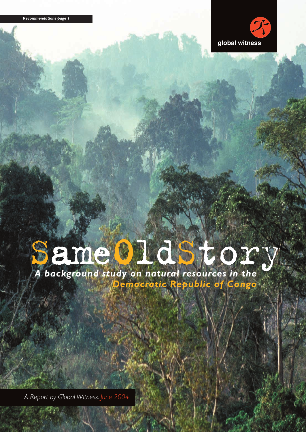

# Same OldStory

**emocratic Republic of Congo** 

*A Report by Global Witness. June 2004*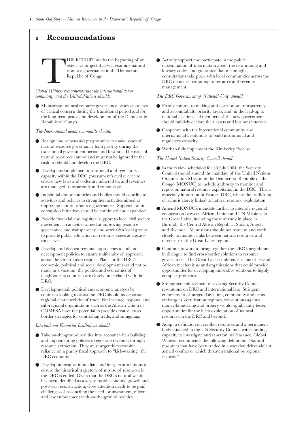# **Recommendations**

THIS REPORT marks the beginning of an extensive project that will examine natural<br>resource governance in the Democratic<br>Republic of Congo.<br>Make the international donor extensive project that will examine natural resource governance in the Democratic Republic of Congo.

*Global Witness recommends that the international donor community and the United Nations should:*

● Mainstream natural resource governance issues as an area of critical concern during the transitional period and for the long-term peace and development of the Democratic Republic of Congo.

*The International donor community should:*

- Realign and refocus aid programmes to make issues of natural resource governance high priority during the transitional government period and beyond. The issue of natural resources cannot and must not be ignored in the rush to rebuild and develop the DRC.
- Develop and implement institutional and regulatory capacity within the DRC government's civil service to ensure new laws and codes are adhered to, and revenues are managed transparently and responsibly.
- Individual donor countries and bodies should coordinate activities and policies to strengthen activities aimed at improving natural resource governance. Support for anticorruption initiatives should be continued and expanded.
- Provide financial and logisitcal support to local civil society movements in activities aimed at improving resource governance and transparency, and work with local groups to provide public education on resource issues at a grassroots level.
- Develop and deepen regional approaches to aid and development policies to ensure uniformity of approach across the Great Lakes region. Plans for the DRC's economic, political and social development should not be made in a vacuum: the politics and economics of neighbouring countries are closely interrelated with the DRC.
- Developmental, political and economic analysis by countries looking to assist the DRC should incorporate regional characteristics of trade. For instance, regional and sub-regional organisations such as the African Union or COMESA have the potential to provide creative crossborder strategies for controlling trade, and smuggling.

### *International Financial Institutions should:*

- Take on-the-ground realities into account when building and implementing policies to generate revenues through resource extraction. They must urgently reexamine reliance on a purely fiscal approach to "kick-starting" the DRC economy.
- Develop innovative immediate and long-term solutions to ensure the historical trajectory of misuse of resources in the DRC is ended. Given that the DRC's natural wealth has been identified as a key to rapid economic growth and post-war reconstruction, close attention needs to be paid challenges of reconciling the need for investment, reform and law enforcement with on-the-ground realities.

● Actively support and participate in the public dissemination of information about the new mining and forestry codes, and guarantee that meaningful consultations take place with local communities across the DRC on issues pertaining to resource and revenue management.

### *The DRC Government of National Unity should:*

- Firmly commit to making anti-corruption, transparency and accountability priority areas, and, in the lead-up to national elections, all members of the new government should publicly declare their assets and business interests.
- Cooperate with the international community and international institutions to build institutional and regulatory capacity.
- Work to fully implement the Kimberley Process.

### *The United Nation Security Council should:*

- In the review scheduled for 30 July 2004, the Security Council should amend the mandate of the United Nations Organization Mission in the Democratic Republic of the Congo (MONUC) to include authority to monitor and report on natural resource exploitation in the DRC. This is especially important in Eastern DRC, where the trafficking of arms is closely linked to natural resource exploitation.
- Amend MONUC's mandate further to intensify regional cooperation between African Union and UN Missions in the Great Lakes, including those already in place in Burundi, the Central African Republic, Sudan, Angola and Rwanda. All missions should mainstream and work closely to monitor links between natural resources and insecurity in the Great Lakes region.
- Continue to work to bring together the DRC's neighbours in dialogue to find cross-border solutions to resource governance. The Great Lakes conference is one of several African mechanisms and organisations that could provide opportunities for developing innovative solutions to highly complex problems.
- Strengthen enforcement of existing Security Council resolutions on DRC and international law. Stringent enforcement of targeted aviation, commodity and arms embargoes, certification regimes, conventions against money-laundering and bribery would significantly lessen opportunities for the illicit exploitation of natural resources in the DRC and beyond.
- Adopt a definition on conflict resources and a permanent body attached to the UN Security Council with standing capacity to investigate and sanction malfeasance. Global Witness recommends the following definition: "Natural resources that have been traded in a way that drives violent armed conflict or which threaten national or regional security."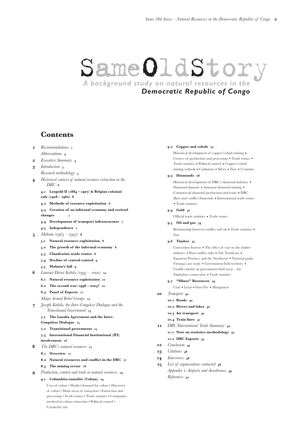# SameOldStory

# *Democratic Republic of Congo*

# **Contents**

- **Recommendations** *Abbreviations*
- *Executive Summary*
- *Introduction Research methodology*
- *Historical context of natural resource extraction in the DRC*
	- **. Leopold II ( ) & Belgian colonial rule ( – )**
	- **. Methods of resource exploitation**
	- **. Creation of an informal economy and societal changes**
	- **. Development of transport infrastructure**
	- **. Independence**
- **5** *Mobutu* ( $1965 1997$ ) **8** 
	- **. Natural resource exploitation**
	- **. The growth of the informal economy**
	- **. Clandestine trade routes**
	- **. Decline of central control**
	- **. Mobutu's fall**
- *Laurent-Désiré Kabila ( – )*
	- **. Natural resource exploitation**
	- **6.2** The second war: **1998** 2003? 10
	- **. Panel of Experts**
	- *Major Armed Rebel Groups*
- *Joseph Kabila, the Inter-Congolese Dialogue and the Transitional Government*
	- **. The Lusaka Agreement and the Inter-**
	- **Congolese Dialogue**
	- **. Transitional government**
	- **. International Financial Institutional (IFI) involvement**
- *The DRC's natural resources*
	- **. Overview**
	- **. Natural resources and conflict in the DRC**
	- **. The mining sector**
- *Production, control and trade in natural resources*
	- **. Columbite-tantalite (Coltan)**
		- Uses of coltan Market demand for coltan Discovery of coltan • Main areas of extraction • Extraction and processing • Trade routes • Trade statistics • Companies involved in coltan extraction • Political control • Cassiterite (tin)

### **. Copper and cobalt**

Historical development of copper/cobalt mining *•* Centres of production and processing *•* Trade routes *•* Trade statistics *•* Political control *•* Copper/cobalt mining outlook *•* Cadmium *•* Silver *•* Zinc *•* Uranium

### **. Diamonds**

Historical development of DRC's diamond industry *•* Diamond deposits *•* Artisanal diamond mining *•* Commercial diamond production and trade *•* DRC illicit and conflict diamonds *•* International trade routes *•* Trade statistics

### **. Gold**

Official trade statistics *•* Trade routes

**. Oil and gas**

Relationship between conflict and oil *•* Trade statistics *•* Gas

### **. Timber**

Concession System *•* The effect of war on the timber industry *•* Post-conflict risks *•* The Northeast *•* Equateur Province and the Northwest *•* National parks: Virunga case study *•* Government-held territory *•* Conflict timber in government-held areas – the Zimbabwe connection *•* Trade statistics

### **. "Minor" Resources**

Coal *•* Lead *•* Iron Ore *•* Manganese

- **10** *Transport* 40
	- **. Roads**
	- **. Rivers and lakes**
	- **. Air transport**
	- **. Train lines**
- *DRC International Trade Summary*
	- **. Note on statistics methodology**
	- **. DRC Exports**
- 12 *Conclusion*<sub>45</sub>
- *Citations*
- *Interviews*
- *List of organisations contacted Appendix : Airports and Aerodromes References*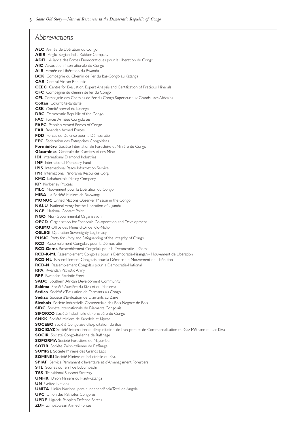# *Abbreviations*

**ALC** Armée de Libération du Congo **ABIR** Anglo-Belgian India-Rubber Company **ADFL** Alliance des Forces Democratiques pour la Liberation du Congo **AIC** Association Internationale du Congo **AliR** Armée de Libération du Rwanda **BCK** Compagnie du Chemin de Fer du Bas-Congo au Katanga **CAR** Central African Republic **CEEC** Centre for Evaluation, Expert Analysis and Certification of Precious Minerals **CFC** Compagnie du chemin de fer du Congo **CFL** Compagnie des Chemins de Fer du Congo Superieur aux Grands Lacs Africains **Coltan** Columbite-tantalite **CSK** Comité special du Katanga **DRC** Democratic Republic of the Congo **FAC** Forces Armées Congolaises **FAPC** People's Armed Forces of Congo **FAR** Rwandan Armed Forces **FDD** Forces de Defense pour la Démocratie **FEC** Fédération des Entreprises Congolaises **Forminière** Société Internationale Forestière et Minière du Congo **Gécamines** Générale des Carriers et des Mines **IDI** International Diamond Industries **IMF** International Monetary Fund **IPIS** International Peace Information Service **IPR** International Panorama Resources Corp **KMC** Kababankola Mining Company **KP** Kimberley Process **MLC** Mouvement pour la Libération du Congo **MIBA** La Société Minière de Bakwanga **MONUC** United Nations Observer Mission in the Congo **NALU** National Army for the Liberation of Uganda **NCP** National Contact Point **NGO** Non-Governmental Organisation **OECD** Organisation for Economic Co-operation and Development **OKIMO** Office des Mines d'Or de Kilo-Moto **OSLEG** Operation Sovereignty Legitimacy **PUSIC** Party for Unity and Safeguarding of the Integrity of Congo **RCD** Rassemblement Congolais pour la Démocratie **RCD-Goma** Rassemblement Congolais pour la Démocratie – Goma **RCD-K-ML** Rassemblement Congolais pour la Démocratie-Kisangani- Mouvement de Libération **RCD-ML** Rassemblement Congolais pour la Démocratie-Mouvement de Libération **RCD-N** Rassemblement Congolais pour la Démocratie-National **RPA** Rwandan Patriotic Army **RPF** Rwandan Patriotic Front **SADC** Southern African Development Community **Sakima** Société Aurifère du Kivu et du Maniema **Sedico** Société d'Evaluation de Diamants au Congo **Sediza** Société d'Evaluation de Diamants au Zaire **Sicobois** Societe Industrielle Commerciale des Bois Negoce de Bois **SIDC** Société Internationale de Diamants Congolais **SIFORCO** Société Industrielle et Forestière du Congo **SMKK** Société Minière de Kabolela et Kipese **SOCEBO** Société Congolaise d'Exploitation du Bois **SOCIGAZ** Société Internationale d'Exploitation, de Transport et de Commercialisation du Gaz Méthane du Lac Kivu **SOCIR** Société Congo-Italienne de Raffinage **SOFORMA** Société Forestière du Mayumbe **SOZIR** Société Zairo-Italienne de Raffinage **SOMIGL** Société Minière des Grands Lacs **SOMINKI** Société Minière et Industrielle du Kivu **SPIAF** Service Permanent d'Inventaire et d'Amenagament Forestiers **STL** Scories du Terril de Lubumbashi **TSS** Transitional Support Strategy **UMHK** Union Minière du Haut-Katanga **UN** United Nations **UNITA** União Nacional para a Independência Total de Angola **UPC** Union des Patriotes Congolais **UPDF** Uganda People's Defence Forces **ZDF** Zimbabwean Armed Forces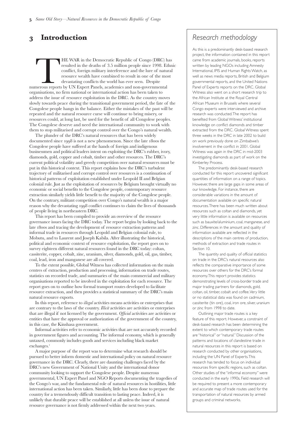# Executive Summary

HIS REPORT outlines the<br>
historical development of natural<br>
resource extraction patterns in the<br>
Democratic Republic of the Conge<br>
Sections and of the report<br>
highlight how the DRCÕs vast natural wealth was historical development of natural resource extraction patterns in the Democratic Republic of the Congo. Sections and of the report originally exploited for the commercial benefit of a small number of business and political elites at the expense of the vast majority of the Congolese people since the late s. In the wake of rapid decolonisation in the early s, Mobutu adopted ruinous policies leading to the corrupt mismanagement of the Congolese economy and natural resource sectors, depriving state coffers of the billions needed to effectively run governmental institutions in a country the size of Western Europe. Encouraging direct military control over resources and a  $\dot{\alpha}$  divide and ruléstrategy, Mobute policies also drove ordinary Congolese to rely on smuggling and illicit trade to survive.

As sections and demonstrate, the patterns of natural resource extraction established under Mobutu are still in evidence today in the informal economy that operates in parallel to cross-border military networks that developed amidst the civil war. The DRC<sup>®</sup> current turbulent trajectory must therefore be set firmly in historical, economic and political context.

The DRC is incredibly rich in terms of natural resource Dand it has long been cursed by this wealth. Sections and offer more details about the range of natural resources exploited in the DRC, as well as the predominant forms of resource extraction, the main centres of production, control of resources, export routes, and connections between resource wealth and political power. Where appropriate,

Global Witness has included analysis of the role and influence of neighbouring countries (particularly Uganda, Rwanda, Zimbabwe, CAR, Republic of Congo) and has provided details of known trade routes. Global Witness has also compiled publicly available statistical information on flows (volumes and values) about coltan, diamonds, copper, cobalt, timber, oil, gold and other key resources.

This report is predominantly based on desk-based research. Global Witness was assisted in preparation of this report by an accountable grant from the Department for International Development (DFID). Although the content of the report has been discussed with DFID, the views expressed in this report are those of Global Witness. The purpose of the accountable grant was to build understanding of the historical context of natural resource extraction governance in DRC for DFID, other donors, the transitional government and other stakeholders. Desk-based research on the DRC had inherent limitations, and Section concludes with a list of recommended further research.

The current transitional government, and the international community looking to assist ending the devastating war in eastern Congo, face a daunting task. The DRC is fragmented, extremely fragile, and its natural resource wealth would seem to be an obvious way to kick-starÓa failed economy. However, given that the DRC natural resources have never been managed in a wholly accountable and sustainable manner, the DRC government, the private sector and the international community should proceed with extreme caution. The Congolese people deserve to reap benefits from their co@ntry wealth Dnot to be held hostage to destructive exploitative patterns established decades ago.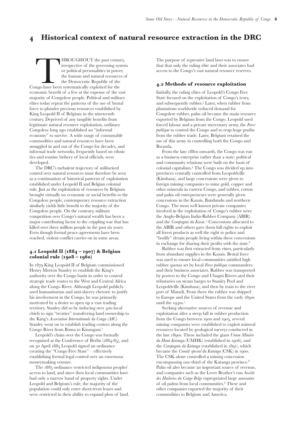# **Introduction**

THE WAR in the Democratic Republic of Congo (DRC) has<br>
resulted in the deaths of 3.5 million people since 1998. Ethr<br>
conflict, foreign military interference and the lure of natural<br>
resource wealth have combined to result resulted in the deaths of 3.5 million people since 1998. Ethnic conflict, foreign military interference and the lure of natural resource wealth have combined to result in one of the most devastating conflicts the world has ever seen. Despite organisations, no firm national or international action has been taken to address the issue of resource exploitation in the DRC. As the country moves slowly towards peace during the transitional government period, the fate of the Congolese people hangs in the balance. Either the mistakes of the past will be repeated and the natural resource curse will continue to bring misery, or resources could, at long last, be used for the benefit of all Congolese peoples. The Congolese deserve and need the international community to work with them to stop militarised and corrupt control over the Congo's natural wealth.

The plunder of the DRC's natural resources that has been widely documented since 1998 is not a new phenomenon. Since the late 1800s the Congolese people have suffered at the hands of foreign and indigenous businessmen and political leaders intent on exploiting the DRC's rubber, ivory, diamonds, gold, copper and cobalt, timber and other resources. The DRC's current political volatility and greedy competition over natural resources must be put in this historical context. This report explains how the DRC's turbulent trajectory of militarised and corrupt control over resources is a continuation of historical patterns of exploitation established under Leopold II and Belgian colonial rule. Just as the exploitation of resources by Belgium brought virtually no economic or social benefits to the Congolese people, contemporary resource extraction similarly yields little benefit to the majority of the Congolese people. On the contrary, militant competition over Congo's natural wealth is a major reason why the devastating 1998 conflict continues to claim the lives of thousands of people living in northeastern DRC.

This report has been compiled to provide an overview of the resource governance issues facing the DRC today. The report begins by looking back to the late 1800s and tracing the development of resource extraction patterns and informal trade in resources through Leopold and Belgian colonial rule, to Mobutu, and to Laurent and Joseph Kabila. After illustrating the historical, political and economic context of resource exploitation, the report goes on to survey eighteen different natural resources found in the DRC today: coltan, cassiterite, copper, cobalt, zinc, uranium, silver, diamonds, gold, oil, gas, timber, coal, lead, iron and manganese are all covered.

To the extent possible, Global Witness has collected information on the main centres of extraction, production and processing, information on trade routes, statistics on recorded trade, and summaries of the main commercial and military organisations reported to be involved in the exploitation for each resource. The report goes on to outline how formal transport routes developed to facilitate resource extraction, and then provides a statistical summary of the DRC's main natural resource exports.

In this report, reference to *illegal* activities means activities or enterprises that are contrary to the laws of the country. *Illicit* activities are activities or enterprises that are illegal if not licensed by the government. *Official* activities are activities or entities that have the approval or authorization of the government of the country, in this case, the Kinshasa government.

Informal activities refer to economic activities that are not accurately recorded in government figures and accounting. The informal economy, which is generally untaxed, commonly includes goods and services including black market exchanges.

A major purpose of the report was to determine what research should be pursued to better inform domestic and international policy on natural resource governance in the DRC. Clearly, there are daunting challenges faced by the DRC's new Government of National Unity and the international donor community looking to support the Congolese people. Despite numerous governmental, UN Expert Panel and NGO Reports documenting the tragedies of the Congo's war, and the fundamental role of natural resources in hostilities, little international action has been taken. Similarly, little has been done to prepare the country for a tremendously difficult transition to lasting peace. Indeed, it is unlikely that durable peace will be established at all unless the issue of natural resource governance is not firmly addressed within the next two years.

# *Research methodology*

As this is a predominantly desk-based research project, the information contained in this report came from academic journals, books, reports written by leading NGOs including Amnesty International, IPIS and Human Rights Watch, as well as news media reports, British and Belgium governmental reports, and the United Nations Panel of Experts reports on the DRC. Global Witness also went on a short research trip to the African Institute at the Royal Central African Museum in Brussels where several Congo experts were interviewed and archive research was conducted.The report has benefited from Global Witness' institutional knowledge on conflict diamonds and timber extracted from the DRC. Global Witness spent three weeks in the DRC in late 2002 to build on work previously done on Zimbabwe's involvement in the conflict in 2001. Global Witness was again in the DRC in mid-2003 investigating diamonds as part of work on the Kimberley Process.

The predominantly desk-based research conducted for this report uncovered significant quantities of information on a range of topics. However, there are large gaps in some areas of our knowledge. For instance, there are considerable variations in the amount of documentation available on specific natural resources.There has been much written about resources such as coltan and diamonds, yet very little information is available on resources such as bauxite/aluminium, coal, manganese, and zinc. Differences in the amount and quality of information available are reflected in the descriptions of the main centres of production, methods of extraction and trade routes in Section 10.

The quantity and quality of official statistics on trade in the DRC's natural resources also reflects the comparative importance of some resources over others for the DRC's formal economy.This report provides statistics demonstrating levels of cross-border trade and major trading partners for diamonds, gold, coltan, oil, timber, cobalt and coffee.Very little or no statistical data was found on cadmium, cassiterite (tin ore), coal, iron ore, silver, uranium or zinc from 1998 to date.

Outlining major trade routes is a key feature of this report. However, a constraint of desk-based research has been determining the extent to which contemporary trade routes are "historical" or "natural." Discussion of the patterns and locations of clandestine trade in natural resources in this report is based on research conducted by other organisations, including the UN Panel of Experts.This research has tended to focus on individual resources from specific regions, such as coltan. Other studies of the "informal economy" were conducted in the early 1990s. Field research will be required to present a more contemporary and accurate map of trade routes used for the transportation of natural resources by armed groups and criminal networks.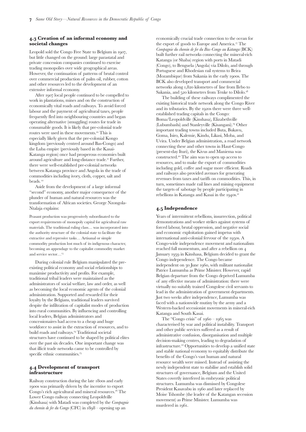# **Historical context of natural resource extraction in the DRC**

THROUGHOUT the past century,<br>
irrespective of the governing system<br>
or political personalities in power,<br>
the human and natural resources of<br>
the Democratic Republic of the<br>
Congo have been systematically exploited for the irrespective of the governing system or political personalities in power, the human and natural resources of the Democratic Republic of the economic benefit of a few at the expense of the vast majority of Congolese people. Political and military elites today repeat the patterns of the use of brutal force to plunder precious resources established by King Leopold II of Belgium in the nineteenth century. Deprived of any tangible benefits from legitimate natural resource exploitation, ordinary Congolese long ago established an "informal economy" to survive. A wide range of consumable commodities and natural resources have been smuggled in and out of the Congo for decades, and informal trade networks, frequently based on ethnic ties and routine bribery of local officials, were developed.

The DRC's turbulent trajectory of militarised control over natural resources must therefore be seen as a continuation of historical patterns of exploitation established under Leopold II and Belgian colonial rule. Just as the exploitation of resources by Belgium brought virtually no economic or social benefits to the Congolese people, contemporary resource extraction similarly yields little benefit to the majority of the Congolese people. On the contrary, militant competition over Congo's natural wealth has been a major contributing factor to the crippling war that has killed over three million people in the past six years. Even though formal peace agreements have been reached, violent conflict carries on in some areas.

### **. Leopold II ( – ) & Belgian colonial rule ( – )**

In 1879 King Leopold II of Belgium commissioned Henry Morton Stanley to establish the King's authority over the Congo basin in order to control strategic trade routes to the West and Central Africa along the Congo River. Although Leopold publicly used humanitarian and anti-slavery rhetoric to justify his involvement in the Congo, he was primarily motivated by a desire to open up a vast trading territory. Stanley did so by inducing over 400 local chiefs to sign "treaties" transferring land ownership to the King's *Association Internationale du Congo (AIC).* Stanley went on to establish trading centres along the Congo River from Boma to Kisangani.

Leopold's claim over the Congo was formally recognised at the Conference of Berlin (1884-85), and on 30 April 1885 Leopold signed an ordinance creating the "Congo Free State" – effectively establishing formal legal control over an enormous moneymaking venture.

The 1885 ordinance restricted indigenous peoples' access to land, and since then local communities have had only a narrow band of property rights. Under Leopold and Belgium's rule, the majority of the population could only enter short-term leases and were restricted in their ability to expand plots of land. The purpose of repressive land laws was to ensure that that only the ruling elite and their associates had access to the Congo's vast natural resource reserves.

### **. Methods of resource exploitation**

Initially, the ruling elites of Leopold's Congo Free State focused on the exploitation of Congo's ivory, and subsequently rubber.<sup>3</sup> Later, when rubber from plantations worldwide reduced demand for Congolese rubber, palm oil became the main resource exported by Belgium from the Congo. Leopold used forced labour and a private mercenary army, the *Force publique* to control the Congo and to reap huge profits from the rubber trade. Later, Belgium retained the use of this army in controlling both the Congo and Rwanda.

From the late 1880s onwards, the Congo was run as a business enterprise rather than a state: political and community relations were built on the basis of colonial capitalism.<sup>4</sup> The Congo was divided up into provinces centrally controlled from Leopoldville (Kinshasa), and large concessions were given to foreign mining companies to mine gold, copper and other minerals in eastern Congo, and rubber, cotton and palm oil entrepreneurs were generally given concessions in the Kasais, Bandundu and northern Congo. The most well known private companies involved in the exploitation of Congo's rubber were the Anglo-Belgian India-Rubber Company (ABIR) and the *Compagnie du Kasai*.<sup>5</sup> Concessions allocated to the ABIR and others gave them full rights to exploit all forest products as well the right to police and "bodily" detain people living within these concessions in exchange for sharing their profits with the state.

Rubber was first extracted from vines, particularly from abundant supplies in the Kasais. Brutal force was used to ensure local communities satisfied high rubber quotas set by local *Force publique* commanders and their business associates. Rubber was transported by porters to the Congo and Ubagni Rivers and their tributaries on steam barges to Stanley Pool and Leopoldville (Kinshasa), and then by train to the river port of Matadi. From there the rubber was shipped to Europe and the United States from the early 1890s until the 1930s.<sup>7</sup>

Seeking alternative sources of revenue and exploitation after a steep fall in rubber production from the Congo between 1900 and 1905, several mining companies were established to exploit mineral resources located by geological surveys conducted in the late 1890s. These included the giant *Union Minière* du Haut-Katanga (UMHK) (established in 1906), and the *Compagnie du Katanga* (established in 1891), which became the *Comité special du Katanga* (CSK) in 1900. The CSK alone controlled a mining concession encompassing one-third of the Katanga province. Palm oil also became an important source of revenue, and companies such as the Lever Brother's run *Société des Huileries du Congo Belge* expropriated large amounts of oil palms from local communities. These and other companies exported the majority of their commodities to Belgium and America.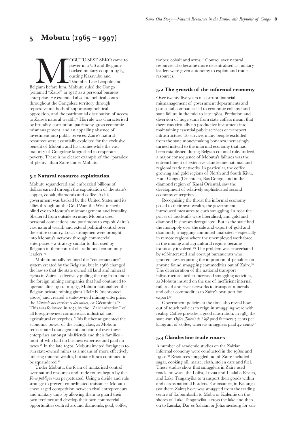### **. Creation of an informal economy and societal changes**

Leopold sold the Congo Free State to Belgium in 1907, but little changed on the ground: large parastatal and private concession companies continued to exercise trading monopolies over wide geographical areas. However, the continuation of patterns of brutal control over commercial production of palm oil, rubber, cotton and other resources led to the development of an extensive informal economy.

After 1907 local people continued to be compelled to work in plantations, mines and on the construction of economically vital roads and railways. To avoid forced labour and the payment of agricultural taxes, people frequently fled into neighbouring countries and began operating alternative (smuggling) routes for trade in consumable goods. It is likely that pre-colonial trade routes were used in these movements.<sup>10</sup> This is especially likely given that the pre-colonial Kongo kingdom (previously centred around Bas-Congo) and the Luba empire (previously based in the Kasai-Katanga region) once had prosperous economies built around agriculture and long-distance trade.<sup>11</sup> Further, there were well-established pre-colonial networks between Katanga province and Angola in the trade of commodities including ivory, cloth, copper, salt and beads.

Aside from the development of a large informal "second" economy, another major consequence of the plunder of human and natural resources was the transformation of African societies. George Nzongola-Ntalaja explains:

Peasant production was progressively subordinated to the export requirements of monopoly capital for agricultural raw materials. The traditional ruling class… was incorporated into the authority structure of the colonial state to facilitate the extractive and repressive tasks… Artisanal or simple commodity production lost much of its indigenous character, becoming an appendage to the capitalist commodity market and service sector…

During colonial rule Belgium manipulated the preexisting political economy and social relationships to maximise productivity and profits. For example, traditional tribal leaders were maintained as the administrators of social welfare, law and order, as well as becoming the local economic agents of the colonial administration. Supported and rewarded for their loyalty by the Belgians, traditional leaders survived despite the infiltration of capitalist modes of production into rural communities. By influencing and controlling local leaders, Belgian administrators and concessionaires had access to a cheap and huge workforce to assist in the extraction of resources, and to build roads and railways.<sup>14</sup> Traditional societal structures have continued to be shaped by political elites over the past six decades. One important change was that illicit trade networks came to be controlled by specific ethnic communities.<sup>15</sup>

### **. Development of transport infrastructure**

Railway construction during the late 1800s and early 1900s was primarily driven by the incentive to export Congo's rich agricultural and mineral resources.<sup>16</sup> The Lower Congo railway connecting Leopoldville (Kinshasa) with Matadi was completed by the *Compagnie du chemin de fer du Congo* (CFC) in  $1898 -$  opening up an

economically crucial trade connection to the ocean for the export of goods to Europe and America.<sup>17</sup> The *Compagnie du chemin de fer du Bas-Congo au Katanga* (BCK) built further rail networks connecting the mineral-rich Katanga (or Shaba) region with ports in Matadi (Congo), to Benguela (Angola) via Dilolo, and through Portuguese and Rhodesian rail systems to Beira (Mozambique) from Sakania in the early 1900s. The BCK also developed transport and commercial networks along 1,820 kilometres of line from Ilebo to Sakania, and  $520$  kilometres from Tenke to Dilolo.<sup>18</sup>

The building of these railways complimented the existing historical trade network along the Congo River and its tributaries. By the 1920s there were three wellestablished trading capitals in the Congo: Boma/Leopoldville (Kinshasa), Elizabethville (Lubumbashi) and Stanleyville (Kisangani).<sup>19</sup> Other important trading towns included Buta, Bukavu, Goma, Isiro, Kalemie, Kindu, Likasi, Moba, and Uvira. Under Belgian administration, a road network connecting these and other towns in Haut-Congo (present-day Ituri), the Kivus and Maniema was constructed.<sup>20</sup> The aim was to open up access to resources, and to make the export of commodities including gold, coffee and sugar more efficient. Roads and railways also provided avenues for generating revenues from taxes and tariffs on commodities. This, in turn, sometimes made rail lines and mining equipment the targets of sabotage by people participating in rebellions in Katanga and Kasai in the 1940s.<sup>21</sup>

### **. Independence**

Years of intermittent rebellions, insurrection, political demonstrations and worker strikes against systems of forced labour, brutal oppression, and negative social and economic exploitation gained impetus with international anti-colonial fervour of the 1950s. A Congo-wide independence movement and nationalism reached full momentum, and after a rebellion on January 1959 in Kinshasa, Belgium decided to grant the Congo independence. The Congo became independent on 30 June 1960, with militant nationalist Patrice Lumumba as Prime Minister. However, rapid Belgian departure from the Congo deprived Lumumba of any effective means of administration: there were virtually no suitably trained Congolese civil servants to lead in the administration of government departments. Just two weeks after independence, Lumumba was faced with a nationwide mutiny by the army and a Western-backed secessionist movements in mineral-rich Katanga and South Kasai.

The "Congo crisis" of  $1960 - 1965$  was characterised by war and political instability. Transport and other public services suffered as a result of administrative confusion, disorganisation and multiple decision-making centres, leading to degradation of infrastructure.<sup>22</sup> Opportunities to develop a unified state and stable national economy to equitably distribute the benefits of the Congo's vast human and natural resource wealth were missed. Instead of assisting the newly independent state to stabilise and establish solid structures of governance, Belgium and the United States covertly interfered in embryonic political structures. Lumumba was dismissed by Congolese President Kasavabu in 1960 and later replaced by Moise Tshombe (the leader of the Katangan secession movement) as Prime Minister. Lumumba was murdered in 1961.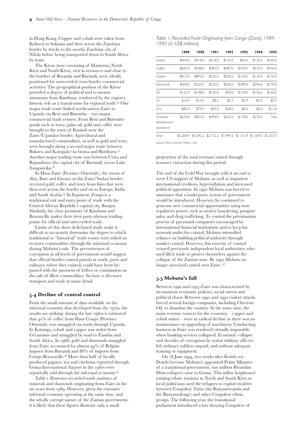# **5** Mobutu (**1965** – **1997**)

OBUTU SESE SEKO came to<br>
power in a US and Belgium-<br>
backed military coup in 1965,<br>
ousting Kasavubu and<br>
Belgium before him, Mobutu ruled the Congo<br>
(may all "Tahombe. Like Leopold and power in a US and Belgium- $\overline{b}$  backed military coup in 1965, ousting Kasavubu and Tshombe. Like Leopold and (renamed "Zaire" in 1971) as a personal business enterprise. He extended absolute political control throughout the Congolese territory through repressive methods of suppressing political opposition, and the patrimonial distribution of access to Zaire's natural wealth.<sup>23</sup> His rule was characterised by brutality, corruption, patrimony, gross economic mismanagement, and an appalling absence of investment into public services. Zaire's natural resources were essentially exploited for the exclusive benefit of Mobutu and his cronies while the vast majority of Congolese languished in desperate poverty. There is no clearer example of the "paradox of plenty" than Zaire under Mobutu.

### **. Natural resource exploitation**

Mobutu squandered and embezzled billions of dollars earned through the exploitation of the state's copper, cobalt, diamonds and coffee. As his government was backed by the United States and its allies throughout the Cold War, the West turned a blind eye to Mobutu's mismanagement and brutality. Sheltered from outside scrutiny, Mobutu used personal connections and patrimony to exploit Zaire's vast natural wealth and extend political control over the entire country. Local strongmen were brought into Mobutu's network through commercial enterprises – a strategy similar to that used by Belgium in their control of traditional community leaders.

Mobutu initially retained the "concessionaire" system created by the Belgians, but in 1966 changed the law so that the state owned all land and mineral rights in Zaire – effectively pulling the rug from under the foreign mining companies that had continued to operate after 1960. In 1967, Mobutu nationalised the Belgian private mining giant UMHK (mentioned above) and created a state-owned mining enterprise, the *Générale des carriers et des mines*, or Gécamines. This was followed in 1973 by the "Zairianization" of all foreign-owned commercial, industrial and agricultural enterprises. This further augmented the economic power of the ruling class, as Mobutu redistributed management and control over these enterprises amongst his friends and their families – most of who had no business expertise and paid no taxes.<sup>26</sup> In the late 1970s, Mobutu invited foreigners to run state-owned mines as a means of more effectively utilising mineral wealth, but state funds continued to be squandered.<sup>27</sup>

Under Mobutu, the form of militarised control over natural resources and trade routes begun by the *Force publique* was perpetuated*.* Using a divide and rule strategy to prevent co-ordinated resistance, Mobutu encouraged competition between rival entrepreneurs and military units by allowing them to guard their own territory and develop their own commercial opportunities centred around diamonds, gold, coffee,

timber, cobalt and arms.<sup>28</sup> Control over natural resources also became more decentralised as military leaders were given autonomy to exploit and trade resources.

### **. The growth of the informal economy**

Over twenty-five years of corrupt financial mismanagement of government departments and parastatal companies led to economic collapse and state failure in the mid-to-late 1980s. Predation and diversion of huge sums from state coffers meant that there was virtually no productive investment into maintaining essential public services or transport infrastructure. To survive, many people excluded from the state moneymaking bonanza increasingly turned instead to the informal economy that had been established during Belgian colonial rule. Indeed, a major consequence of Mobutu's failures was the entrenchment of extensive clandestine national and regional trade networks. In particular, the coffee growing and gold regions of North and South Kivu, Haut Congo (Orientale), Bas Congo, and in the diamond region of Kasai Oriental, saw the development of relatively sophisticated second economy enterprises.

Recognising the threat the informal economy posed to their own wealth, the government introduced measures to curb smuggling. In 1982 the prices of foodstuffs were liberalised, and gold and diamond businesses deregulated. But as the state had the monopoly over the sale and export of gold and diamonds, smuggling continued unabated – especially in remote regions where the unemployed work force in the mining and agricultural regions became frantically involved.<sup>29</sup> The problem was exacerbated by self-interested and corrupt bureaucrats who ignored laws requiring the imposition of penalties on anyone found smuggling commodities out of Zaire. The deterioration of the national transport infrastructure further increased smuggling activities, as Mobutu insisted on the use of inefficient internal rail, road and river networks to transport minerals and other commodities to Zaire's own port for export.

Government policies at the time also reveal how out of touch policies to reign in smuggling were with reality. Coffee provides a good illustration: in 1985 the state-run *Office Zairois de Café* paid farmers 7 cents per kilogram of coffee, whereas smugglers paid  $42$  cents.<sup>32</sup>

### **. Clandestine trade routes**

A number of academic studies on the Zairian informal economy were conducted in the 1980s and 1990s.<sup>33</sup> Resources smuggled out of Zaire included sugar, cooking oil, maize, cloth, stolen cars and fuel. These studies show that smugglers in Zaire used roads, railways, the Lufra, Luvua and Lualaba Rivers, and Lake Tanganyika to transport their goods within and across national borders. For instance, in Katanga (southern Zaire) ivory was smuggled from the trading centre of Lubumbashi to Moba or Kalemie on the shores of Lake Tanganyika, across the lake and then on to Lusaka, Dar es Salaam or Johannesburg for sale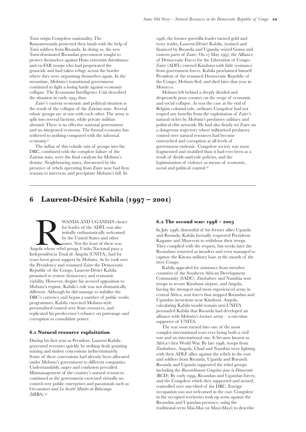in Hong Kong. Copper and cobalt were taken from Kolwezi to Sakania and then across the Zambian border by trucks to the nearby Zambian city of Ndola before being transported down to South Africa by train.

The Kivus (now consisting of Maniema, North Kivu and South Kivu), rich in resources and close to the borders of Rwanda and Burundi, were ideally positioned for unrecorded cross-border commercial activities. The geographical position of the Kivus provided a degree of political and economic autonomy from Kinshasa, reinforced by the region's historic role as a transit-zone for regional trade.<sup>34</sup> One major trade route linked northeastern Zaire to Uganda via Beni and Butembo – two major commercial trade centres. From Beni and Butembo goods such as ivory, palm oil, gold and coffee were brought to the town of Kasindi near the Zaire/Ugandan border. Agricultural and manufactured commodities, as well as gold and ivory were brought along a second major route between Bukavu and Kampala via Goma and Rutshuru. Another major trading route was between Uvira and Bujumbura (the capital city of Burundi) across Lake Tanganyika.

In Haut Zaire (Province Orientale), the towns of Aba, Base and Liwara on the Zaire/Sudan border received gold, coffee and ivory from Isiro that were then sent across the border and on to Europe, India and Saudi Arabia.<sup>37</sup> In Equateur, Zongo is a traditional exit and entry point of trade with the Central African Republic's capital city, Bangui. Similarly, the close proximity of Kinshasa and Brazzaville makes their river ports obvious trading points for official and unrecorded trade.

Limits of this short desk-based study make it difficult to accurately determine the degree to which traditional or "historical" trade routes were relied on to move commodities through the informal economy during Mobutu's rule. The pervasiveness of corruption at all levels of government would suggest that official border control patrols at roads, ports and railways, where they existed, could have been bypassed with the payment of bribes or commission on the sale of illicit commodities. Section 11 discusses transport and trade in more detail.

### **. Decline of central control**

From the small amount of data available on the informal economy that developed from the 1970s, the results are striking: during the late 1980s is estimated that  $40\%$  of coffee from Haut Congo (Province Orientale) was smuggled via roads through Uganda. In Katanga, cobalt and copper was stolen from Gécamines and smuggled by road to Zambia and South Africa. In 1988, gold and diamonds smuggled from Zaire accounted for almost  $94\%$  of Belgian imports from Burundi and 88% of imports from Congo Brazzaville.<sup>38</sup> More than half of locally produced papaya, tea and cinchona exported through Goma International Airport in the 1980s were reportedly sold through the informal economy.

Table I illustrates recorded trade statistics of minerals and diamonds originating from Zaire in the six years from 1989. However, given the extensive informal economy operating at the same time, and the wholly corrupt nature of the Zairian government, it is likely that these figures illustrate only a small

*Table 1: Recorded Trade Originating from Congo (Zaire), 1989- 1995 (in US\$ millions)*

|                                       | 1989    | 1990    | 1991    | 1992    | 1993    | 1994    | 1995    |
|---------------------------------------|---------|---------|---------|---------|---------|---------|---------|
| Cobalt                                | \$404.0 | \$418.0 | \$218.0 | \$125.0 | \$54.0  | \$120.0 | \$160.0 |
| Coffee                                | \$692.0 | \$548.0 | \$483.0 | \$487.0 | \$330.0 | \$432.0 | \$450.0 |
| Copper                                | \$813.0 | \$892.0 | \$525.0 | \$302.0 | \$136.0 | \$120.0 | \$150.0 |
| Diamonds                              | \$400.0 | \$320.0 | \$220.0 | \$200.0 | \$289.0 | \$296.0 | \$376.0 |
| Oil                                   | \$167.0 | \$148.0 | \$165.0 | \$40.0  | \$130.0 | \$156.0 | \$160.0 |
| Tin                                   | \$16.4  | \$14.2  | \$8.2   | \$5.3   | \$3.9   | \$5.0   | \$5.5   |
| Zinc                                  | \$82.0  | \$79.0  | \$59.0  | \$28.0  | \$0.0   | \$0.0   | \$12.0  |
| Overseas<br>development<br>assistance | \$634.0 | \$823.0 | \$494.0 | \$262.0 | \$178.0 | \$235.0 | N/a     |

*Total* \$3,208.4 \$3,242.2 \$2,172.2 \$1,449.3 \$1,121.9 \$1,364.0 \$1,323.5 Source: Reno, *Warlord Politics*, 156.

proportion of the total revenues raised through resource extraction during this period.

The end of the Cold War brought with it an end to overt US support of Mobutu, as well as impatient international creditors, hyperinflation and increased political opposition. In 1990 Mobutu was forced to announce that a multi-party system of government would be introduced. However, he continued to generate new commercial opportunities using state regulatory power, such as money laundering, passport sales, and drug trafficking. To control the privatisation process of parastatal companies encouraged by international financial institutions and to keep his network under his control, Mobutu intensified reliance on building political authority through market control. However, this exercise of control crossed previously independent local authorities, who used illicit trade to protect themselves against the collapse of the Zairian state. By 1992 Mobutu no longer exercised control over Zaire.

### **. Mobutu's fall**

Between 1990 and 1993 Zaire was characterised by inconsistent economic policies, social unrest and political chaos. Between 1990 and 1992 violent attacks forced several foreign companies, including Chevron Oil, to abandon the country. At the same time, the main revenue earners for the economy – copper and cobalt mines – were in radical decline as there was no maintenance or upgrading of machinery. Conducting business in Zaire was rendered virtually impossible when banking services collapsed. Economic collapse and decades of corruption by senior military officers left ordinary soldiers unpaid, and without adequate training or equipment.

On 18 June 1994, two weeks after Kendo wa Dondo became Mobutu's appointed Prime Minister of a transitional government, one million Rwandan Hutu refugees came to Goma. This influx heightened existing ethnic tensions in North and South Kivu as local politicians used the refugees to exploit rivalries between Congolese Tutsis (the Banyanrwanda and the Banyamulenge) and other Congolese ethnic groups. The following year, the transitional parliament introduced a law denying Congolese of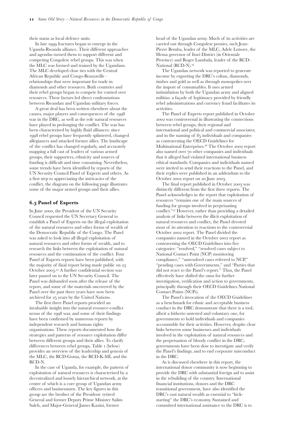Tutsi origin Congolese nationality. The Banyanrwanda protected their lands with the help of Tutsi soldiers from Rwanda. In doing so, the new Tutsi-dominated Rwandan government sought to protect themselves against Hutu extremist *Interahamwe* and ex-FAR troops who had perpetrated the genocide and had taken refuge across the border where they were organising themselves again. In the meantime, Mobutu's transitional government continued to fight a losing battle against economic collapse. The Economist Intelligence Unit described the situation in early 1995 thus:

Zaire's current economic and political situation is the result of the collapse of the Zairian state. Several ethnic groups are at war with each other. The army is split into several factions, while private militias abound. There is no effective national government and no integrated economy. The formal economy has withered to nothing compared with the informal economy.

The influx of this volatile mix of groups into the DRC, combined with the complete failure of the Zairian state, were the final catalysts for Mobutu's demise. Neighbouring states, threatened by the presence of rebels operating from Zaire now had firm reasons to intervene and precipitate Mobutu's fall. In

1996, the former guerrilla leader turned gold and ivory trader, Laurent-Désiré Kabila, (trained and financed by Rwanda and Uganda) seized Goma and eastern parts of Zaire. On  $17$  May 1997, the Alliance of Democratic Forces for the Liberation of Congo-Zaire (ADFL) entered Kinshasa with little resistance from government forces. Kabila proclaimed himself President of the renamed Democratic Republic of the Congo; Mobutu fled, and died later that year in Morocco.

Mobutu left behind a deeply divided and desperately poor country on the verge of economic and social collapse. As was the case at the end of Belgian colonial rule, ordinary Congolese had not reaped any benefits from the exploitation of Zaire's natural riches by Mobutu's predatory military and political elite network. He had also firmly set Zaire on a dangerous trajectory where militarised predatory control over natural resources had become entrenched and corruption at all levels of government endemic. Congolese society was more fragmented and stratified than it had ever been as a result of divide-and-rule policies, and the legitimisation of violence as means of economic, social and political control.<sup>42</sup>

# **6** Laurent-Désiré Kabila (**1997** – 2001)

WANDA AND UGANDA'S choice<br>
for leader of the ADFL was also<br>
initially enthusiastically welcomed<br>
by the United States and other<br>
states. Not the least of these was<br>
Angola whose rebel group, União Nacional para a<br>
Indian a for leader of the ADFL was also initially enthusiastically welcomed by the United States and other states. Not the least of these was Independência Total de Angola (UNITA), had for years been given support by Mobutu. As he took over the Presidency and renamed Zaire the Democratic Republic of the Congo, Laurent-Désiré Kabila promised to restore democracy and economic viability. However, despite his avowed opposition to Mobutu's regime, Kabila's rule was not dramatically different. Although he did manage to stabilise the DRC's currency and began a number of public works programmes, Kabila exercised Mobutu-style personalised control over State resources, and replicated his predecessor's reliance on patronage and corruption to consolidate power.

### **. Natural resource exploitation**

During his first year as President, Laurent Kabila generated revenues quickly by striking deals granting mining and timber concessions indiscriminately. Some of these concessions had already been allocated under Mobutu's government to different companies. Understandably, anger and confusion prevailed. Mismanagement of the country's natural resources continued as the government exercised virtually no control over public enterprises and parastatals such as Gécamines and *La Société Minière de Bakwanga* (MIBA).

### **. The second war: –**

In July 1998, distrustful of his former allies Uganda and Rwanda, Kabila formally requested Presidents Kagame and Museveni to withdraw their troops. They complied with the request, but weeks later the Rwandans returned as invaders and even managed to capture the Kitona military base at the mouth of the river Congo.

Kabila appealed for assistance from member countries of the Southern African Development Community (SADC). Zimbabwe and Namibia sent troops to secure Kinshasa airport, and Angola, having the strongest and most experienced army in central Africa, sent forces that stopped Rwandan and Ugandan incursions near Kinshasa. Angola, calculating Kabila would remain anti-UNITA persuaded Kabila that Rwanda had developed an alliance with Mobutu's former army – a one-time supporter of UNITA.

The war soon turned into one of the most complex international wars ever being both a civil war and an international one. It became known as Africa's first World War. By late 1998, troops from Zimbabwe, Angola, Chad and Namibia were fighting with their ADLF allies against the rebels in the east and soldiers from Rwanda, Uganda and Burundi. Rwanda and Uganda supported the rebel groups including the *Rassemblement Congolais pour la Démocratie* (RCD). By early 1999, Rwandan and Ugandan forces, and the Congolese rebels they supported and armed, controlled over one-third of the DRC. Foreign occupation was not welcomed in the east: Congolese in the occupied territories took up arms against the Rwandan and Ugandan presence, using the traditional term Mai-Mai (or Mayi-Mayi) to describe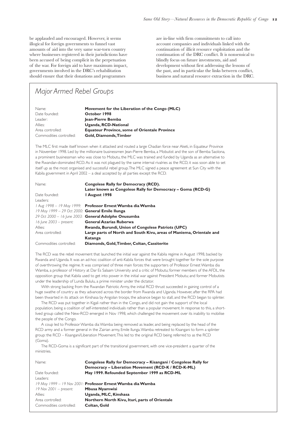their status as local defence units.

In late 1999 fractures began to emerge in the Uganda-Rwanda alliance. Their different approaches and agendas turned them to support different and competing Congolese rebel groups. This was when the MLC was formed and trained by the Ugandans. The MLC developed close ties with the Central African Republic and Congo-Brazzaville – relationships that were important for trade in diamonds and other resources. Both countries and their rebel groups began to compete for control over resources. These factors led direct confrontations between Rwandan and Ugandan military forces.

A great deal has been written elsewhere about the causes, major players and consequences of the war in the DRC, as well as the role natural resources have played in prolonging the conflict. The war has been characterised by highly fluid alliances: since 1998 rebel groups have frequently splintered, changed allegiances and attacked former allies. The landscape of the conflict has changed regularly, and accurately mapping a full cast of leaders of various armed groups, their supporters, ethnicity and sources of funding is difficult and time consuming. Nevertheless, some trends have been identified by reports of the UN Security Council Panel of Experts and others. As a first step to appreciating the intricacies of the conflict, the diagram on the following page illustrates some of the major armed groups and their allies.

### **. Panel of Experts**

In June 2000, the President of the UN Security Council requested the UN Secretary General to establish a Panel of Experts on the illegal exploitation of the natural resources and other forms of wealth of the Democratic Republic of the Congo. The Panel was asked to look into all illegal exploitation of natural resources and other forms of wealth, and to research the links between the exploitation of natural resources and the continuation of the conflict. Four Panel of Experts reports have been published, with the majority of final report being made public on October 2003.<sup>44</sup> A further confidential section was later passed on to the UN Security Council. The Panel was disbanded soon after the release of the report, and some of the materials uncovered by the Panel over the past three years have now been archived for 25 years by the United Nations.

The first three Panel reports provided an invaluable insight into the natural resource-conflict nexus of the 1998 war, and some of their findings have been confirmed by numerous reports by independent research and human rights organisations. These reports documented how the strategies and patterns of resource exploitation differ between different groups and their allies. To clarify differences between rebel groups, Table (below) provides an overview of the leadership and genesis of the MLC, the RCD-Goma, the RCD-K-ML and the RCD-N.

In the case of Uganda, for example, the pattern of exploitation of natural resources is characterised by a decentralized and loosely hierarchical network, at the centre of which is a core group of Ugandan army officers and businessmen. The key figures in this group are the brother of the President: retired General and former Deputy Prime Minister Salim Saleh, and Major-General James Kazini, former

head of the Ugandan army. Much of its activities are carried out through Congolese proxies, such Jean-Pierre Bemba, leader of the MLC, Adele Lotsove, the Hema governor of Ituri District (in Orientale Province) and Roger Lumbala, leader of the RCD-National (RCD-N).

The Ugandan network was reported to generate income by exporting the DRC's coltan, diamonds, timber and gold as well as through monopolies over the import of consumables. It uses armed intimidation by both the Ugandan army and aligned militias: a façade of legitimacy provided by friendly rebel administrations and currency fraud facilitates its activities.

The Panel of Experts report published in October 2002 was controversial in illustrating the connections between rebel groups, their regional and international and political and commercial associates; and in the naming of 85 individuals and companies as contravening the OECD Guidelines for Multinational Enterprises.<sup>46</sup> The October 2002 report also named over 70 other companies and individuals that it alleged had violated international business ethical standards. Companies and individuals named were invited to send their reactions to the Panel, and their replies were published in an addendum to the October 2002 report on 20 June 2003.

The final report published in October 2003 was distinctly different from the first three reports. The Panel acknowledges in the report that exploitation of resources "remains one of the main sources of funding for groups involved in perpetuating conflict."<sup>47</sup> However, rather than providing a detailed analysis of links between the illicit exploitation of natural resources and conflict, the Panel devoted most of its attention to reactions to the controversial October 2002 report. The Panel divided the companies named in the October 2002 report as contravening the OECD Guidelines into five categories: "resolved," "resolved cases subject to National Contact Point (NCP) monitoring compliance," "unresolved cases referred to NCP," "pending cases with Governments," and "Parties that did not react to the Panel's report." Thus, the Panel effectively have shifted the onus for further investigation, verification and action to governments, principally through their OECD Guidelines National Contact Points (NCPs).

The Panel's invocation of the OECD Guidelines as a benchmark for ethnic and acceptable business conduct in the DRC demonstrate that there is a tool, albeit a hitherto untested and voluntary one, for governments to hold individuals and companies accountable for their activities. However, despite clear links between some businesses and individuals involved in the exploitation of natural resources and the perpetuation of bloody conflict in the DRC, governments have been slow to investigate and verify the Panel's findings, and to end corporate misconduct in the DRC.

As is discussed elsewhere in this report, the international donor community is now beginning to provide the DRC with substantial foreign aid to assist in the rebuilding of the country. International financial institutions, donors and the DRC transitional government, have also identified the DRC's vast natural wealth as essential to "kickstarting" the DRC's economy. Sustained and committed international assistance to the DRC is to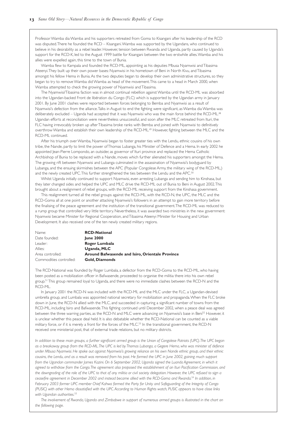be applauded and encouraged. However, it seems illogical for foreign governments to funnel vast amounts of aid into the very same war-torn country where businesses registered in their jurisdictions have been accused of being complicit in the perpetuation of the war. For foreign aid to have maximum impact, governments involved in the DRC's rehabilitation should ensure that their donations and programmes

are in-line with firm commitments to call into account companies and individuals linked with the continuation of illicit resource exploitation and the continuation of the DRC conflict. It is nonsensical to blindly focus on future investments, aid and development without first addressing the lessons of the past, and in particular the links between conflict, business and natural resource extraction in the DRC.

# *Major Armed Rebel Groups*

| Name:                   | Movement for the Liberation of the Congo (MLC)       |
|-------------------------|------------------------------------------------------|
| Date founded:           | October 1998                                         |
| Leader:                 | Jean-Pierre Bemba                                    |
| Allies:                 | Uganda, RCD-National                                 |
| Area controlled:        | <b>Equateur Province, some of Orientale Province</b> |
| Commodities controlled: | Gold, Diamonds, Timber                               |
|                         |                                                      |

The MLC first made itself known when it attacked and routed a large Chadian force near Aketi, in Equateur Province in November 1998. Led by the millionaire businessmen Jean-Pierre Bemba, a Mobutist and the son of Bemba Saolona, a prominent businessman who was close to Mobutu, the MLC was trained and funded by Uganda as an alternative to the Rwandan-dominated RCD.As it was not plagued by the same internal rivalries as the RCD, it was soon able to set itself up as the most organised and successful rebel group.The MLC signed a peace agreement at Sun City with the Kabila government in April 2002 – a deal accepted by all parties except the RCD.

| Name:                                               | <b>Congolese Rally for Democracy (RCD).</b>                          |
|-----------------------------------------------------|----------------------------------------------------------------------|
|                                                     | Later known as Congolese Rally for Democracy - Goma (RCD-G)          |
| Date founded:                                       | I August 1998                                                        |
| Leaders:                                            |                                                                      |
|                                                     | 1 Aug 1998 – 19 May 1999: Professor Ernest Wamba dia Wamba           |
| $19$ May $1999 - 29$ Oct 2000: General Emile Ilunga |                                                                      |
|                                                     | 29 Oct 2000 - 16 June 2003: General Adolphe Onusumba                 |
| $16$ June 2003 – present:                           | <b>General Azarias Ruberwa</b>                                       |
| Allies:                                             | Rwanda, Burundi, Union of Congolese Patriots (UPC)                   |
| Area controlled:                                    | Large parts of North and South Kivu, areas of Maniema, Orientale and |
|                                                     | Katanga                                                              |
| Commodities controlled:                             | Diamonds, Gold, Timber, Coltan, Cassiterite                          |

The RCD was the rebel movement that launched the initial war against the Kabila regime in August 1998, backed by Rwanda and Uganda. It was an ad-hoc coalition of anti-Kabila forces that were brought together for the sole purpose of overthrowing the regime. It was comprised of three main forces: the supporters of Professor Ernest Wamba dia Wamba, a professor of History at Dar Es Salaam University and a critic of Mobutu; former members of the AFDL, the opposition group that Kabila used to get into power in the initial war against President Mobutu; and former Mobutists under the leadership of Lunda Bululu, a prime minister under the dictator.

With strong backing from the Rwandan Patriotic Army, the initial RCD thrust succeeded in gaining control of a huge swathe of country as they advanced across the border from Rwanda and Uganda. However, after the RPA had been thwarted in its attack on Kinshasa by Angolan troops, the advance began to stall, and the RCD began to splinter.

The RCD was put together in Kigali rather than in the Congo, and did not gain the support of the local population, being a coalition of self-interested individuals rather than a popular movement. In response to this, a shortlived group called the New-RCD emerged in Nov 1998, which challenged the movement over its inability to mobilise the people of the Congo.

A coup led to Professor Wamba dia Wamba being removed as leader, and being replaced by the head of the RCD army and a former general in the Zairian army, Emile Ilunga.Wamba retreated to Kisangani to form a splinter group: the RCD – Kisangani/Liberation Movement.This led to the original RCD being referred to as the RCD (Goma).

The RCD-Goma is a significant part of the transitional government, with one vice-president a quarter of the ministries.

| Name:                    | Congolese Rally for Democracy - Kisangani / Congolese Rally for    |
|--------------------------|--------------------------------------------------------------------|
|                          | Democracy - Liberation Movement (RCD-K / RCD-K-ML)                 |
| Date founded:            | May 1999. Refounded September 1999 as RCD-ML                       |
| Leaders:                 |                                                                    |
|                          | 19 May 1999 – 19 Nov 2001: <b>Professor Ernest Wamba dia Wamba</b> |
| $19$ Nov 2001 – present: | <b>Mbusa Nyamwisi</b>                                              |
| Allies:                  | Uganda, MLC, Kinshasa                                              |
| Area controlled:         | Northern North Kivu, Ituri, parts of Orientale                     |
| Commodities controlled:  | Coltan, Gold                                                       |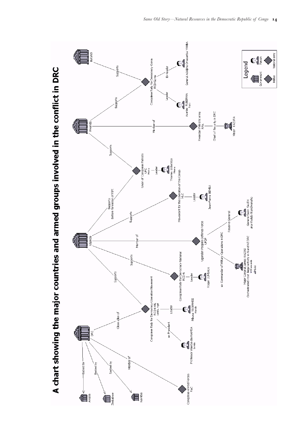Professor Wamba dia Wamba and his supporters retreated from Goma to Kisangani after his leadership of the RCD was disputed.There he founded the RCD – Kisangani.Wamba was supported by the Ugandans, who continued to believe in his desirability as a rebel leader. However, tension between Rwanda and Uganda, partly caused by Uganda's support for the RCD-K, led to the August 1999 battle for Kisangani between the two erstwhile allies.Wamba and his allies were expelled again, this time to the town of Bunia.

Wamba flew to Kampala and founded the RCD-ML, appointing as his deputies Mbusa Nyamwisi and Tibasima Ateenyi.They built up their own power bases: Nyamwisi in his hometown of Beni in North Kivu, and Tibasima amongst his fellow Hema in Bunia.As the two deputies began to develop their own administrative structures, so they began to try to remove Wamba did Wamba as head of the movement.This came to a head in March 2000, when Wamba attempted to check the growing power of Nyamwisi and Tibasima.

The Nyamwisi/Tibasima faction was in almost continual rebellion against Wamba until the RCD-ML was absorbed into the Ugandan-backed Front de libération du Congo (FLC) which is supported by the Ugandan army in January 2001. By June 2001 clashes were reported between forces belonging to Bemba and Nyamwisi as a result of Nyamwisi's defection from the alliance.Talks in August to end the fighting were significant, as Wamba dia Wamba was deliberately excluded – Uganda had accepted that it was Nyamwisi who was the main force behind the RCD-ML.<sup>48</sup> Ugandan efforts at reconciliation were nevertheless unsuccessful, and soon after the MLC retreated from Ituri, the FLC having irrevocably broken up after Tibasima broke ranks with Bemba and joined with Nyamwisi to definitively overthrow Wamba and establish their own leadership of the RCD-ML.49 However, fighting between the MLC and the RCD-ML continued.

After his triumph over Wamba, Nyamwisi began to foster greater ties with the Lendu, ethnic cousins of his own tribe, the Nande, partly to limit the power of Thomas Lubanga, his Minister of Defence and a Hema. In early 2002 he appointed Jean-Pierre Lompondo, an outsider, as governor of Ituri province and replaced the Hema Catholic Archbishop of Bunia to be replaced with a Nande, moves which further alienated his supporters amongst the Hema. The growing rift between Nyamwisi and Lubanga culminated in the assassination of Nyamwisi's bodyguard by Lubanga, and the ensuing skirmishes between the APC (Popular Congolese Army, the military wing of the RCD-ML,) and the newly created UPC. This further strengthened the ties between the Lendu and the APC.<sup>5</sup>

Whilst Uganda initially continued to support Nyamwisi, even arresting Lubanga and sending him to Kinshasa, but they later changed sides and helped the UPC and MLC drive the RCD-ML out of Bunia to Beni in August 2002.This brought about a realignment of rebel groups, with the RCD-ML receiving support from the Kinshasa government.

This realignment turned all the rebel groups against the RCD-ML, with the RCD-N, the UPC, the MLC and the RCD-Goma all at one point or another attacking Nyamwisi's followers in an attempt to gain more territory before the finalising of the peace agreement and the institution of the transitional government.The RCD-ML was reduced to a rump group that controlled very little territory. Nevertheless, it was awarded two ministries in the new government: Nyamwisi became Minister for Regional Cooperation, and Tibasima Ateenyi Minister for Housing and Urban Development. It also received one of the ten newly created military regions.

| Name:                   | <b>RCD-National</b>                             |
|-------------------------|-------------------------------------------------|
| Date founded:           | <b>June 2000</b>                                |
| Leader:                 | Roger Lumbala                                   |
| Allies:                 | Uganda, MLC                                     |
| Area controlled:        | Around Bafwasende and Isiro, Orientale Province |
| Commodities controlled: | Gold, Diamonds                                  |

The RCD-National was founded by Roger Lumbala, a defector from the RCD-Goma to the RCD-ML, who having been posted as a mobilization officer in Bafwasende, proceeded to organise the militia there into his own rebel group.<sup>51</sup> This group remained loyal to Uganda, and there were no immediate clashes between the RCD-N and the RCD-ML.

In January 2001 the RCD-N was included with the RCD-ML and the MLC under the FLC, a Ugandan-devised umbrella group, and Lumbala was appointed national secretary for mobilization and propaganda.When the FLC broke down in June, the RCD-N allied with the MLC, and succeeded in capturing a significant number of towns from the RCD-ML, including Isiro and Bafwasende.This fighting continued until December 2002, when a peace deal was agreed between the three warring parties, as the RCD-N and MLC were advancing on Nyamwisi's base in Beni<sup>52</sup> However, it is unclear whether this peace deal held. It is also debatable whether the RCD-National can be counted as a viable military force, or if it is merely a front for the forces of the MLC.<sup>53</sup> In the transitional government, the RCD-N received one ministerial post, that of external trade relations, but no military districts.

*In addition to these main groups, a further significant armed group is the Union of Congolese Patriots (UPC).The UPC began as a breakaway group from the RCD-ML.The UPC is led by Thomas Lubanga, a Gegere Hema, who was minister of defence under Mbusa Nyamwisi. He spoke out against Nyamwisi's growing reliance on his own Nande ethnic group, and their ethnic cousins, the Lendu, and as a result was removed from his post. He formed the UPC in June 2002, gaining much support from the Ugandan commander James Kazini. On 6 September 2002, Uganda signed the Luanda Agreement, in which it agreed to withdraw from the Congo.The agreement also proposed the establishment of an Ituri Pacification Commission, and the downgrading of the role of the UPC to that of any militia or civil society delegation. However, the UPC refused to sign a ceasefire agreement in December 2002 and instead became allied with the RCD-Goma and Rwanda.54 In addition, in February 2003 former UPC member Chief Kahwa formed the Party for Unity and Safeguarding of the Integrity of Congo (PUSIC) with other Hema dissatisfied with the UPC.According to Human Rights watch, PUSIC appears to have close links with Ugandan authorities.55*

*The involvement of Rwanda, Uganda and Zimbabwe in support of numerous armed groups is illustrated in the chart on the following page.*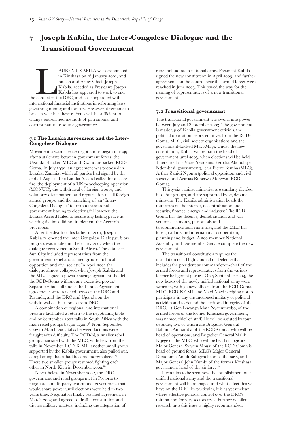

é

A chart showing the major countries and armed groups involved in the conflict in DRC

√<br>€

í

ational army

 $\mathbf{C}^{\mathbf{S}}$ 

Govern

Legend

କୁ<br>General Salim SALEH<br>aka Khaleb Akandwanaho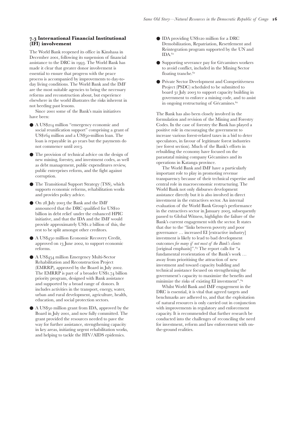# **Joseph Kabila, the Inter-Congolese Dialogue and the Transitional Government**

AURENT KABILA was assassinated<br>in Kinshasa on 16 January 2001, and<br>his son and Army Chief, Joseph<br>Kabila, acceded as President. Joseph<br>Kabila has appeared to work to end<br>conflict in the DRC, and has cooperated with in Kinshasa on 16 January 2001, and his son and Army Chief, Joseph Kabila, acceded as President. Joseph Kabila has appeared to work to end the conflict in the DRC, and has cooperated with international financial institutions in reforming laws governing mining and forestry. However, it remains to be seen whether these reforms will be sufficient to change entrenched methods of patrimonial and corrupt natural resource governance.

### **. The Lusaka Agreement and the Inter-Congolese Dialogue**

Movement towards peace negotiations began in after a stalemate between government forces, the Ugandan-backed MLC and Rwandan-backed RCD-Goma. In July 1999, an agreement was proposed in Lusaka, Zambia, which all parties had signed by the end of August. The Lusaka Accord called for a ceasefire, the deployment of a UN peacekeeping operation (MONUC), the withdrawal of foreign troops, and voluntary disarmament and repatriation of all foreign armed groups, and the launching of an "Inter-Congolese Dialogue" to form a transitional government leading to elections.<sup>56</sup> However, the Lusaka Accord failed to secure any lasting peace as warring factions did not implement the Accord's provisions.

After the death of his father in 2001, Joseph Kabila re-opened the Inter-Congolese Dialogue. Slow progress was made until February 2002 when the dialogue reconvened in South Africa. These talks in Sun City included representatives from the government, rebel and armed groups, political opposition and civil society. In April 2002 the dialogue almost collapsed when Joseph Kabila and the MLC signed a power-sharing agreement that left the RCD-Goma without any executive power. Separately, but still under the Lusaka Agreement, agreements were reached between the DRC and Rwanda, and the DRC and Uganda on the withdrawal of their forces from DRC.

A combination of regional and international pressure facilitated a return to the negotiating table and by September 2002 talks in South Africa with the main rebel groups began again.<sup>58</sup> From September 2002 to March 2003 talks between factions were fraught with difficulty. The RCD-N, a smaller rebel group associated with the MLC, withdrew from the talks in November. RCD-K-ML, another small group supported by the Kabila government, also pulled out, complaining that it had become marginalized. These two smaller groups resumed fighting each other in North Kivu in December 2002.<sup>60</sup>

Nevertheless, in November 2002, the DRC government and rebel groups met in Pretoria to negotiate a multi-party transitional government that would share power until elections were held in two years time. Negotiators finally reached agreement in March 2003 and agreed to draft a constitution and discuss military matters, including the integration of rebel militia into a national army. President Kabila signed the new constitution in April 2003, and further agreements on the control over the armed forces were reached in June 2003. This paved the way for the naming of representatives of a new transitional government.

### **. Transitional government**

The transitional government was sworn into power between July and September 2003. The government is made up of Kabila government officials, the political opposition, representatives from the RCD-Goma, MLC, civil society organisations and the government-backed Mayi-Mayi. Under the new constitution, Kabila will remain the head of government until 2005, when elections will be held. There are four Vice-Presidents: Yerodia Abdoulaye Ndombasi (government), Jean-Pierre Bemba (MLC), Arther Zahidi Ngoma (political opposition and civil society) and Azarias Ruberwa Manywa (RCD-Goma).

Thirty-six cabinet ministries are similarly divided into four groups, and are supported by 25 deputy ministers. The Kabila administration heads the ministries of the interior, decentralisation and security, finance, energy and industry. The RCD-Goma has the defence, demobilisation and war veterans, economy, parastatals and telecommunications ministries, and the MLC has foreign affairs and international cooperation, planning and budget. A 500-member National Assembly and 120-member Senate complete the new government.

The transitional constitution requires the installation of a High Council of Defence that includes the president as commander-in-chief of the armed forces and representatives from the various former belligerent parties. On 5 September 2003, the new heads of the newly unified national army were sworn in, with 30 new officers from the RCD-Goma, MLC, RCD-K/-ML and Mayi-Mayi pledging not to participate in any unsanctioned military or political activities and to defend the territorial integrity of the DRC. Lt-Gen Liwanga Mata Nyamunyobo, of the armed forces of the former Kinshasa government, was named chief of staff. He will be assisted by four deputies, two of whom are Brigadier General Bahuma Ambamba of the RCD-Goma, who will be head of operations, and Brigadier General Malik Kijege of the MLC, who will be head of logistics. Major General Sylvain Mbuki of the RCD-Goma is head of ground forces, MLC's Major General Dieudonne Amuli Bahigwa head of the navy, and Major General John Numbi of the former Kinshasa government head of the air force.

It remains to be seen how the establishment of a unified national army and the transitional government will be managed and what effect this will have on the DRC. In particular, it is as yet unclear where effective political control over the DRC's mining and forestry sectors rests. Further detailed research into this issue is highly recommended.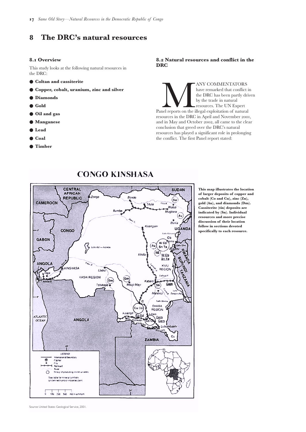### **. International Financial Institutional (IFI) involvement**

The World Bank reopened its office in Kinshasa in December 2001, following its suspension of financial assistance to the DRC in 1993. The World Bank has made it clear that greater donor involvement is essential to ensure that progress with the peace process is accompanied by improvements to day-today living conditions. The World Bank and the IMF are the most suitable agencies to bring the necessary reforms and reconstruction about, but experience elsewhere in the world illustrates the risks inherent in not heeding past lessons.

Since 2001 some of the Bank's main initiatives have been:

- A US\$214 million "emergency economic and social reunification support" comprising a grant of US\$164 million and a US\$50-million loan. The loan is repayable in 40 years but the payments do not commence until 2013.
- The provision of technical advice on the design of new mining, forestry, and investment codes, as well as debt management, public expenditures review, public enterprises reform, and the fight against corruption.
- The Transitional Support Strategy (TSS), which supports economic reforms, rehabilitation works and provides policy advice.
- On 28 July 2003 the Bank and the IMF announced that the DRC qualified for US\$ billion in debt relief under the enhanced HPIC initiative, and that the IDA and the IMF would provide approximately US\$1.2 billion of this, the rest to be split amongst other creditors.
- A US\$450 million Economic Recovery Credit, approved on 13 June 2002, to support economic reforms.
- A US\$454 million Emergency Multi-Sector Rehabilitation and Reconstruction Project (EMRRP), approved by the Board in July 2002. The EMRRP is part of a broader  $US$1.74$  billion priority program, designed with Bank assistance and supported by a broad range of donors. It includes activities in the transport, energy, water, urban and rural development, agriculture, health, education, and social protection sectors.
- A US\$50 million grant from IDA, approved by the Board in July 2001, and now fully committed. The grant provided the resources needed to pave the way for further assistance, strengthening capacity in key areas, initiating urgent rehabilitation works, and helping to tackle the HIV/AIDS epidemics.
- IDA providing US\$120 million for a DRC Demobilization, Repatriation, Resettlement and Reintegration program supported by the UN and IDA.
- Supporting severance pay for Gécamines workers to avoid conflict, included in the Mining Sector floating tranche.<sup>62</sup>
- Private Sector Development and Competitiveness Project (PSDC) scheduled to be submitted to board 31 July 2003 to support capacity building in government to enforce a mining code, and to assist in ongoing restructuring of Gécamines.<sup>62</sup>

The Bank has also been closely involved in the formulation and revision of the Mining and Forestry Codes. In the case of forestry the Bank has played a positive role in encouraging the government to increase various forest-related taxes in a bid to deter speculators, in favour of legitimate forest industries (see forest section). Much of the Bank's efforts in rebuilding the economy have focused on the parastatal mining company Gécamines and its operations in Katanga province.

The World Bank and IMF have a particularly important role to play in promoting revenue transparency because of their technical expertise and central role in macroeconomic restructuring. The World Bank not only disburses development assistance directly but it is also involved in direct investment in the extractives sector. An internal evaluation of the World Bank Group's performance in the extractives sector in January 2003, subsequently passed to Global Witness, highlights the failure of the Bank's current engagement with the sector. It states that due to the "links between poverty and poor governance … increased EI [extractive industry] investment is likely to lead to bad development outcomes *for many if not most of the Bank's clients* [original emphasis]".<sup>63</sup> The report calls for "a fundamental reorientation of the Bank's work … away from prioritising the attraction of new investment and toward capacity building and technical assistance focused on strengthening the government's capacity to maximize the benefits and minimize the risks of existing EI investment".

Whilst World Bank and IMF engagement in the DRC is essential, it is vital that agreed targets and benchmarks are adhered to, and that the exploitation of natural resources is only carried out in conjunction with improvements in regulatory and enforcement capacity. It is recommended that further research be conducted into the challenges of reconciling the need for investment, reform and law enforcement with onthe-ground realities.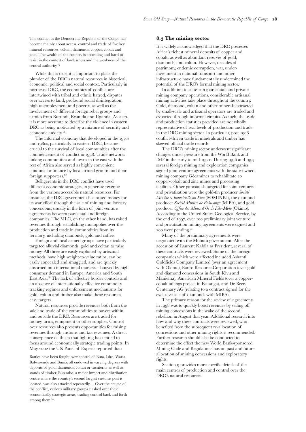# **The DRC's natural resources**

### **. Overview**

This study looks at the following natural resources in the DRC:

- **Coltan and cassiterite**
- **Copper, cobalt, uranium, zinc and silver**
- **Diamonds**
- **Gold**
- **Oil and gas**
- **Manganese**
- **Lead**
- **Coal**
- **Timber**

### **. Natural resources and conflict in the DRC**

ANY COMMENTATORS<br>
have remarked that conflict if<br>
the DRC has been partly drived by the trade in natural<br>
resources. The UN Expert<br>
Panel reports on the illegal exploitation of natural<br>
and the DRC is application of natura have remarked that conflict in the DRC has been partly driven by the trade in natural resources. The UN Expert resources in the DRC in April and November 2001, and in May and October 2002, all came to the clear conclusion that greed over the DRC's natural resources has played a significant role in prolonging the conflict. The first Panel report stated:



**CONGO KINSHASA** 

Source: United States Geological Service, 2001.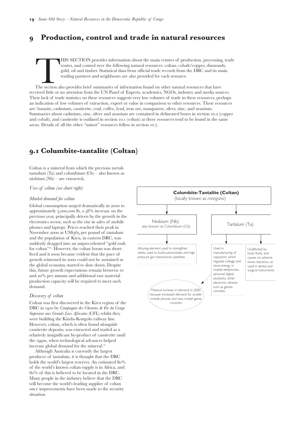The conflict in the Democratic Republic of the Congo has become mainly about access, control and trade of five key mineral resources: coltan, diamonds, copper, cobalt and gold. The wealth of the country is appealing and hard to resist in the context of lawlessness and the weakness of the central authority.

While this is true, it is important to place the plunder of the DRC's natural resources in historical, economic, political and social context. Particularly in northeast DRC, the economics of conflict are intertwined with tribal and ethnic hatred, disputes over access to land, profound social disintegration, high unemployment and poverty, as well as the involvement of different foreign rebel groups and armies from Burundi, Rwanda and Uganda. As such, it is more accurate to describe the violence in eastern DRC as being motivated by a mixture of security and economic anxiety.

The informal economy that developed in the 1970s and 1980s, particularly in eastern DRC, became crucial to the survival of local communities after the commencement of conflict in 1998. Trade networks linking communities and towns in the east with the rest of Africa also served as highly convenient conduits for finance by local armed groups and their foreign supporters.

Belligerents in the DRC conflict have used different economic strategies to generate revenue from the various accessible natural resources. For instance, the DRC government has raised money for its war effort through the sale of mining and forestry concessions, usually in the form of joint venture agreements between parastatal and foreign companies. The MLC, on the other hand, has raised revenues through establishing monopolies over the production and trade in commodities from its territory, including diamonds, gold and coffee.

Foreign and local armed groups have particularly targeted alluvial diamonds, gold and coltan to raise money. All three are easily exploited by artisanal methods, have high weight-to-value ratios, can be easily concealed and smuggled, and are quickly absorbed into international markets – buoyed by high consumer demand in Europe, America and South East Asia.<sup>68</sup> The lack of effective border controls and an absence of internationally effective commodity tracking regimes and enforcement mechanisms for gold, coltan and timber also make these resources easy targets.

Natural resources provide revenues both from the sale and trade of the commodities to buyers within and outside the DRC. Resources are traded for money, arms, equipment or other supplies. Control over resources also presents opportunities for raising revenues through customs and tax revenues. A direct consequence of this is that fighting has tended to focus around economically strategic trading points. In May 2002 the UN Panel of Experts reported that:

Battles have been fought over control of Buta, Isiro, Watsa, Bafwasende and Bunia, all endowed in varying degrees with deposits of gold, diamonds, coltan or cassiterite as well as stands of timber. Butembo, a major import and distribution centre where the country's second largest customs post is located, was also attacked repeatedly… Over the course of the conflict, various military groups clashed over these economically strategic areas, trading control back and forth among them.

### **. The mining sector**

It is widely acknowledged that the DRC possesses Africa's richest mineral deposits of copper and cobalt, as well as abundant reserves of gold, diamonds, and coltan. However, decades of patrimony, endemic corruption, war, underinvestment in national transport and other infrastructure have fundamentally undermined the potential of the DRC's formal mining sector.

In addition to state-run (parastatal) and private mining company operations, considerable artisanal mining activities take place throughout the country. Gold, diamond, coltan and other minerals extracted by small-scale and artisanal operators are traded and exported through informal circuits. As such, the trade and production statistics provided are not wholly representative of real levels of production and trade in the DRC mining sector. In particular, post conflict-driven trade in minerals and timber has skewed official trade records.

The DRC's mining sector underwent significant changes under pressure from the World Bank and IMF in the early to mid-1990s. During 1996 and 1997 several foreign mining and exploration companies signed joint venture agreements with the state-owned mining company Gécamines to rehabilitate copper-cobalt and zinc mines and processing facilities. Other parastatals targeted for joint ventures and privatisation were the gold-tin producer *Société Minière et Industrielle du Kivu* (SOMINKI), the diamond producer *Société Minière de Bakwanga* (MIBA), and gold producer *Office des Mines d'Or de Kilo-Moto* (Okimo). According to the United States Geological Service, by the end of 1997, over 100 preliminary joint venture and privatisation mining agreements were signed and 200 were pending.70

Many of the preliminary agreements were negotiated with the Mobutu government. After the accession of Laurent Kabila as President, several of these contracts were reviewed. Some of the foreign companies which were affected included Ashanti Goldfields Company Limited (over an agreement with Okimo), Banro Resource Corporation (over gold and diamond concessions in South Kivu and Maniema), American Mineral Fields (over a coppercobalt tailings project in Katanga), and De Beers Centenary AG (relating to a contract signed for the exclusive sale of diamonds with MIBA).

The primary reason for the review of agreements in 1998 was to quickly boost revenues by selling off mining concessions in the wake of the second rebellion in August that year. Additional research into how and why these contracts were reviewed, who benefited from the subsequent re-allocation of concessions and other mining rights is recommended. Further research should also be conducted to determine the effect the new World Bank-sponsored Mining Code and Regulations has on past and future allocation of mining concessions and exploratory rights.

Section 9 provides more specific details of the main centres of production and control over the DRC's natural resources.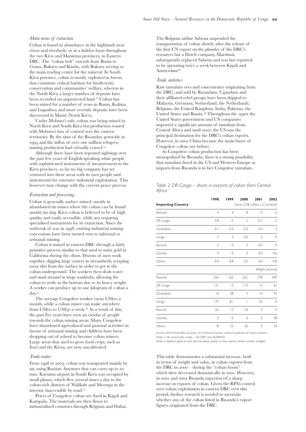# **Production, control and trade in natural resources**

THIS SECTION provides information about the main centres of production, processing, trade<br>
routes, and control over the following natural resources: coltan, cobalt/copper, diamonds,<br>
gold, oil and timber. Statistical data routes, and control over the following natural resources: coltan, cobalt/copper, diamonds, gold, oil and timber. Statistical data from official trade records from the DRC and its main trading partners and neighbours are also provided for each resource.

received little or no attention from the UN Panel of Experts, academics, NGOs, industry and media sources. Their lack of trade statistics on these resources suggests very low volumes of trade in these resources, perhaps an indication of low volumes of extraction, export or value in comparison to other resources. These resources are: bauxite, cadmium, cassiterite, coal, coffee, lead, iron ore, manganese, silver, zinc, and uranium. Summaries about cadmium, zinc, silver and uranium are contained in delineated boxes in section 10.2 (copper and cobalt), and cassiterite is outlined in section 10.1 (coltan) as these resources tend to be found in the same areas. Details of all the other "minor" resources follow in section 10.7.

# **. Columbite-tantalite (Coltan)**

Coltan is a mineral from which the precious metals tantalum (Ta) and columbium  $(Cb)$  – also known as niobium (Nb) – are extracted**.**

*Uses of coltan (see chart right)*

### *Market demand for coltan*

Global consumption surged dramatically in 2000 to approximately 5,000,000 lb, a 38% increase on the previous year, principally driven by the growth in the electronics sector, such as the rise in sales of mobile phones and laptops. Prices reached their peak in November 2000 at US\$365 per pound of tantalum and the population of Kivu, in eastern DRC, was suddenly dragged into an unprecedented "gold rush for coltan"<sup>71</sup>. However, the coltan boom was shortlived and it soon became evident that the pace of growth witnessed in 2000 could not be sustained as the global economy started to slow down. Despite this, future growth expectations remain between and  $20\%$  per annum and additional raw material production capacity will be required to meet such demand.

### *Discovery of coltan*

Coltan was first discovered in the Kivu region of the DRC in 1910 by *Compagnie des Chemins de Fer du Congo Superieur aux Grands Lacs Africains* (CFL) whilst they were building the Kindu-Kongolo railway line. However, coltan, which is often found alongside cassiterite deposits, was extracted and traded as a relatively insignificant by-product of cassiterite until the 1990s, when technological advances helped increase global demand for the mineral.

Although Australia is currently the largest producer of tantalum, it is thought that the DRC holds the world's largest reserves. An estimated 80% of the world's known coltan supply is in Africa, and % of this is believed to be located in the DRC. Many people in the industry believe that the DRC will become the world's leading supplier of coltan once improvements have been made to the security situation.

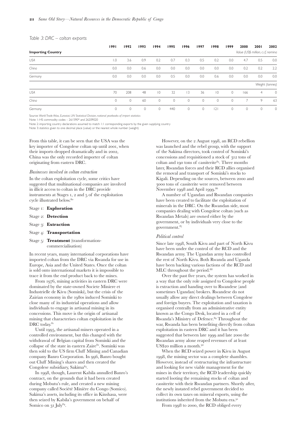### *Main areas of extraction*

Coltan is found in abundance in the highlands near rivers and riverbeds, or in a hidden form throughout the two Kivu and Maniema provinces, in Eastern DRC. The "coltan belt" extends from Bunia to Goma, Bukavu and Kindu, with Bukavu serving as the main trading centre for the mineral. In South Kivu province, coltan is mostly exploited in forests that constitute critical habitats for biodiversity conservation and communities' welfare, whereas in the North Kivu a larger number of deposits have been recorded on unprotected land.<sup>73</sup> Coltan has been mined for a number of years in Bunia, Kalima and Lugushwa and more recently deposits have been discovered in Masisi (North Kivu).

Under Mobutu's rule, coltan was being mined in North Kivu and South Kivu but production waned with Mobutu's loss of control over the eastern territories. By the time of the Rwandan genocide in and the influx of over one million refugees, mining production had virtually ceased.

Although there have been reported sightings over the past few years of English-speaking white people with sophisticated instruments of measurement in the Kivu provinces, so far no big company has yet ventured into these areas with its own people and instruments for extensive industrial exploitation. This however may change with the current peace process.

### *Extraction and processing*

Coltan is generally surface mined, mostly in abandoned tin mines where the coltan can be found amidst tin slag. Kivu coltan is believed to be of high quality and easily accessible, while not requiring specialised instruments for its extraction. Since the outbreak of war in 1998, existing industrial mining concessions have been turned over to informal or artisanal mining.

Coltan is mined in eastern DRC through a fairly primitive process similar to that used to mine gold in California during the 1800s. Dozens of men work together, digging large craters in streambeds, scraping away dirt from the surface in order to get to the coltan underground. The workers then slosh water and mud around in large washtubs, allowing the coltan to settle in the bottom due to its heavy weight. A worker can produce up to one kilogram of coltan a day.

The average Congolese worker earns US\$10 a month, while a coltan miner can make anywhere from US\$10 to US\$50 a week.<sup>76</sup> As a result of this, the past five years have seen an exodus of people towards the coltan mining areas. Many Congolese have abandoned agricultural and pastoral activities in favour of artisanal mining and children have been dropping out of school to become coltan miners. Large areas that used to grow food crops, such as Ituri and the Kivus, are now uncultivated.

### *Trade routes*

From 1998 to 2003, coltan was transported mainly by air, using Russian Antonovs that can carry up to tons. Kavumu airport in South Kivu was occupied by small planes, which flew several times a day to the coltan-rich districts of Walikale and Mwenga in the interior, inaccessible by road.

Prices of Congolese coltan are fixed in Kigali and Kampala. The materials are then flown to industrialised countries through Belgium and Dubai.

The Belgium airline Sabena suspended the transportation of coltan shortly after the release of the first UN report on the plunder of the DRC's resources but a Dutch company, Martinair, subsequently replaced Sabena and was last reported to be operating twice a week between Kigali and Amsterdam<sup>78</sup>.

### *Trade statistics*

Raw tantalum ores and concentrates originating from the DRC, and sold by Rwandans, Ugandans and their affiliated rebel groups have been shipped to Malaysia, Germany, Switzerland, the Netherlands, Belgium, the United Kingdom, India, Pakistan, the United States and Russia.<sup>79</sup> Throughout the 1990s the United States government and US companies imported a significant amount of tantalum from Central Africa and until 2002, the US was the principal destination for the DRC's coltan exports. However, in 2002 China became the main buyer of Congolese coltan (see below).

As Congolese coltan production has been monopolized by Rwanda, there is a strong possibility that tantalum listed in the US and Western Europe as imports from Rwanda is in fact Congolese tantalum.

### *Table 2: DR Congo – share in exports of coltan from Central Africa*

| <b>Importing Country</b> | 1998           | 1999           | 2000<br>Value (US\$ million, c.i.f, nominal) | 2001           | 2002            |
|--------------------------|----------------|----------------|----------------------------------------------|----------------|-----------------|
| Rwanda                   | $\overline{4}$ | $\overline{4}$ | 8                                            | 3              | 6               |
| DR Congo                 | 0.8            | $\mathbf{0}$   | 5                                            | 0.7            | $\overline{2}$  |
| Zimbabwe                 | 0.1            | 0.2            | 0.3                                          | 0.4            | 3               |
| Congo                    | 3              | 2              | 0.0                                          | $\overline{2}$ | $\mathbf{0}$    |
| Burundi                  | $\overline{2}$ | $\mathbf{0}$   | 3                                            | 0.0            | $\circ$         |
| Zambia                   | $\mathbf 0$    | $\mathbf{0}$   | $\mathbf 0$                                  | 0.0            | 0.6             |
| Others                   | 0.4            | 0.8            | 0.5                                          | 0.0            | 0.8             |
|                          |                |                |                                              |                | Weight (tonnes) |
| Rwanda                   | 256            | 162            | 261                                          | 378            | 349             |
| DR Congo                 | 3              | $\Omega$       | 173                                          | 3              | 63              |
| Zimbabwe                 | $ 0\rangle$    | 28             | 5                                            | 4              | 95              |
| Congo                    | 175            | 8 <sub>1</sub> | $\overline{1}$                               | 53             | $\circ$         |
| Burundi                  | 62             | 3              | 23                                           | 0              | $\mathbf{0}$    |
| Zambia                   | 0              | $\mathbf{0}$   | $\mathbf 0$                                  | 0              | 38              |
| Others                   | 8              | 33             | 26                                           | 0              | 34              |

Source: *World Trade Atlas, Eurostat, UN Statistical Division, national yearbooks of import statistics* Note 1: HS commodity codes – 261590\* and 26209020

Note 2: statistics given to one decimal place (value) or the nearest whole number (weight)

This table demonstrates a substantial increase, both in terms of weight and value, in coltan exports from the DRC in  $2000 - \text{during the "coltan boom" -}$ which then decreased dramatically in 2001. However, in 2001 and 2002 Rwanda experienced a sharp increase in exports of coltan. Given the RPA's control over coltan exploitation in eastern DRC over this period, further research is needed to ascertain whether any of the coltan listed in Rwanda's export figures originated from the DRC.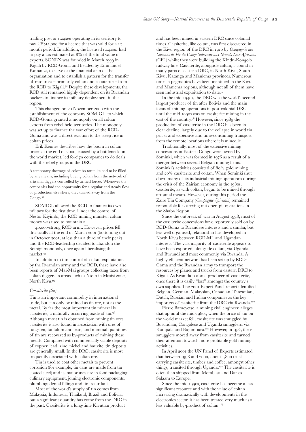### *Table 3: DRC – coltan exports*

|                          | 1991             | 1992    | 1993     | 1994           | 1995    | 1996    | 1997    | 1998            | 1999    | 2000    | 2001                               | 2002            |
|--------------------------|------------------|---------|----------|----------------|---------|---------|---------|-----------------|---------|---------|------------------------------------|-----------------|
| <b>Importing Country</b> |                  |         |          |                |         |         |         |                 |         |         | Value (US\$ million, c.i.f, nomina |                 |
| USA                      | $\overline{0}$ . | 3.6     | 0.9      | 0.2            | 0.7     | 0.3     | 0.5     | 0.2             | 0.0     | 4.7     | 0.5                                | 0.0             |
| China                    | 0.0              | 0.0     | 0.6      | 0.0            | 0.0     | 0.0     | 0.0     | 0.0             | 0.0     | 0.2     | 0.2                                | 2.2             |
| Germany                  | 0.0              | 0.0     | 0.0      | 0.0            | 0.5     | 0.0     | 0.0     | 0.6             | 0.0     | 0.0     | 0.0                                | 0.0             |
|                          |                  |         |          |                |         |         |         |                 |         |         |                                    | Weight (tonnes) |
| USA                      | 70               | 208     | 48       | $\overline{0}$ | 32      | 3       | 36      | $\overline{10}$ | $\circ$ | 166     | $\overline{4}$                     | $\circ$         |
| China                    | 0                | $\circ$ | 60       | $\circ$        | $\circ$ | $\circ$ | $\circ$ | $\circ$         | $\circ$ |         | 9                                  | 63              |
| Germany                  | 0                | $\circ$ | $\Omega$ | $\circ$        | 440     | $\circ$ | $\circ$ | 2               | $\circ$ | $\circ$ | 0                                  | $\circ$         |

Source: *World Trade Atlas, Eurostat, UN Statistical Division, national yearbooks of import statistics*

Note 1: HS commodity codes – 261590\* and 26209020

Note 2: importing country declarations assumed to match 1:1 corresponding exports by the given supplying country Note 3: statistics given to one decimal place (value) or the nearest whole number (weight)

From this table, it can be seen that the USA was the key importer of Congolese coltan up until 2001, when their imports dropped dramatically and in 2002, China was the only recorded importer of coltan originating from eastern DRC.

### *Businesses involved in coltan extraction*

In the coltan exploitation cycle, some critics have suggested that multinational companies are involved in illicit access to coltan in the DRC provide instruments at Stages 1, 2 and 5 of the exploitation cycle illustrated below.

- Stage : **Exploration**
- Stage 2: Detection
- Stage 3: Extraction
- Stage 4: Transportation
- Stage 5: Treatment (transformationcommercialisation)

In recent years, many international corporations have imported coltan from the DRC via Rwanda for use in Europe, Asia and the United States. Once the coltan is sold onto international markets it is impossible to trace it from the end product back to the mines.

From 1976, mining activities in eastern DRC were dominated by the state-owned Societe Miniere et Industrielle de Kivu (Sominki), but the crisis of the Zairian economy in the 1980s induced Sominki to close many of its industrial operations and allow individuals to engage in artisanal mining in its concessions. This move is the origin of artisanal mining that characterises coltan exploitation in the DRC today.<sup>81</sup>

Until 1995, the artisanal miners operated in a controlled environment, but this changed with the withdrawal of Belgian capital from Sominki and the collapse of the state in eastern Zaire<sup>82</sup>. Sominki was then sold to the US firm Cluff Mining and Canadian company Banro Corporation. In 996, Banro bought out Cluff Mining's shares and then created the Congolese subsidiary, Sakima<sup>83</sup>.

In 1998, though, Laurent Kabila annulled Banro's contract, on the grounds that it had been created during Mobutu's rule, and created a new mining company called Société Minière du Congo (Somico). Sakima's assets, including its office in Kinshasa, were then seized by Kabila's government on behalf of Somico on 31 July<sup>84</sup>.

However, on the 2 August 1998, an RCD rebellion was launched and the rebel group, with the support of the Sakima directors, took control of Sominki's concessions and requisitioned a stock of 312 tons of coltan and 190 tons of cassiterite $85$ . Three months later, Rwandan forces and their RCD allies organised the removal and transport of Sominki's stocks to Kigali. Depending on the sources, between 2000 and 3000 tons of cassiterite were removed between November 1998 and April 1999.<sup>86</sup>

A number of Ugandan and Rwandan companies have been created to facilitate the exploitation of minerals in the DRC. On the Rwandan side, most companies dealing with Congolese coltan (such as Rwandan Metals) are owned either by the government, or by individuals very close to the government.

### *Political control*

Since late 1998, South Kivu and part of North Kivu have been under the control of the RCD and the Rwandan army. The Ugandan army has controlled the rest of North Kivu. Both Rwanda and Uganda have been backing various factions of the RCD and MLC throughout the period.<sup>88</sup>

Over the past five years, the system has worked in a way that the only role assigned to Congolese people is extraction and handing over to Rwandese (and sometimes Ugandan) brokers. Rwandese do not usually allow any direct dealings between Congolese and foreign buyers. The exploitation and taxation is organised centrally from an administrative entity known as the Congo Desk, located in a cell of Rwanda's Ministry of Defence.<sup>89</sup> Throughout the war, Rwanda has been benefiting directly from coltan exploitation in eastern DRC and it has been suggested that between late 1999 and late 2000 the Rwandan army alone reaped revenues of at least US\$20 million a month.<sup>90</sup>

When the RCD seized power in Kivu in August 1998, the mining sector was a complete shambles. However, instead of restructuring the infrastructure and looking for new viable management for the mines in their territory, the RCD leadership quickly started looting the remaining stocks of coltan and cassiterite with their Rwandan partners. Shortly after, the newly instated rebel government decided to collect its own taxes on mineral exports, using the institutions inherited from the Mobutu era.

From 1998 to 2000, the RCD obliged every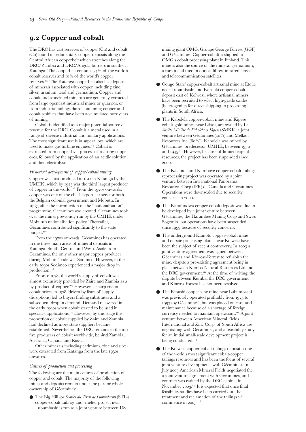trading post or *comptoir* operating in its territory to pay US\$15,000 for a license that was valid for a 12month period. In addition, the licensed *comptoirs* had to pay a tax estimated at  $8\%$  of the total value of exports. SONEX was founded in March 1999 in Kigali by RCD-Goma and headed by Emmanuel Kamanzi, to serve as the financial arm of the organisation and to establish a pattern for the transfer of resources – primarily coltan and cassiterite – from the RCD to Kigali.<sup>92</sup> Despite these developments, the RCD still remained highly dependent on its Rwandan backers to finance its military deployment in the region.

This changed on 20 November 2000 with the establishment of the company SOMIGL, to which RCD-Goma granted a monopoly on all coltan exports from rebel held territories. The monopoly was set up to finance the war effort of the RCD-Goma and was a direct reaction to the steep rise in coltan prices.

Erik Kennes describes how the boom in coltan prices at the end of 2000, caused by a bottleneck on the world market, led foreign companies to do deals with the rebel groups in the DRC:

A temporary shortage of colombo-tantalite had to be filled by any means, including buying coltan from the network of artisanal diggers controlled by armed forces. Whenever the companies had the opportunity for a regular and steady flow of production elsewhere, they turned away from the Congo.93

SOMIGL allowed the RCD to finance its own military for the first time. Under the control of Nestor Kiyimbi, the RCD mining minister, coltan money was used to maintain a

40,000-strong RCD army. However, prices fell drastically at the end of March 2001 (bottoming out in October 2001, at less than a third of their peak) and the RCD-leadership decided to abandon the Somigl monopoly, once again liberalising the market.

In addition to this control of coltan exploitation by the Rwandan army and the RCD, there have also been reports of Mai-Mai groups collecting taxes from coltan diggers in areas such as Ntoto in Masisi zone, North Kivu.

### *Cassiterite (tin)*

Tin is an important commodity in international trade, but can only be mined as tin ore, not as the metal. By far the most important tin mineral is cassiterite, a naturally occurring oxide of tin. Although most tin is obtained from mining tin ores, cassiterite is also found in association with ores of tungsten, tantalum and lead, and minimal quantities of tin are recovered as by-products of mining these metals. Compared with commercially viable deposits of copper, lead, zinc, nickel and bauxite, tin deposits are generally small. In the DRC, cassiterite is most frequently associated with coltan ore.

Tin is used to coat other metals to prevent corrosion (for example, tin cans are made from tin coated steel) and its major uses are in food packaging, culinary equipment, joining electronic components, plumbing, dental fillings and fire retardants.

Most of the world's supply of tin comes from Malaysia, Indonesia, Thailand, Brazil and Bolivia, but a significant quantity has come from the DRC in the past. Cassiterite is a long-time Kivutian product

and has been mined in eastern DRC since colonial times. Cassiterite, like coltan, was first discovered in the Kivu region of the DRC in 1910 by *Compagnie des Chemins de Fer du Congo Superieur aux Grands Lacs Africains* (CFL) whilst they were building the Kindu-Kongolo railway line. Cassiterite, alongside coltan, is found in many parts of eastern DRC, in North Kivu, South Kivu, Katanga and Maniema provinces. Numerous tin-rich pegmatites have been identified in the Kivu and Maniema regions, although not all of them have seen industrial exploitation to date.

In the mid-1940s, the DRC was the world's second largest producer of tin after Bolivia and the main focus of mining operations in post-colonial DRC until the mid-1990s was on cassiterite mining in the east of the country.<sup>98</sup> However, since 1989 the production of cassiterite in the DRC has been in clear decline, largely due to the collapse in world tin prices and expensive and time-consuming transport from the remote locations where it is mined.<sup>99</sup>

Traditionally, most of the extensive mining concessions in Eastern Congo were owned by Sominki, which was formed in 1976 as a result of a merger between several Belgian mining firms. Sominki's activities consisted of 80% gold mining and 20% cassiterite and coltan. When Sominki shut down many of its industrial mining operations during the crisis of the Zairian economy in the  $1980s$ , cassiterite, as with coltan, began to be mined through artisanal means. However, during this period the Zaire Tin Company (*Compagnie Zairetain*) remained responsible for carrying out open-pit operations in the Shaba Region.

Since the outbreak of war in August 1998, most of the cassiterite concessions have reportedly sold on by RCD-Goma to Rwandese interests and a similar, but less well organised, relationship has developed in North Kivu between RCD-ML and Ugandan interests. The vast majority of cassiterite appears to have been exported, alongside coltan, via Uganda and Burundi and most commonly, via Rwanda. A highly efficient network has been set up by RCD-Goma and the Rwandan army to transport the resources by planes and trucks from eastern DRC to Kigali. As Rwanda is also a producer of cassiterite, once there it is easily "lost" amongst the country's own supplies. The 2001 Expert Panel report identified Belgian, German, Malaysian, Canadian, Tanzanian, Dutch, Russian and Indian companies as the key importers of cassiterite from the DRC via Rwanda.

Pierre Baracyetse, a mining civil engineer, alleges that up until the mid-1980s, when the price of tin on the world market fell, cassiterite was smuggled by Burundian, Congolese and Uganda smugglers, via Kampala and Bujumbura.<sup>101</sup> However, in 1985 these smugglers moved away from cassiterite and turned their attention towards more profitable gold mining activities.

In April 2001 the UN Panel of Experts estimated that between 1998 and 2000, about 1,800 trucks carrying cassiterite, timber and coffee, amongst other things, transited through Uganda.<sup>102</sup> The cassiterite is often then shipped from Mombasa and Dar es-Salaam to Europe.

Since the mid 1990s, cassiterite has become a less significant resource and with the value of coltan increasing dramatically with developments in the electronics sector, it has been treated very much as a less valuable by-product of coltan.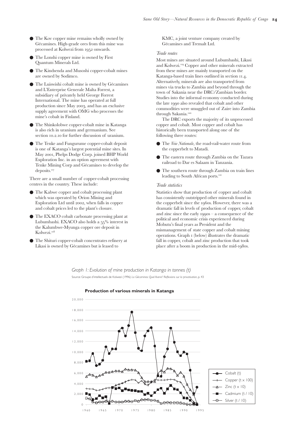# **. Copper and cobalt**

The DRC has vast reserves of copper (Cu) and cobalt (Co) found in sedimentary copper deposits along the Central African copperbelt which stretches along the DRC/Zambia and DRC/Angola borders in southern Katanga. The copperbelt contains  $34\%$  of the world's cobalt reserves and  $10\%$  of the world's copper reserves.<sup>104</sup> The Katanga copperbelt also has deposits of minerals associated with copper, including zinc, silver, uranium, lead and germanium. Copper and cobalt and associated minerals are generally extracted from large opencast industrial mines or quarries, or from industrial tailings dams containing copper and cobalt residues that have been accumulated over years of mining.

Cobalt is identified as a major potential source of revenue for the DRC. Cobalt is a metal used in a range of diverse industrial and military applications. The most significant use is in superalloys, which are used to make gas turbine engines.<sup>105</sup> Cobalt is extracted from copper by a process of roasting copper ores, followed by the application of an acidic solution and then electrolysis.

### *Historical development of copper/cobalt mining*

Copper was first produced in 1911 in Katanga by the UMHK, which by 1923 was the third largest producer of copper in the world.<sup>106</sup> From the 1920s onwards, copper was one of the chief export earners for both the Belgian colonial government and Mobutu. In 1967, after the introduction of the "nationalisation" programme, Gécamines was created. Gécamines took over the mines previously run by the UMHK under Mobutu's nationalisation policy. Thereafter, Gécamines contributed significantly to the state budget.

From the 1970s onwards, Gécamines has operated in the three main areas of mineral deposits in Katanga (South, Central and West). Aside from Gécamines, the only other major copper producer during Mobutu's rule was Sodimco. However, in the early 1990s Sodimco experienced a major drop in production.

Prior to 1978, the world's supply of cobalt was almost exclusively provided by Zaire and Zambia as a by-product of copper.<sup>109</sup> However, a sharp rise in cobalt prices in 1978 (driven by fears of supply disruptions) led to buyers finding substitutes and a subsequent drop in demand. Demand recovered in the early 1990s when cobalt started to be used in specialist applications.<sup>110</sup> However, by this stage the proportion of cobalt supplied by Zaire and Zambia had declined as more state suppliers became established. Nevertheless, the DRC remains in the top five producers of cobalt worldwide, behind Zambia, Australia, Canada and Russia.

Other minerals including cadmium, zinc and silver were extracted from Katanga from the late 1950s onwards.

### *Centres of production and processing*

The following are the main centres of production of copper and cobalt. The majority of the following mines and deposits remain under the part or whole ownership of Gécamines:

● The Big Hill (or *Scories du Terril de Lubumbashi* (STL)) copper-cobalt tailings and smelter project near Lubumbashi is run as a joint venture between US

mining giant OMG, Groupe George Forrest (GGF) and Gécamines. Copper-cobalt is shipped to OMG's cobalt processing plant in Finland. This mine is also the source of the mineral germanium, a rare metal used in optical fibres, infrared lenses and telecommunication satellites.

- Congo Stars' copper-cobalt artisanal mine at Etoile near Lubumbashi and Kansuki copper-cobalt deposit east of Kolwezi, where artisanal miners have been recruited to select high-grade oxides (heterogenite) for direct shipping to processing plants in South Africa.
- The Kabolela copper-cobalt mine and Kipese cobalt-gold mines near Likasi, are owned by La *Société Minière de Kabolela et Kipese* (SMKK, a joint venture between Gécamines (40%) and Melkior Resources Inc. (60%)). Kabolela was mined by Gécamines' predecessor, UMHK, between and 1945.<sup>111</sup> However, because of limited capital resources, the project has been suspended since 2000.
- The Kakanda and Kambove copper-cobalt tailings reprocessing project was operated by a joint venture between International Panorama Resources Corp (IPR) of Canada and Gécamines. Operations were downscaled due to security concerns in 2000.
- The Kamfundwa copper-cobalt deposit was due to be developed by a joint venture between Gécamines, the Harambee Mining Corp and Swiss Sogemin, but operations have been suspended since 1999 because of security concerns.
- The underground Kamoto copper-cobalt mine and on-site processing plants near Kolwezi have been the subject of recent controversy. In 2003 a joint venture agreement was signed between Gécamines and Kinross-Forrest to refurbish the mine, despite a pre-existing agreement being in place between Kumba Natural Resources Ltd and the DRC government.<sup>112</sup> At the time of writing, the dispute between Kumba, the DRC government and Kinross-Forrest has not been resolved.
- The Kipushi copper-zinc mine near Lubumbashi was previously operated profitably from 1925 to 1993 (by Gécamines), but was placed on care-andmaintenance because of a shortage of foreign currency needed to maintain operations.<sup>113</sup> A joint venture between American Mineral Fields International and Zinc Corp. of South Africa are negotiating with Gécamines, and a feasibility study for an initial small-scale development project is being conducted.<sup>114</sup>
- The Kolwezi copper-cobalt tailings deposit is one of the world's most significant cobalt-copper tailings resources and has been the focus of several joint venture developments with Gécamines. In July 2003 American Mineral Fields negotiated the a joint venture agreement with Gécamines, and contract was ratified by the DRC cabinet in November 2003.<sup>115</sup> It is expected that once final feasibility studies have been carried out, the treatment and reclamation of the tailings will commence in  $2005$ .<sup>116</sup>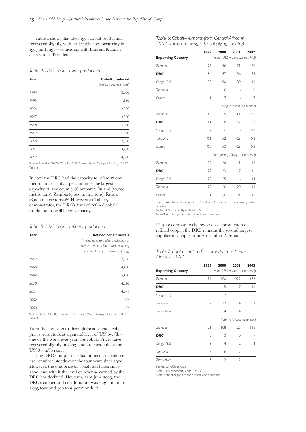- The Kov copper mine remains wholly owned by Gécamines. High-grade ores from this mine was processed at Kolwezi from 1952 onwards.
- The Lonshi copper mine is owned by First Quantum Minerals Ltd.
- The Kindsenda and Musoshi copper-cobalt mines are owned by Sodimco.
- The Luiswishi cobalt mine is owned by Gécamines and L'Enterprise Generale Malta Forrest, a subsidiary of privately held George Forrest International. The mine has operated at full production since May 2003, and has an exclusive supply agreement with OMG who processes the mine's cobalt in Finland.
- The Shinkolobwe copper-cobalt mine in Katanga is also rich in uranium and germanium. See section 10.2.10 for further discussion of uranium.
- The Tenke and Fungurume copper-cobalt deposit is one of Katanga's largest potential mine sites. In May 2001, Phelps Dodge Corp. joined BHP World Exploration Inc. in an option agreement with Tenke Mining Corp and Gécamines to develop the deposits.

There are a small number of copper-cobalt processing centres in the country. These include:

- The Kabwe copper and cobalt processing plant which was operated by Orion Mining and Exploration Ltd until 2002, when falls in copper and cobalt prices led to the plant's closure.
- The EXACO cobalt carbonate processing plant at Lubumbashi. EXACO also holds a  $55\%$  interest in the Kalumbwe-Myunga copper ore deposit in Kolwezi.
- The Shituri copper-cobalt concentrates refinery at Likasi is owned by Gécamines but is leased to

KMC, a joint venture company created by Gécamines and Tremalt Ltd.

### *Trade routes*

Most mines are situated around Lubumbashi, Likasi and Kolwezi.  $^{\rm ng}$  Copper and other minerals extracted from these mines are mainly transported on the Katanga-based train lines outlined in section 11.4. Alternatively, minerals are also transported from mines via trucks to Zambia and beyond through the town of Sakania near the DRC/Zambian border. Studies into the informal economy conducted during the late 1990 also revealed that cobalt and other commodities were smuggled out of Zaire into Zambia through Sakania.

The DRC exports the majority of its unprocessed copper and cobalt. Most copper and cobalt has historically been transported along one of the following three routes:

- The *Voie Nationale*, the road-rail-water route from the copperbelt to Matadi.
- The eastern route through Zambia on the Tazara railroad to Dar es Salaam in Tanzania.
- The southern route through Zambia on train lines leading to South African ports.

### *Trade statistics*

Statistics show that production of copper and cobalt has consistently outstripped other minerals found in the copperbelt since the 1960s. However, there was a dramatic fall in levels of production of copper, cobalt and zinc since the early  $1990s - a$  consequence of the political and economic crisis experienced during Mobutu's final years as President and the mismanagement of state copper and cobalt mining operations. Graph (below) illustrates the dramatic fall in copper, cobalt and zinc production that took place after a boom in production in the mid-1980s.

### *Graph 1: Evolution of mine production in Katanga in tonnes (t)* Source: Groupe d'intellectuels de Kolwezi (1996) *La Gécamines: Quel Avenir? Reflexions sur la privatisation*, p. 43



### **Production of various minerals in Katanga**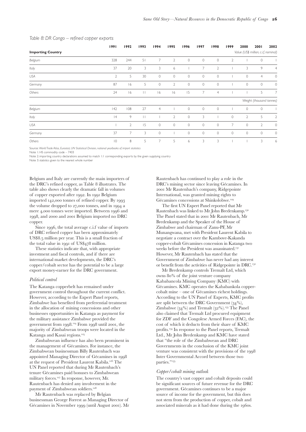Table  $4$  shows that after 1995 cobalt production recovered slightly, with noticeable rises occurring in 1997 and 1998 – coinciding with Laurent Kabila's accession as President.

*Table 4: DRC Cobalt mine production*

| Year | <b>Cobalt produced</b>  |
|------|-------------------------|
|      | (metric tons, estimate) |
| 1994 | 2,000                   |
| 1995 | 1,650                   |
| 1996 | 2,000                   |
| 1997 | 3,500                   |
| 1998 | 5,000                   |
| 1999 | 6,000                   |
| 2000 | 7,000                   |
| 2001 | 4,700                   |
| 2002 | 4,000                   |

Source: Shedd, K. (2002) "Cobalt – 2002." *United States Geological Service,* p. 20.17, Table 8.

In 2001 the DRC had the capacity to refine 17,000 metric tons of cobalt per annum – the largest capacity of any country. (Compare: Finland (10,000 metric tons), Zambia (9,000 metric tons), Russia  $(8,000$  metric tons).)<sup>122</sup> However, as Table 5 demonstrates, the DRC's level of refined cobalt production is well below capacity.

### *Table 5: DRC Cobalt refinery production*

| Year | <b>Refined cobalt metals</b>           |  |  |  |  |  |  |
|------|----------------------------------------|--|--|--|--|--|--|
|      | (metric tons; excludes production of   |  |  |  |  |  |  |
|      | cobalt in white alloy, matte, and slag |  |  |  |  |  |  |
|      | that would require further refining)   |  |  |  |  |  |  |
| 1997 | 2,808                                  |  |  |  |  |  |  |
| 1998 | 4,490                                  |  |  |  |  |  |  |
| 1999 | 5,180                                  |  |  |  |  |  |  |
| 2000 | 4,320                                  |  |  |  |  |  |  |
| 2001 | 4.071                                  |  |  |  |  |  |  |
| 2002 | n/a                                    |  |  |  |  |  |  |
| 2003 | N/a                                    |  |  |  |  |  |  |

Source: Shedd, K (2002) "Cobalt – 2001." *United States Geological Service*, p.20.18, Table 9.

From the end of 2001 through most of 2002 cobalt prices were stuck at a general level of  $\text{US}\$ 6-7/lb – one of the worst ever years for cobalt. Prices have recovered slightly in 2003, and are currently at the  $US$8 - q/lb$  range.

The DRC's output of cobalt in terms of volume has remained steady over the four years since 1999. However, the unit price of cobalt has fallen since , and with it the level of revenue earned by the DRC has declined. However, as at June 2003, the DRC's copper and cobalt output was stagnant at just 1,095 tons and 400 tons per month.<sup>123</sup>

*Table 6: Cobalt– exports from Central Africa in 2002 (value and weight, by supplying country)*

|                          | 1999           | 2000                                 | 2001                                 | 2002         |  |  |  |  |  |
|--------------------------|----------------|--------------------------------------|--------------------------------------|--------------|--|--|--|--|--|
| <b>Exporting Country</b> |                |                                      | Value (US\$ million, c.i.f, nominal) |              |  |  |  |  |  |
| Zambia                   | 125            | 96                                   | 79                                   | 70           |  |  |  |  |  |
| <b>DRC</b>               | 84             | 87                                   | 56                                   | 35           |  |  |  |  |  |
| Congo (Bz)               | 33             | 90                                   | 30                                   | $ 0\rangle$  |  |  |  |  |  |
| Tanzania                 | $\overline{4}$ | 6                                    | 6                                    | 9            |  |  |  |  |  |
| Others                   | I              | 7                                    | 6                                    | 7            |  |  |  |  |  |
|                          |                | Weight (thousand tonnes)             |                                      |              |  |  |  |  |  |
| Zambia                   | 3.9            | 3.5                                  | 4.1                                  | 4.5          |  |  |  |  |  |
| <b>DRC</b>               | 3.1            | 3.8                                  | 3.2                                  | 3.3          |  |  |  |  |  |
| Congo (Bz)               | 1.2            | 3.6                                  | 1.8                                  | 0.7          |  |  |  |  |  |
| Tanzania                 | 0.1            | 0.2                                  | 0.3                                  | 0.6          |  |  |  |  |  |
| Others                   | 0.0            | 0.3                                  | 0.3                                  | 0.5          |  |  |  |  |  |
|                          |                | Unit price (US\$/kg, c.i.f, nominal) |                                      |              |  |  |  |  |  |
| Zambia                   | 32             | 28                                   | 9                                    | 16           |  |  |  |  |  |
| <b>DRC</b>               | 27             | 23                                   | 17                                   | $\mathsf{L}$ |  |  |  |  |  |
| Congo (Bz)               | 28             | 25                                   | 16                                   | 4            |  |  |  |  |  |
| Tanzania                 | 28             | 26                                   | 20                                   | 15           |  |  |  |  |  |
| Others                   | 31             | 26                                   | 21                                   | 15           |  |  |  |  |  |

Source: *World Trade Atlas, Eurostat, UN Statistical Division, national yearbook of import statistics*

Note 1: HS commodity code – 8105

Note 2: statistics given to the nearest whole number

Despite comparatively low levels of production of refined copper, the DRC remains the second largest supplier of copper from Africa after Zambia.

### *Table 7: Copper (refined) – exports from Central Africa in 2002*

|                          | 1999           | 2000                                 | 2001                     | 2002           |
|--------------------------|----------------|--------------------------------------|--------------------------|----------------|
| <b>Exporting Country</b> |                | Value (US\$ million, c.i.f, nominal) |                          |                |
| Zambia                   | 192            | 200                                  | 222                      | 189            |
| <b>DRC</b>               | 4              | 5                                    | 17                       | 10             |
| Congo (Bz)               | 8              | 7                                    | 3                        | 5              |
| Tanzania                 | 7              | 2                                    | 4                        | $\mathfrak{D}$ |
| Zimbabwe                 | $\overline{2}$ | 4                                    | 4                        |                |
|                          |                |                                      | Weight (thousand tonnes) |                |
| Zambia                   | 2              | 108                                  | 128                      | 115            |
| <b>DRC</b>               | $\overline{0}$ | 3                                    | $ 0\rangle$              | 7              |
| Congo (Bz)               | 8              | 4                                    | $\overline{2}$           | 4              |
| Tanzania                 | 5              | 6                                    | $\mathfrak{D}$           |                |
| Zimbabwe                 | 8              | $\mathfrak{D}$                       | $\mathfrak{D}$           |                |

Source: *World Trade Atlas*

Note 1: HS commodity code – 7403

Note 2: statistics given to the nearest whole number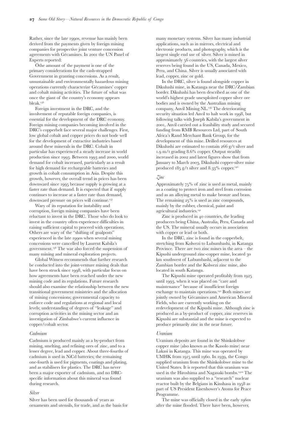|                          | 1991           | 1992           | 1993    | 1994           | 1995           | 1996                | 1997           | 1998           | 1999           | 2000           | 2001                                 | 2002           |
|--------------------------|----------------|----------------|---------|----------------|----------------|---------------------|----------------|----------------|----------------|----------------|--------------------------------------|----------------|
| <b>Importing Country</b> |                |                |         |                |                |                     |                |                |                |                | Value (US\$ million, c.i.f, nominal) |                |
| Belgium                  | 328            | 244            | 51      | 7              | $\overline{2}$ | 0                   | $\circ$        | $\circ$        | $\overline{2}$ |                | 0                                    |                |
| Italy                    | 37             | 20             | 3       | 3              | 6              |                     | $\overline{7}$ | $\overline{2}$ |                | 3              | 9                                    | $\overline{4}$ |
| USA                      | $\overline{2}$ | 5              | 30      | $\circ$        | $\circ$        | $\mathsf{O}\xspace$ | $\circ$        | $\circ$        |                | $\circ$        | $\overline{4}$                       | $\circ$        |
| Germany                  | 87             | 6              | 5       | $\circ$        | $\mathbf{2}$   | $\circ$             | $\circ$        | $\circ$        |                | $\mathbf 0$    | $\circ$                              | $\circ$        |
| Others                   | 24             | 6              | $\perp$ | 16             | 16             | 15                  | $\overline{7}$ | $\overline{4}$ |                |                | 5                                    | $\overline{7}$ |
|                          |                |                |         |                |                |                     |                |                |                |                | Weight (thousand tonnes)             |                |
| Belgium                  | 42             | 108            | 27      | $\overline{4}$ |                | $\circ$             | $\circ$        | $\circ$        |                | $\circ$        | $\circ$                              |                |
| Italy                    | 4              | 9              | $\perp$ |                | $\overline{2}$ | $\circ$             | 3              |                | $\circ$        | $\overline{2}$ | 5                                    | $\overline{2}$ |
| USA                      |                | $\overline{2}$ | 15      | $\circ$        | $\circ$        | $\circ$             | $\circ$        | $\circ$        | $\overline{7}$ | $\circ$        | $\overline{2}$                       | $\circ$        |
| Germany                  | 37             | $\overline{7}$ | 3       | $\circ$        |                | $\circ$             | $\circ$        | $\circ$        | $\circ$        | $\circ$        | $\circ$                              | $\circ$        |
| Others                   | $\overline{0}$ | 8              | 5       | $\overline{7}$ | 5              | 6                   | 3              | 3              |                |                | 3                                    | 6              |

### *Table 8: DR Congo – refined copper exports*

Source: *World Trade Atlas, Eurostat, UN Statistical Division, national yearbooks of import statistics*

Note 1: HS commodity code – 7403

Note 2: importing country declarations assumed to match 1:1 corresponding exports by the given supplying country

Note 3: statistics given to the nearest whole number

Belgium and Italy are currently the main importers of the DRC's refined copper, as Table 8 illustrates. The table also shows clearly the dramatic fall in volumes of copper exported after 1992. In 1991 Belgium imported 142,000 tonnes of refined copper. By 1993 the volume dropped to  $27,000$  tonnes, and in  $1994$  a mere 4,000 tonnes were imported. Between 1996 and 1998, and 2000 and 2001 Belgium imported no DRC copper.

Since 1996, the total average c.i.f value of imports of DRC refined copper has been approximately US\$8.5 million per year. This is a small fraction of the total value in  $1991$  of US\$478 million.

These statistics indicate that, with appropriate investment and fiscal controls, and if there are international market developments, the DRC's copper/cobalt sector has the potential to be a large export money-earner for the DRC government.

### *Political control*

The Katanga copperbelt has remained under government control throughout the current conflict. However, according to the Expert Panel reports, Zimbabwe has benefited from preferential treatment in the allocation of mining concessions and other businesses opportunities in Katanga as payment for the military assistance Zimbabwe provided the government from 1998.<sup>124</sup> From 1998 until 2001, the majority of Zimbabwean troops were located in the Katanga and Kasai regions.

Zimbabwean influence has also been prominent in the management of Gécamines. For instance, the Zimbabwean businessman Billy Rautenbach was appointed Managing Director of Gécamines in at the request of President Laurent Kabila.<sup>126</sup> The UN Panel reported that during Mr Rautenbach's tenure Gécamines paid bonuses to Zimbabwean military forces.<sup>127</sup> In response, however, Mr. Rautenbach has denied any involvement in the payment of Zimbabwean soldiers.

Mr Rautenbach was replaced by Belgian businessman George Forrest as Managing Director of Gécamines in November 1999 (until August 2001). Mr Rautenbach has continued to play a role in the DRC's mining sector since leaving Gécamines. In Mr Rautenbach's company, Ridgepointe International, was granted mining rights to Gécamines concessions at Shinkolobwe.

The first UN Expert Panel reported that Mr Rautenbach was linked to Mr John Bredenkamp. The Panel stated that in 2001 Mr Rautenbach, Mr Bredenkamp and the Speaker of the House of Zimbabwe and chairman of Zanu-PF, Mr Munangwana, met with President Laurent Kabila to negotiate a contract over the Kambove-Kakanda copper-cobalt Gécamines concession in Katanga two weeks before the President was assassinated. However, Mr Rautenbach has stated that the Government of Zimbabwe has never had any interest or benefit from the activities of Ridgepointe in DRC.

Mr Bredenkamp controls Tremalt Ltd, which owns 80% of the joint venture company Kababancola Mining Company (KMC) with Gécamines. KMC operates the Kababankola coppercobalt mine – one of Gécamines richest holdings. According to the UN Panel of Experts, KMC profits are split between the DRC Government  $(34\%)$ , Zimbabwe  $(34\%)$  and Tremalt  $(32\%)$ .<sup>133</sup> The Panel also claimed that Tremalt Ltd procured equipment for ZDF and the Congolese Armed Forces (FAC), the cost of which it deducts from their share of KMC profits. In response to the Panel reports, Tremalt Ltd., Mr John Bredenkamp and KMC have stated that "the role of the Zimbabwean and DRC Governments in the conclusion of the KMC joint venture was consistent with the provisions of the 1998 Inter Governmental Accord between those two parties."<sup>135</sup>

### *Copper/cobalt mining outlook*

The country's vast copper and cobalt deposits could be significant sources of future revenue for the DRC government. Gécamines continues to be a major source of income for the government, but this does not stem from the production of copper, cobalt and associated minerals as it had done during the 1960s.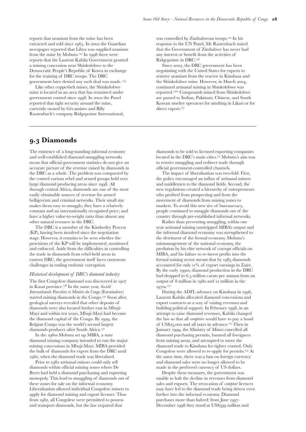Rather, since the late 1990s, revenue has mainly been derived from the payments given by foreign mining companies for prospective joint venture concession agreements with Gécamines. In 2001 the UN Panel of Experts reported:

Öthe amount of the payment is one of the primary considerations for the cash-strapped Government in granting concessions. As a result, unsustainable and environmentally hazardous mining operations currently characterize Gécamines' copper and cobalt mining activities. The future of what was once the giant of the country's economy appears bleak.

Foreign investment in the DRC, and the involvement of reputable foreign companies, is essential for the development of the DRC economy. Foreign mining companies becoming involved in the DRC's copperbelt face several major challenges. First, low global cobalt and copper prices do not bode well for the development of extractive industries based around these minerals in the DRC. Cobalt in particular has experienced a steady increase in world production since 1993. Between 1993 and 2000, world demand for cobalt increased, particularly as a result for high demand for rechargeable batteries and growth in cobalt consumption in Asia. Despite this growth, however, the overall trend in prices has been downward since 1995 because supply is growing at a faster rate than demand. It is expected that if supply continues to increase at a faster rate than demand, downward pressure on prices will continue.

Wary of its reputation for instability and corruption, foreign mining companies have been reluctant to invest in the DRC. Those who do look to invest in the country often experience difficulties in raising sufficient capital to proceed with operations. Others are wary of the "shifting of goalposts" experienced in the late 1990s when several mining concessions were cancelled by Laurent Kabila's government.<sup>138</sup> The war also forced the suspension of many mining and mineral exploration projects.

Global Witness recommends that further research be conducted into the joint-venture mining deals that have been struck since 1998, with particular focus on how agreements have been reached under the new mining code and its regulations. Future research should also examine the relationship between the new transitional government ministries and the allocation of mining concessions; governmental capacity to enforce code and regulations at regional and local levels; understanding of degrees of "leakage" and corruption activities in the mining sector and an investigation of Zimbabwe's current influence in copper/cobalt sector.

### *Cadmium*

Cadmium is produced mainly as a by-product from mining, smelting, and refining ores of zinc, and to a lesser degree, lead and copper. About three-fourths of cadmium is used in NiCd batteries; the remaining one-fourth is used for pigments, coatings and plating, and as stabilisers for plastics. The DRC has never been a major exporter of cadmium, and no DRCspecific information about this mineral was found during research.

### *Silver*

Silver has been used for thousands of years as ornaments and utensils, for trade, and as the basis for many monetary systems. Silver has many industrial applications, such as in mirrors, electrical and electronic products, and photography, which is the largest single end use of silver. Silver is mined in approximately 56 countries, with the largest silver reserves being found in the US, Canada, Mexico, Peru, and China. Silver is usually associated with lead, copper, zinc or gold.

In the DRC, silver is found alongside copper in Dikulushi mine, in Katanga near the DRC/Zambian border. Dikulushi has been described as one of the world's highest grade unexploited copper silver ore bodies and is owned by the Australian mining company, Anvil Mining NL.<sup>139</sup> The deteriorating security situation led Anvil to halt work in 1998, but following talks with Joseph Kabila's government in , Anvil carried out a feasibility study and secured funding from RMB Resources Ltd, part of South Africa's Rand Merchant Bank Group, for the development of this mine. Drilled resources at Dikulushi are estimated to contain  $266$  g/t silver and 1.9 m/t grading 8.6% copper. Output steadily increased in 2002 and latest figures show that from January to March 2003, Dikulushi copper-silver mine produced  $185$  g/t silver and  $8.33\%$  copper.<sup>140</sup>

### *Zinc*

Approximately  $75\%$  of zinc is used as metal, mainly as a coating to protect iron and steel from corrosion and as an alloying metal to make bronze and brass. The remaining  $25\%$  is used as zinc compounds, mainly by the rubber, chemical, paint and agricultural industries.

Zinc is produced in 40 countries, the leading producers being China, Australia, Peru, Canada and the US. The mineral usually occurs in association with copper or lead or both.

In the DRC, zinc is found in the copperbelt, stretching from Kolwezi to Lubumbashi, in Katanga Province. There are two zinc mines in the area – the Kipushi underground zinc-copper mine, located km southwest of Lubumbashi, adjacent to the Zambian border and the Kolwezi zinc mine, also located in south Katanga.

The Kipushi mine operated profitably from 1925 until 1993, when it was placed on "care and maintenance" because of insufficient foreign exchange to maintain operations.<sup>142</sup> Both mines are jointly owned by Gécamines and American Mineral Fields, who are currently working on the redevelopment of the Kipushi mine. Although zinc is produced as a by-product of copper, zinc reserves in Kipushi are substantial and the mine is expected to produce primarily zinc in the near future.

### *Uranium*

Uranium deposits are found in the Shinkolobwe copper mine (also known as the Kasolo mine) near Lakasi in Katanga. This mine was operated by UMHK from 1915 until 1960. In 1939, the Congo supplied uranium from the Shinkolobwe mine to the United States. It is reported that this uranium was used in the Hiroshima and Nagasaki bombs.<sup>142a</sup> The uranium was also supplied to a "research" nuclear reactor built by the Belgians in Kinshasa in 1958 as part of US President Eisenhower's Atoms for Peace Programme.

The mine was officially closed in the early 1960s after the mine flooded. There have been, however,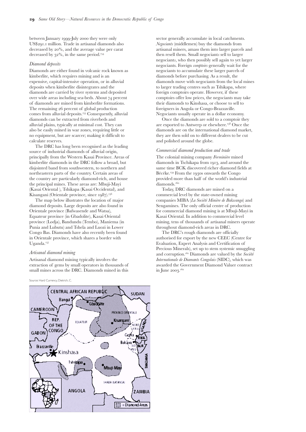reports that uranium from the mine has been extracted and sold since 1965. In 2002 the Guardian newspaper reported that Libya was supplied uranium from the mine by Mobutu.<sup>143</sup> In  $1998$  there were reports that the Laurent Kabila Government granted a mining concession near Shinkolobwe to the Democratic People's Republic of Korea in exchange for the training of DRC troops. The DRC government later denied any such deal was made.

Like other copperbelt mines, the Shinkolobwe mine is located in an area that has remained under government control since 1998. In 2002 the Panel reported that tight security around the mine, currently owned by Gécamines and Billy Rautenbach's company Ridgepointe International,

# **. Diamonds**

The existence of a long-standing informal economy and well-established diamond smuggling networks mean that official government statistics do not give an accurate picture of the revenue raised by diamonds in the DRC as a whole. The problem was compacted by the control various rebel and armed groups held over large diamond producing areas since 1998. All through central Africa, diamonds are one of the most easily obtainable sources of revenue for armed belligerents and criminal networks. Their small size makes them easy to smuggle; they have a relatively constant and an internationally recognised price; and have a higher value-to-weight ratio than almost any other natural resource in the DRC.

The DRC is a member of the Kimberley Process (KP), having been involved since the negotiation stage. However, it remains to be seen whether the provisions of the KP will be implemented, monitored and enforced. Aside from the difficulties in controlling the trade in diamonds from rebel-held areas in eastern DRC, the government itself faces enormous challenges in ending endemic corruption.

### *Historical development of DRC's diamond industry*

The first Congolese diamond was discovered in in Kasai province. In the same year, *Société Internationale Forestière et Minière du Congo* (Forminière) started mining diamonds in the Congo.<sup>149</sup> Soon after, geological surveys revealed that other deposits of diamonds were also located further east in Mbuji-Mayi and within ten years, Mbuji-Mayi had become the diamond capital of the Congo. By 1929, the Belgian Congo was the world's second largest diamonds producer after South Africa.

In the 1960s Mobutu set up MIBA, a state diamond mining company intended to run the major mining concessions in Mbuji-Mayi. MIBA provided the bulk of diamonds for export from the DRC until 1982, when the diamond trade was liberalised.

Prior to 1982 artisanal minors could only sell diamonds within official mining zones where De Beers had held a diamond purchasing and exporting monopoly. This lead to smuggling of diamonds out of these zones for sale on the informal economy. Liberalisation allowed individual Congolese miners to apply for diamond mining and export licenses. Thus from 1982, all Congolese were permitted to possess and transport diamonds, but the law required that

was controlled by Zimbabwean troops.<sup>145</sup> In his response to the UN Panel, Mr Rautenbach stated that the Government of Zimbabwe has never had any interest or benefit from the activities of Ridgepointe in DRC.

Since 2002, the DRC government has been negotiating with the United States for experts to remove uranium from the reactor in Kinshasa and the Shinkolobwe mine. However, in March 2004, continued artisanal mining in Shinkolobwe was reported.<sup>146a</sup> Compounds mined from Shinkolobwe are passed to Indian, Pakistani, Chinese, and South Korean smelter operators for smelting in Likasi or for direct export.<sup>147</sup>

diamonds to be sold to licensed exporting companies located in the DRC's main cities.<sup>151</sup> Mobutu's aim was to restrict smuggling and redirect trade through official government-controlled channels.

The impact of liberalisation was two-fold. First, the policy encouraged an influx of artisanal miners and middlemen to the diamond fields. Second, the new regulations created a hierarchy of entrepreneurs who profited from prospecting and from the movement of diamonds from mining zones to markets. To avoid this new tier of bureaucracy, people continued to smuggle diamonds out of the country through pre-established informal networks.

Rather than preventing smuggling, within one year artisanal mining outstripped MIBA's output and the informal diamond economy was strengthened to the detriment of the formal economy. Mobutu's mismanagement of the national economy, the predation by his elite network of corrupt officials on MIBA, and his failure to re-invest profits into the formal mining sector meant that by  $1985$  diamonds accounted for only  $11\%$  of export earnings in Zaire. By the early 1990s, diamond production in the DRC had dropped to 6.5 million carats per annum from an output of 8 million in 1980 and 12 million in the 1970s.<sup>152</sup>

During the ADFL advance on Kinshasa in 1996, Laurent Kabila allocated diamond concessions and export contracts as a way of raising revenues and building political support. In February 1998, in an attempt to raise diamond revenues, Kabila changed the law so that all *comptoirs* would have to pay a bond of US\$25,000 and all taxes in advance.<sup>153</sup> Then in January 1999, the Ministry of Mines cancelled all diamond purchasing permits, banned all foreigners from mining areas, and attempted to move the diamond trade to Kinshasa for tighter control. Only Congolese were allowed to re-apply for permits.<sup>153</sup> At the same time, there was a ban on foreign currency and diamond sales were no longer allowed to be made in the preferred currency of US dollars.

Despite these measures, the government was unable to halt the decline in revenues from diamond sales and exports. The revocation of *comptoir* licences may have led to the diamond trade being driven even further into the informal economy. Diamond purchases more than halved: from June 1997-December 1998 they stood at US\$599 million and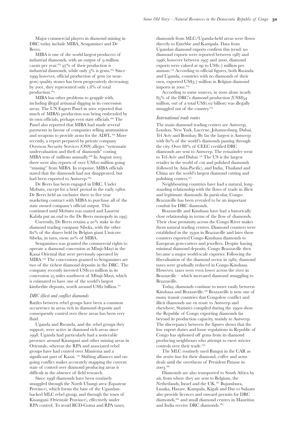between January 1999-July 2000 they were only US\$291.1 million. Trade in artisanal diamonds also decreased by 20%, and the average value per carat decreased by  $32\%$ , in the same period.<sup>154</sup>

### *Diamond deposits*

Diamonds are either found in volcanic rock known as kimberlite, which requires mining and is an expensive, capital-intensive operation, or in alluvial deposits when kimberlite disintegrates and the diamonds are carried by river systems and deposited over wide areas including sea-beds. About 74 percent of diamonds are mined from kimberlite formations. The remaining 26 percent of global production comes from alluvial deposits.<sup>155</sup> Consequently, alluvial diamonds can be extracted from riverbeds and alluvial plains, typically at minimal cost. They can also be easily mined in war zones, requiring little or no equipment, but are scarcer; making it difficult to calculate reserves.

The DRC has long been recognised as the leading source of industrial diamonds of alluvial origin, principally from the Western Kasai Province. Areas of kimberlite diamonds in the DRC follow a broad, but disjointed band from southwestern, to northern and northeastern parts of the country. Certain areas of the country are particularly diamond-rich, and house the principal mines. These areas are: Mbuji-Mayi (Kasai Oriental ), Tshikapa (Kasai Occidental), and Kisangani (Orientale province, since 1987).<sup>156</sup>

The map below illustrates the location of major diamond deposits. Large deposits are also found in Orientale province (Bafwasende and Watsa), Equateur province (in Gbadolite), Kasai Oriental province (Lodja), Bandundu (Tembo), Maniema (in Punia and Lubutu) and Tshela and Luozi in Lower Congo Bas. Diamonds have also recently been found in Orientale province, which shares a border with Uganda.

### *Artisanal diamond mining*

Artisanal diamond mining typically involves the extraction of gems by small operators in thousands of small mines across the DRC. Diamonds mined in this

Source: Hard Currency, Dietrich, C.



sector generally accumulate in local catchments. *Negociants* (middlemen) buy the diamonds from artisanal miners, amass them into larger parcels and then resell them. Small negociant*s* sell to larger negociant*s*, who then possibly sell again to yet larger negociants. Foreign *comptoirs* generally wait for the negociants to accumulate these larger parcels of diamonds before purchasing. As a result, the diamonds move with negociants from the local mines to larger trading centres such as Tshikapa, where foreign comptoirs operate. However, if these comptoirs offer low prices, the negociants may take their diamonds to Kinshasa, or choose to sell to foreigners in Angola or Congo-Brazzaville. Negociants usually operate in a dollar economy.

Once the diamonds are sold to a comptoir they are exported to Antwerp or elsewhere.<sup>158</sup> Once the diamonds are on the international diamond market, they are then sold on to different dealers to be cut and polished around the globe.

### *Commercial diamond production and trade*

The colonial mining company *Forminière* mined diamonds in Tschikapa from 1913, and around the same time BCK discovered richer diamond fields at Bécéke.<sup>159</sup> From the 1930s onwards the Congo provided more than half of the world's industrial diamonds.

Today, DRC diamonds are mined on a commercial level by the state-owned mining companies MIBA (*La Société Minière de Bakwanga*) and Sengamines. The only official centre of production for commercial diamond mining is at Mbuji-Mayi in Kasai Oriental. In addition to commercial level mining, tens of thousands of artisanal miners operate throughout diamond-rich areas in DRC.

The DRC's rough diamonds are officially authorised for export by the new CEEC (Centre for Evaluation, Expert Analysis and Certification of Precious Minerals), set up to stem systemic smuggling and corruption.<sup>161</sup> Diamonds are valued by the *Société Internationale de Diamants Congolais* (SIDC), which was awarded the Government Diamond Valuer contract in June 2003.162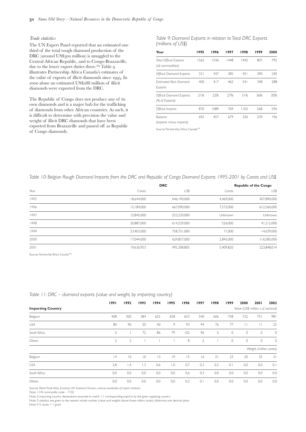Major commercial players in diamond mining in DRC today include MIBA, Sengamines and De Beers.

MIBA is one of the world largest producers of industrial diamonds, with an output of 9 million carats per year.<sup> $163$ </sup> 97% of their production is industrial diamonds, while only  $3\%$  is gems.<sup> $164$ </sup> Since 1999 however, official production of gem (or neargem) quality stones has been progressively decreasing; by 2001, they represented only 1.8% of total production.

MIBA has other problems to grapple with, including illegal artisanal digging in its concession areas. The UN Expert Panel in 2001 reported that much of MIBA's production was being embezzled by its own officials, perhaps even state officials.<sup>166</sup> The Panel also reported that MIBA had made several payments in favour of companies selling ammunition and weapons to provide arms for the ADFL.<sup>167</sup> More recently, a report prepared by private company Overseas Security Services (OSS) alleges "systematic undervaluation and theft of diamonds" costing MIBA tens of millions annually.<sup> $168$ </sup> In August 2003 there were also reports of over US\$10 million going "missing" from MIBA. In response, MIBA officials stated that the diamonds had not disappeared, but had been exported to Antwerp.

De Beers has been engaged in DRC. Under Mobutu, except for a brief period in the early 1980s De Beers held an exclusive three to five year marketing contract with MIBA to purchase all of the state owned company's official output. This continued until Mobutu was ousted and Laurent Kabila put an end to the De Beers monopoly in 1997.

Currently, De Beers retains a  $20\%$  stake in the diamond trading company Sibeka, with the other % of the shares held by Belgian giant Umicore. Sibeka, in turn, owns  $20\%$  of MIBA.

Sengamines was granted the commercial rights to operate a diamond concession at Mbuji-Mayi in the Kasai Oriental that were previously operated by MIBA.<sup>170</sup> The concessions granted to Sengamines are two of the richest diamond deposits in the DRC. The company recently invested US\$110 million in its concession 25 miles southwest of Mbuji-Mayi, which is estimated to have one of the world's largest kimberlite deposits, worth around US\$2 billion.<sup>171</sup>

### *DRC illicit and conflict diamonds*

Battles between rebel groups have been a common occurrence in areas rich in diamond deposits and consequently control over these areas has been very fluid.

Uganda and Rwanda, and the rebel groups they support, were active in diamond rich areas since . Uganda had particularly had a noticeable presence around Kisangani and other mining areas in Orientale, whereas the RPA and associated rebel groups have had control over Maniema and a significant part of Kasai. <sup>172</sup> Shifting alliances and ongoing conflict makes accurately mapping the current state of control over diamond producing areas is difficult in the absence of field research.

Since 1998 diamonds have been routinely smuggled through the North Ubangi area (Equateur Province), which forms the base of the Ugandanbacked MLC rebel group, and through the town of Kisangani (Orientale Province), effectively under RPA control. To avoid RCD-Goma and RPA taxes,

diamonds from MLC/Uganda-held areas were flown directly to Entebbe and Kampala. Data from Ugandan diamond exports confirm this trend: no diamond exports were reported between 1987 and 1996, however between 1997 and 2000, diamond exports were valued at up to US\$1.7 million per annum.<sup>173</sup> According to official figures, both Rwanda and Uganda, countries with no diamonds of their own, exported US\$3.7 million in Belgian diamond imports in 2001.<sup>174</sup>

According to some sources, in 2000 alone nearly % of the DRC's diamond production (US\$ million, out of a total  $\text{USS1.02}$  billion) was illegally smuggled out of the country.<sup>175</sup>

### *International trade routes*

The main diamond trading centres are Antwerp, London, New York, Lucerne, Johannesburg, Dubai, Tel Aviv and Bombay. By far the largest is Antwerp with 80% of the world's diamonds passing through the city. Over 88% of CEEC certified DRC diamonds are sent to Antwerp. The remainder went to Tel-Aviv and Dubai.<sup>176</sup> The US is the largest retailer in the world of cut and polished diamonds (followed by Asia-Pacific), and India, Thailand and China are the world's largest diamond cutting and polishing centres.

Neighbouring countries have had a natural, longstanding relationship with the flows of trade in illicit and legitimate diamonds. In particular, Congo-Brazzaville has been revealed to be an important conduit for DRC diamonds.

Brazzaville and Kinshasa have had a historically close relationship in terms of the flow of diamonds. Their close proximity across the Congo River makes them natural trading centres. Diamond counters were established in the 1930s in Brazzaville and later these counters exported Congo-Kinshasa diamonds to European gem-cutters and jewellers. Despite having minimal diamond deposits, Congo Brazzaville then became a major world-scale exporter. Following the liberalisation of the diamond sector in  $1982$ , diamond taxes were gradually reduced in Congo-Kinshasa. However, taxes were even lower across the river in Brazzaville – which increased diamond smuggling to Brazzaville.

Today, diamonds continue to move easily between Kinshasa and Brazzaville.<sup>178</sup> Brazzaville is now one of many transit countries that Congolese conflict and illicit diamonds use en route to Antwerp and elsewhere; Statistics compiled during the 1990s show the Republic of Congo exporting diamonds far beyond its production capacity, mainly to Antwerp. The discrepancy between the figures shows that the low export duties and loose regulations in Republic of Congo has siphoned off gems from its diamond producing neighbours who attempt to exert stricter controls over their trade.

The MLC routinely used Bangui in the CAR as the *arrière-base* for their diamond, coffee and arms deals until the overthrow of President Patasse in  $2003.^{180}$ 

Diamonds are also transported to South Africa by air, from where they are sent to Belgium, the Netherlands, Israel and the UK.<sup>181</sup> Bujumbura, Lusaka, Harare, Kampala, Kigali and Dar es Salaam also provide licences and onward permits for DRC diamonds, $182$  and small diamond centres in Mauritius and India receive DRC diamonds.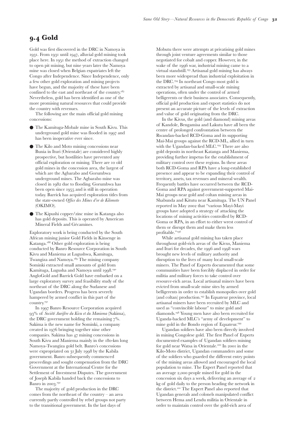### *Trade statistics*

The UN Expert Panel reported that an estimated one third of the total rough diamond production of the DRC (around US\$300 million) is smuggled to the Central African Republic, and to Congo-Brazzaville, due to the lower export duties there.  $^{184}$  Table  $\rm{g}$ illustrates Partnership Africa Canada's estimates of the value of exports of illicit diamonds since 1995. In 2000 alone an estimated US\$288 million of illicit diamonds were exported from the DRC.

The Republic of Congo does not produce any of its own diamonds and is a major hub for the trafficking of diamonds from other African countries. As such, it is difficult to determine with precision the value and weight of illicit DRC diamonds that have been exported from Brazzaville and passed off as Republic of Congo diamonds.

*Table 9: Diamond Exports in relation to Total DRC Exports (millions of US\$)*

| Year                                               | 1995 | 1996 | 1997 | 1998 | 1999 | 2000 |
|----------------------------------------------------|------|------|------|------|------|------|
| <b>Total Official Exports</b><br>(all commodities) | 1562 | 1546 | 1448 | 1442 | 807  | 792  |
| <b>Official Diamond Exports</b>                    | 331  | 347  | 385  | 451  | 290  | 240  |
| <b>Fstimated Illicit Diamond</b><br>Exports        | 400  | 417  | 462  | 541  | 348  | 288  |
| <b>Official Diamond Exports</b><br>(% of Exports)  | 21%  | 22%  | 27%  | 31%  | 36%  | 30%  |
| Official Imports                                   | 870  | 1089 | 769  | 1102 | 568  | 596  |
| Balance                                            | 692  | 457  | 679  | 320  | 239  | 196  |

*(exports minus imports)*

Source: Partnership Africa Canada<sup>185</sup>

*Table 10: Belgian Rough Diamond Imports from the DRC and Republic of Congo Diamond Exports 1995-2001 by Carats and US\$*

|      |            | <b>DRC</b>   |                | <b>Republic of the Congo</b> |  |  |  |  |
|------|------------|--------------|----------------|------------------------------|--|--|--|--|
| Year | Carats     | US\$         | Carats         | US\$                         |  |  |  |  |
| 1995 | 18.644.000 | 646, 190,000 | 4.469.000      | 407,890,000                  |  |  |  |  |
| 1996 | 15,184,000 | 667.090.000  | 7.572.000      | 612,560,000                  |  |  |  |  |
| 1997 | 15.845.000 | 553,230,000  | <b>Unknown</b> | Unknown                      |  |  |  |  |
| 1998 | 20.887.000 | 614.529.000  | 526,000        | 41,212,000                   |  |  |  |  |
| 1999 | 23,403,000 | 758,751,000  | 71.000         | 14,639,000                   |  |  |  |  |
| 2000 | 17.044.000 | 629.857.000  | 2.845.000      | 116,585,000                  |  |  |  |  |
| 2001 | 19,636,953 | 495.308.805  | 5.409.820      | 223.848.014                  |  |  |  |  |

Source: *Partnership Africa Canada*<sup>186</sup>

|                          | 1991           | 1992            | 1993        | 1994 | 1995             | 1996 | 1997           | 1998    | 1999 | 2000                                 | 2001                    | 2002    |
|--------------------------|----------------|-----------------|-------------|------|------------------|------|----------------|---------|------|--------------------------------------|-------------------------|---------|
| <b>Importing Country</b> |                |                 |             |      |                  |      |                |         |      | Value (US\$ million, c.i.f, nominal) |                         |         |
| Belgium                  | 408            | 300             | 384         | 625  | 658              | 653  | 540            | 606     | 758  | 722                                  | 751                     | 981     |
| <b>USA</b>               | 80             | 90              | 50          | 40   | 9                | 93   | 94             | 76      | 77   | П                                    | П                       | 25      |
| South Africa             | 0              |                 | 72          | 86   | 79               | 102  | 96             | $\circ$ | 0    | $\circ$                              | $\circ$                 | $\circ$ |
| Others                   | $\overline{2}$ | $\overline{2}$  |             |      |                  | 8    | $\overline{2}$ |         | 0    | $\circ$                              | $\circ$                 | $\circ$ |
|                          |                |                 |             |      |                  |      |                |         |      |                                      | Weight (million carats) |         |
| Belgium                  | 4              | $ 0\rangle$     | $ 0\rangle$ | 3    | 9                | 15   | 6              | 21      | 23   | 20                                   | 25                      | 31      |
| <b>USA</b>               | 2.8            | $\mathsf{I}$ .4 | 1.3         | 0.6  | $\overline{1.0}$ | 0.7  | 0.3            | 0.2     | 0.1  | 0.0                                  | 0.0                     | 0.1     |
| South Africa             | 0.0            | 0.0             | 0.0         | 0.0  | 0.0              | 0.6  | 0.3            | 0.0     | 0.0  | 0.0                                  | 0.0                     | 0.0     |
| Others                   | 0.0            | 0.0             | 0.0         | 0.0  | 0.0              | 0.2  | 0.1            | 0.0     | 0.0  | 0.0                                  | 0.0                     | 0.0     |

## *Table 11: DRC – diamond exports (value and weight, by importing country)*

Source: *World Trade Atlas, Eurostat, UN Statistical Division, national yearbooks of import statistics*

Note 1: HS commodity code – 7102

Note 2: importing country declarations assumed to match 1:1 corresponding exports by the given supplying country

Note 3: statistics are given to the nearest whole number (value and weights above three million carats) otherwise one decimal place

Note 4:5 carats =  $1 \text{ gram}$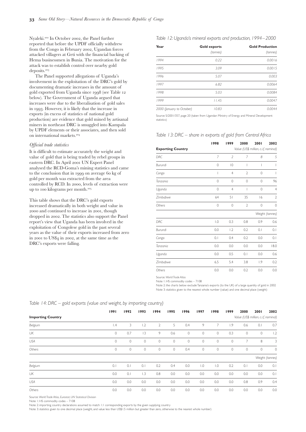# **. Gold**

Gold was first discovered in the DRC in Namoya in 1931. From 1931 until 1947, alluvial gold mining took place here. In 1951 the method of extraction changed to open pit mining, but nine years later the Namoya mine was closed when Belgian expatriates left the Congo after Independence. Since Independence, only a few other gold exploration and mining projects have begun, and the majority of these have been confined to the east and northeast of the country. Nevertheless, gold has been identified as one of the more promising natural resources that could provide the country with revenues.

The following are the main official gold mining concessions:

- The Kamituga-Mobale mine in South Kivu. This underground gold mine was flooded in 1997 and has been inoperative ever since.
- The Kilo and Moto mining concessions near Bunia in Ituri (Orientale) are considered highly prospective, but hostilities have prevented any official exploration or mining. There are to old gold mines in the concession area, the largest of which are the Agbarabo and Gorumbwa underground mines. The Agbarabo mine was closed in 1982 due to flooding. Gorumbwa has been open since 1955 and is still in operation today. Barrick has acquired exploration titles from the state-owned *Office des Mines d'or de Kilomoto* (OKIMO).
- The Kipushi copper/zinc mine in Katanga also has gold deposits. This is operated by American Mineral Fields and Gécamines.

Exploratory work is being conducted by the South African mining junior Gold Fields in Kinsenge in Katanga.<sup>188</sup> Other gold exploration is being conducted by Banro Resource Corporation in South Kivu and Maniema at Lugushwa, Kamituga, Twangiza and Namoya.<sup>189</sup> The mining company Sominki extracted small amounts of gold from Kamituga, Lugusha and Namoya until 1998.<sup>190</sup> AngloGold and Barrick Gold have embarked on a large exploratory survey and feasibility study of the northeast of the DRC along the Sudanese and Ugandan borders. Progress has been severely hampered by armed conflict in this part of the country.

In 1997 Banro Resource Corporation acquired % of *Société Aurifère du Kivu et du Maniema* (Sakima), the DRC government holding the remaining  $7\%$ . Sakima is the new name for Sominki, a company created in 1976 bringing together nine other companies. Sakima has 47 mining concessions in South Kivu and Maniema mainly in the 180-km long Namoya-Twangiza gold belt. Banro's concessions were expropriated on 31 July 1998 by the Kabila government. Banro subsequently commenced proceedings and sought compensation from the DRC Government at the International Centre for the Settlement of Investment Disputes. The government of Joseph Kabila handed back the concessions to Banro in 2003.<sup>192</sup>

The majority of gold production in the DRC comes from the northeast of the country – an area currently partly controlled by rebel groups not party to the transitional government. In the last days of

Mobutu there were attempts at privatising gold mines through joint venture agreements similar to those negotiated for cobalt and copper. However, in the wake of the 1996 war, industrial mining came to a virtual standstill.<sup>193</sup> Artisanal gold mining has always been more widespread than industrial exploitation in the DRC.<sup>194</sup> In northeast Congo most gold is extracted by artisanal and small-scale mining operations, often under the control of armed belligerents or their business associates. Consequently, official gold production and export statistics do not present an accurate picture of the levels of extraction and value of gold originating from the DRC.

In the Kivus, the gold (and diamond) mining areas of Kandole, Bengamisa and Lakutu have all been the centre of prolonged confrontation between the Rwandan-backed RCD-Goma and its supporting Mai-Mai groups against the RCD-ML, allied in turn with the Ugandan-backed MLC.<sup>195</sup> There are also gold deposits in northeast Katanga and Maniema, providing further impetus for the establishment of military control over these regions. In these areas both RCD-Goma and RPA have a long-established presence and appear to be expanding their control of territory, assets, tax revenues and mineral wealth. Frequently battles have occurred between the RCD-Goma and RPA against government-supported Mai-Mai groups near gold and coltan mining areas in Shabunda and Kitutu near Kamituga. The UN Panel reported in May 2002 that "various Mayi-Mayi groups have adopted a strategy of attacking the locations of mining activities controlled by RCD-Goma or RPA, in an effort to either wrest control of them or disrupt them and make them less profitable."<sup>196</sup>

While artisanal gold mining has taken place throughout gold-rich areas of the Kivus, Maniema and Ituri for decades, the 1996 and 1998 wars brought new levels of military authority and disruption to the lives of many local small-scale miners. The Panel of Experts documented that some communities have been forcibly displaced in order for militia and military forces to take control over resource-rich areas. Local artisanal miners have been evicted from small-scale mine sites by armed belligerents in order to establish monopolies over gold (and coltan) production.<sup>197</sup> In Equateur province, local artisanal miners have been recruited by MLC and used as "convincible labour" to mine gold and diamonds. Young men have also been recruited for Uganda-backed MLC's "army of development" to mine gold in the Bondo region of Equateur.

Ugandan soldiers have also been directly involved in mining Congolese gold. The first Panel of Experts documented examples of Ugandan soldiers mining for gold near Watsa in Orientale.<sup>200</sup> In 2001 in the Kilo-Moto district, Ugandan commanders and some of the soldiers who guarded the different entry points of the mining areas allowed and encouraged the local population to mine. The Expert Panel reported that an average 2,000 people mined for gold in the concession six days a week, delivering an average of kg of gold daily to the person heading the network in the district.<sup>201</sup> The Expert Panel also reported that Ugandan generals and colonels manipulated conflict between Hema and Lendu militia in Orientale in order to maintain control over the gold-rich area of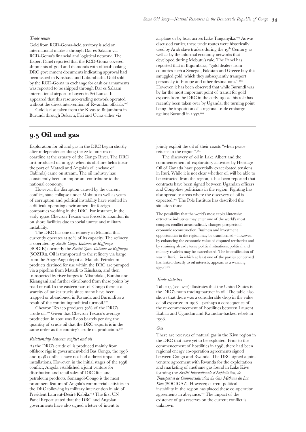Nyaleki.<sup>202</sup> In October 2002, the Panel further reported that before the UPDF officially withdrew from the Congo in February 2002, Ugandan forces attacked villagers at Geti with the financial backing of Hema businessmen in Bunia. The motivation for the attack was to establish control over nearby gold deposits.

The Panel supported allegations of Uganda's involvement in the exploitation of the DRC's gold by documenting dramatic increases in the amount of gold exported from Uganda since 1998 (see Table 12 below). The Government of Uganda argued that increases were due to the liberalisation of gold sales in 1993. However, it is likely that the increase in exports (in excess of statistics of national gold production) are evidence that gold mined by artisanal miners in northeast DRC is smuggled into Kampala by UPDF elements or their associates, and then sold on international markets.

### *Official trade statistics*

It is difficult to estimate accurately the weight and value of gold that is being traded by rebel groups in eastern DRC. In April 2001 UN Expert Panel analysed the RCD-Goma's mining statistics and came to the conclusion that in 1999 on average 60 kg of gold per month was extracted from the area controlled by RCD. In 2000, levels of extraction were up to 100 kilograms per month.<sup>205</sup>

This table shows that the DRC's gold exports increased dramatically in both weight and value in 2000 and continued to increase in 2001, though dropped in 2002. The statistics also support the Panel report's view that Uganda has been involved in the exploitation of Congolese gold in the past several years as the value of their exports increased from zero in 2001 to US\$4 in 2002, at the same time as the DRC's exports were falling.

*Table 12: Uganda's mineral exports and production, 1994–2000*

| Year                      | <b>Gold exports</b><br>(tonnes) | <b>Gold Production</b><br>(tonnes) |
|---------------------------|---------------------------------|------------------------------------|
| 1994                      | 0.22                            | 0.0016                             |
| 1995                      | 3.09                            | 0.0015                             |
| 1996                      | 5.07                            | 0.003                              |
| 1997                      | 6.82                            | 0.0064                             |
| 1998                      | 5.03                            | 0.0084                             |
| 1999                      | 11.45                           | 0.0047                             |
| 2000 (January to October) | 10.83                           | 0.0044                             |

Source: S/2001/357, page 20 (taken from Ugandan Ministry of Energy and Mineral Development statistics)

### *Table 13: DRC – share in exports of gold from Central Africa*

|                          | 1998        | 1999           | 2000                                 | 2001        | 2002            |
|--------------------------|-------------|----------------|--------------------------------------|-------------|-----------------|
| <b>Exporting Country</b> |             |                | Value (US\$ million, c.i.f, nominal) |             |                 |
| <b>DRC</b>               | 7           | $\overline{2}$ | 7                                    | 8           | 5               |
| Burundi                  | 0           | $\overline{0}$ | I                                    | 1           | ı               |
| Congo                    | I           | $\overline{4}$ | $\overline{2}$                       | $\mathbf 0$ | ı               |
| Tanzania                 | 0           | $\mathbf{0}$   | $\mathbf{0}$                         | $\mathbf 0$ | 96              |
| Uganda                   | 0           | $\overline{4}$ | I                                    | $\mathbf 0$ | $\overline{4}$  |
| Zimbabwe                 | 64          | 51             | 35                                   | 16          | $\overline{2}$  |
| Others                   | $\mathbf 0$ | 0              | $\overline{2}$                       | $\mathbf 0$ | $\mathbf{0}$    |
|                          |             |                |                                      |             | Weight (tonnes) |
| <b>DRC</b>               | 1.0         | 0.3            | 0.8                                  | 0.9         | 0.6             |
| Burundi                  | 0.0         | 1.2            | 0.2                                  | 0.1         | 0.1             |
| Congo                    | 0.1         | 0.4            | 0.2                                  | 0.0         | 0.1             |
| Tanzania                 | 0.0         | 0.0            | 0.0                                  | 0.0         | 18.0            |
| Uganda                   | 0.0         | 0.5            | 0.1                                  | 0.0         | 0.6             |
| Zimbabwe                 | 6.5         | 5.4            | 3.8                                  | 1.9         | 0.2             |
| Others                   | 0.0         | 0.0            | 0.2                                  | 0.0         | 0.0             |

Source: *World Trade Atlas*

Note 1: HS commodity codes – 7108

Note 2: the charts below exclude Tanzania's exports (to the UK) of a large quantity of gold in 2002 Note 3: statistics given to the nearest whole number (value) and one decimal place (weight)

| Table 14: DRC – gold exports (value and weight, by importing country) |  |  |  |  |  |  |
|-----------------------------------------------------------------------|--|--|--|--|--|--|
|-----------------------------------------------------------------------|--|--|--|--|--|--|

|                          | 1991            | 1992        | 1993    | 1994           | 1995        | 1996        | 1997             | 1998             | 1999    | 2000    | 2001                                 | 2002            |  |
|--------------------------|-----------------|-------------|---------|----------------|-------------|-------------|------------------|------------------|---------|---------|--------------------------------------|-----------------|--|
| <b>Importing Country</b> |                 |             |         |                |             |             |                  |                  |         |         | Value (US\$ million, c.i.f, nominal) |                 |  |
| Belgium                  | $\mathsf{I}$ .4 | 3           | 1.2     | $\overline{2}$ | 5           | 0.4         | 9                | 7                | 1.9     | 0.6     | 0.1                                  | 0.7             |  |
| UK                       | $\mathbf 0$     | 0.7         | 3       | 9              | 0.6         | $\mathbb O$ | $\circ$          | $\circ$          | 0.3     | $\circ$ | $\circ$                              | 1.2             |  |
| <b>USA</b>               | $\circ$         | $\mathbb O$ | $\circ$ | $\circ$        | $\mathbb O$ | $\mathbb O$ | $\circ$          | $\circ$          | 0       | 7       | 8                                    | 3               |  |
| Others                   | 0               | $\circ$     | $\circ$ | $\circ$        | 0           | 0.4         | $\circ$          | $\circ$          | $\circ$ | $\circ$ | $\circ$                              | $\circ$         |  |
|                          |                 |             |         |                |             |             |                  |                  |         |         |                                      | Weight (tonnes) |  |
| Belgium                  | 0.1             | 0.1         | 0.1     | 0.2            | 0.4         | 0.0         | $\overline{0}$ . | $\overline{0}$ . | 0.2     | 0.1     | 0.0                                  | 0.1             |  |
| UK                       | 0.0             | 0.1         | 1.3     | 0.8            | 0.0         | 0.0         | 0.0              | 0.0              | 0.0     | 0.0     | 0.0                                  | 0.1             |  |
| <b>USA</b>               | 0.0             | 0.0         | 0.0     | 0.0            | 0.0         | 0.0         | 0.0              | 0.0              | 0.0     | 0.8     | 0.9                                  | 0.4             |  |
| Others                   | 0.0             | 0.0         | 0.0     | 0.0            | 0.0         | 0.0         | 0.0              | 0.0              | 0.0     | 0.0     | 0.0                                  | 0.0             |  |

Source: *World Trade Atlas, Eurostat, UN Statistical Division*

Note 1: HS commodity codes – 7108

Note 2: importing country declarations assumed to match 1:1 corresponding exports by the given supplying country

Note 3: statistics given to one decimal place (weight, and value less than US\$1.5 million but greater than zero, otherwise to the nearest whole number)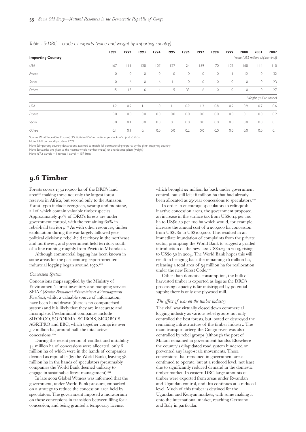### *Trade routes*

Gold from RCD-Goma-held territory is sold on international markets through Dar es Salaam via RCD-Goma's financial and logistical network. The Expert Panel reported that the RCD-Goma covered shipments of gold and diamonds with official-looking DRC government documents indicating approval had been issued in Kinshasa and Lubumbashi. Gold sold by the RCD-Goma in exchange for cash or armaments was reported to be shipped through Dar es Salaam international airport to buyers in Sri Lanka. It appeared that this resource-trading network operated without the direct intervention of Rwandan officials.<sup>206</sup>

Gold is also taken from the Kivus to Bujumbura in Burundi through Bukavu, Fizi and Uvira either via

# **. Oil and gas**

Exploration for oil and gas in the DRC began shortly after independence along the 22 kilometres of coastline at the estuary of the Congo River. The DRC first produced oil in 1976 when its offshore fields (near the port of Matadi and Angola's oil enclave of Cabinda) came on stream. The oil industry has consistently been an important contributor to the national economy.

However, the disruption caused by the current conflict, state collapse under Mobutu as well as years of corruption and political instability have resulted in a difficult operating environment for foreign companies working in the DRC. For instance, in the early 1990s Chevron Texaco was forced to abandon its on-shore facilities due to social unrest and military instability.

The DRC has one oil refinery in Muanda that currently operates at  $50\%$  of its capacity. The refinery is operated by *Société Congo-Italienne de Raffinage* (SOCIR) (formerly the *Société Zairo-Italienne de Raffinage* (SOZIR)). Oil is transported to the refinery via barge from the Ango-Ango depot at Matadi. Petroleum products destined for use within the DRC are pumped via a pipeline from Matadi to Kinshasa, and then transported by river barges to Mbandaka, Bumba and Kisangani and further distributed from these points by road or rail. In the eastern part of Congo there is a scarcity of tanker trucks since many have been trapped or abandoned in Rwanda and Burundi as a result of the continuing political turmoil.

Chevron Texaco produces  $70\%$  of the DRC's crude oil.<sup>211</sup> Given that Chevron Texaco's average production in 2001 was 8,900 barrels per day, the quantity of crude oil that the DRC exports is in the same order as the country's crude oil production.<sup>212</sup>

### *Relationship between conflict and oil*

As the DRC's crude oil is produced mainly from offshore rigs in government-held Bas Congo, the and 1998 conflicts have not had a direct impact on oil installations. However, in the initial stages of the conflict, Angola established a joint venture for distribution and retail sales of DRC fuel and petroleum products. Sonangol-Congo is the most prominent feature of Angola's commercial activities in the DRC following its military intervention in aid of President Laurent-Désiré Kabila.<sup>213</sup> The first UN Panel Report stated that the DRC and Angolan governments have also signed a letter of intent to

airplane or by boat across Lake Tanganyika.<sup>207</sup> As was discussed earlier, these trade routes were historically used by Arab slave traders during the  $Iq<sup>th</sup>$  Century, as well as by the informal economy networks that developed during Mobutu's rule. The Panel has reported that in Bujumbura, "gold dealers from countries such a Senegal, Pakistan and Greece buy this smuggled gold, which they subsequently transport personally to Europe and other destinations." However, it has been observed that while Burundi was by far the most important point of transit for gold exports from the DRC in the early 1990s, this role has recently been taken over by Uganda, the turning point being the imposition of a regional trade embargo against Burundi in 1997.<sup>209</sup>

jointly exploit the oil of their coasts "when peace returns to the region".

The discovery of oil in Lake Albert and the commencement of exploratory activities by Heritage Oil of Canada have potentially exacerbated tensions in Ituri. While it is not clear whether oil will be able to be extracted from the region, it has been reported that contracts have been signed between Ugandan officers and Congolese politicians in the region. Fighting has also spread to areas where the discovery of oil is expected.<sup>215</sup> The Pole Institute has described the situation thus:

The possibility that the world's most capital-intensive extractive industries may enter one of the world's most complex conflict areas radically changes prospects of economic reconstruction. Business and investment opportunities in the region may be transformed – however, by enhancing the economic value of disputed territories and by straining already tense political situations, political and military rivalries may be exacerbated. The intensification of war in Ituri… in which at least one of the parties concerned has linked directly to oil interests, appears as a warning signal.<sup>216</sup>

### *Trade statistics*

Table 15 (see over) illustrates that the United States is the DRC's main trading partner in oil. The table also shows that there was a considerable drop in the value of oil exported in  $1998$  – perhaps a consequence of the re-commencement of hostilities between Laurent Kabila and Ugandan and Rwandan-backed rebels in 1998.

### *Gas*

There are reserves of natural gas in the Kivu region in the DRC that have yet to be exploited. Prior to the commencement of hostilities in 1998, there had been regional energy co-operation agreements signed between Congo and Rwanda. The DRC signed a joint venture agreement with Rwanda for the exploitation and marketing of methane gas found in Lake Kivu forming the *Société Internationale d'Exploitation, de Transport et de Commercialisation du Gaz Méthane du Lac Kivu* (SOCIGAZ). However, current political instability in the region has placed these co-operation agreements in abeyance.<sup>217</sup> The impact of the existence of gas reserves on the current conflict is unknown.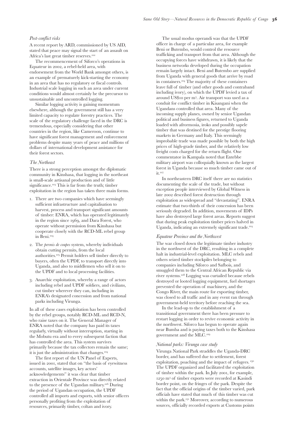### *Table 15: DRC – crude oil exports (value and weight by importing country)*

|                          | 1991    | 1992    | 1993         | 1994             | 1995         | 1996    | 1997    | 1998    | 1999    | 2000                                 | 2001                   | 2002 |
|--------------------------|---------|---------|--------------|------------------|--------------|---------|---------|---------|---------|--------------------------------------|------------------------|------|
| <b>Importing Country</b> |         |         |              |                  |              |         |         |         |         | Value (US\$ million, c.i.f, nominal) |                        |      |
| <b>USA</b>               | 167     | $\Box$  | 128          | 107              | 127          | 124     | 159     | 70      | 102     | 168                                  | $ $   4                | 10   |
| France                   | 0       | $\circ$ | $\circ$      | $\circ$          | $\circ$      | $\circ$ | $\circ$ | $\circ$ |         | 12                                   | $\circ$                | 32   |
| Spain                    | $\circ$ | 6       | $\circ$      | 6                | $\mathbf{H}$ | 0       | $\circ$ | $\circ$ | $\circ$ | 0                                    | 0                      | 23   |
| Others                   | 15      | 3       | 6            | $\overline{4}$   | 5            | 33      | 6       | $\circ$ | $\circ$ | $\circ$                              | $\circ$                | 27   |
|                          |         |         |              |                  |              |         |         |         |         |                                      | Weight (million tonne) |      |
| <b>USA</b>               | 1.2     | 0.9     | $\mathbf{L}$ | $\overline{1.0}$ | $\mathbf{L}$ | 0.9     | 1.2     | 0.8     | 0.9     | 0.9                                  | 0.7                    | 0.6  |
| France                   | 0.0     | 0.0     | 0.0          | 0.0              | 0.0          | 0.0     | 0.0     | 0.0     | 0.0     | 0.1                                  | 0.0                    | 0.2  |
| Spain                    | 0.0     | 0.1     | 0.0          | 0.0              | 0.1          | 0.0     | 0.0     | 0.0     | 0.0     | 0.0                                  | 0.0                    | 0.1  |
| Others                   | 0.1     | 0.1     | 0.1          | 0.0              | 0.0          | 0.2     | 0.0     | 0.0     | 0.0     | 0.0                                  | 0.0                    | 0.1  |

Source: *World Trade Atlas, Eurostat, UN Statistical Division, national yearbooks of import statistics* 

Note 1: HS commodity code – 2709

Note 2: importing country declarations assumed to match 1:1 corresponding exports by the given supplying country

Note 3: statistics are given to the nearest whole number (value) or one decimal place (weight)

Note 4: 7.2 barrels  $= 1$  tonne; 1 barrel  $= 157$  litres

# **. Timber**

Forests covers 135,110,000 ha of the DRC's land  $\arctan^{218}$  making these not only the largest forest reserves in Africa, but second only to the Amazon. Forest types include evergreen, swamp and montane, all of which contain valuable timber species. Approximately  $40\%$  of DRC's forests are under government control, with the remaining  $60\%$  in rebel-held territory.<sup>219</sup> As with other resources, timber exploitation during the war largely followed geopolitical divisions: rebel-held territory in the northeast and northwest, and government held territory south of a line running roughly from Pweto to Mbandaka.

Although commercial logging has been known in some areas for the past century, export-oriented industrial logging began around 1970.<sup>220</sup>

### *Concession System*

Concessions maps supplied by the Ministry of Environment's forest inventory and mapping service SPIAF (*Service Permanent d'Inventaire et d'Amenagament Forestiers*), whilst a valuable source of information, have been hand drawn (there is no computerised system) and it is likely that they are inaccurate and incomplete. Predominant companies include SIFORCO, SOFORMA, SCIBOIS, SICOBOIS, AGRIPRO and BBC, which together comprise over 5.2 million ha, around half the total active concessions.

During the recent period of conflict and instability 44 million ha of concessions were allocated, only 6 million ha of which were in the hands of companies deemed as reputable (by the World Bank), leaving million ha in the hands of speculators (presumably companies the World Bank deemed unlikely to engage in sustainable forest management).

In late 2002 Global Witness was informed that the government, under World Bank pressure, embarked on a strategy to reduce the concession area held by speculators. The government imposed a moratorium on those concessions in transition between filing for a concession, and being granted a temporary license,

which brought 22 million ha back under government control, but still left 16 million ha that had already been allocated as 25-year concessions to speculators.<sup>221</sup>

In order to encourage speculators to relinquish inactive concession areas, the government proposed an increase in the surface tax from US\$0.14 per 100 ha to US\$0.50 per 100 ha which would, for example, increase the annual cost of a 200,000 ha concession from US\$280 to US\$100,000. This resulted in an immediate inundation of complaints from the private sector, prompting the World Bank to suggest a graded introduction of the new tax:  $US$0.25$  in 2003, rising to US\$0.50 in 2004. The World Bank hopes this will result in bringing back the remaining 16 million ha, releasing a total area of  $\frac{54}{4}$  million ha for reallocation under the new Forest Code.

Other than domestic consumption, the bulk of harvested timber is exported as logs as the DRC's processing capacity is far outstripped by potential supply; there is only one plywood mill.

### *The effect of war on the timber industry*

The civil war virtually closed down commercial logging industry as various rebel groups not only controlled the best forests, but looted or destroyed the remaining infrastructure of the timber industry. The main transport artery, the Congo river, was also controlled by rebel groups (although the port of Matadi remained in government hands). Elsewhere the country's dilapidated road system hindered or prevented any large-scale movements. Those concessions that remained in government areas continued to operate, but at a reduced level, not least due to significantly reduced demand in the domestic timber market. In eastern DRC large amounts of timber were exported from areas under Rwandan and Ugandan control, and this continues at a reduced level. Much of this timber is destined for the Ugandan and Kenyan markets, with some making it onto the international market, reaching Germany and Italy in particular.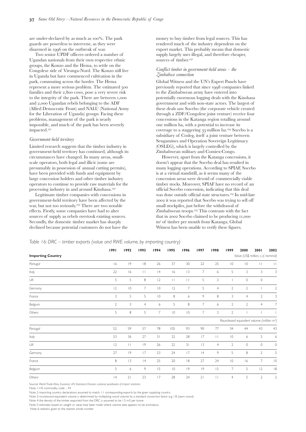### *Post-conflict risks*

A recent report by ARD, commissioned by US AID, stated that peace may signal the start of an assault on Africa's last great timber reserves.

The recommencement of Siforco's operations in Equateur in 2002, a rebel-held area, with endorsement from the World Bank amongst others, is an example of prematurely kick-starting the economy in an area that has no regulatory or fiscal controls. Industrial scale logging in such an area under current conditions would almost certainly be the precursor to unsustainable and uncontrolled logging.

Similar logging activity is gaining momentum elsewhere, although the government still has a very limited capacity to regulate forestry practices. The scale of the regulatory challenge faced in the DRC is tremendous, especially considering that other countries in the region, like Cameroon, continue to have significant forest management and enforcement problems despite many years of peace and millions of dollars of international development assistance for their forest sectors.

### *The Northeast*

There is a strong perception amongst the diplomatic community in Kinshasa, that logging in the northeast is small-scale artisanal production and of little significance. $223$  This is far from the truth; timber exploitation in the region has taken three main forms.

- . There are two companies which have seemingly sufficient infrastructure and capitalisation to harvest, process and transport significant amounts of timber: ENRA, which has operated legitimately in the region since 1969, and Dara Forest, who operate without permission from Kinshasa but cooperate closely with the RCD-ML rebel group in Beni.
- . The *permis de coupes* system, whereby individuals obtain cutting permits, from the local authorities.<sup>225</sup> Permit holders sell timber directly to buyers, often the UPDF, to transport directly into Uganda, and also to middlemen who sell it on to the UPDF and to local processing facilities.
- . Anarchic exploitation, whereby a range of actors including rebel and UPDF soldiers, and civilians, cut timber wherever they can, including in ENRA's designated concession and from national parks including Virunga.

In all of these cases exploitation has been controlled by the rebel groups, notably RCD-ML and RCD-N, who raise taxes on it. The General Manager of ENRA noted that the company has paid its taxes regularly, virtually without interruption, starting in the Mobutu era and to every subsequent faction that has controlled the area. This system survives primarily because the tax collectors remain the same; it is just the administration that changes.

The first report of the UN Panel of Experts, issued in 2001, stated that on "the basis of eyewitness accounts, satellite images, key actors' acknowledgements" it was clear that timber extraction in Orientale Province was directly related to the presence of the Ugandan military.<sup>226</sup> During the period of Ugandan occupation, the UPDF controlled all imports and exports, with senior officers personally profiting from the exploitation of resources, primarily timber, coltan and ivory.

The usual modus operandi was that the UPDF officer in charge of a particular area, for example Beni or Butembo, would control the resource trafficking and transport from that area. Although the occupying forces have withdrawn, it is likely that the business networks developed during the occupation remain largely intact. Beni and Butembo are supplied from Uganda with general goods that arrive by road in containers.<sup>224</sup> The majority of these containers leave full of timber (and other goods and contraband including ivory), on which the UPDF levied a tax of around US\$10 per m<sup>3</sup>. Air transport was used as a conduit for conflict timber in Kisangani when the Ugandans controlled that area. Many of the incoming supply planes, owned by senior Ugandan political and business figures, returned to Uganda loaded with afrormosia, iroko and possibly sapele timber that was destined for the prestige flooring markets in Germany and Italy. This seemingly improbable trade was made possible by both the high prices of high-grade timber, and the relatively low freight costs charged for the return flight. One commentator in Kampala noted that Entebbe military airport was colloquially known as the largest forest in Uganda because so much timber came out of  $it.$ <sup>227</sup>

In northeastern DRC itself there are no statistics documenting the scale of the trade, but without exception people interviewed by Global Witness in late 2002 described forest destruction through exploitation as widespread and "devastating". ENRA estimate that two-thirds of their concession has been seriously degraded. In addition, movements of IDPs have also destroyed large forest areas. Reports suggest that during peak exploitation timber prices halved in Uganda, indicating an extremely significant trade.

### *Equateur Province and the Northwest*

The war closed down the legitimate timber industry in the northwest of the DRC, resulting in a complete halt in industrial-level exploitation. MLC rebels and others seized timber stockpiles belonging to companies including Siforco and Safbois, and smuggled them to the Central African Republic via river systems.<sup>228</sup> Logging was curtailed because rebels destroyed or looted logging equipment, fuel shortages prevented the operation of machinery, and the Congo River, the main route for exporting timber, was closed to all traffic and in any event ran through government-held territory before reaching the sea.

In the lead-up to the establishment of a transitional government there has been pressure to restart logging in order to revive economic activity in the northwest. Siforco has begun to operate again near Bumba and is paying taxes both to the Kinshasa government and the MLC.

### *National parks: Virunga case study*

Virunga National Park straddles the Uganda-DRC border, and has suffered due to settlement, forest exploitation, poaching and the impact of refugees. The UPDF organized and facilitated the exploitation of timber within the park. In July 2001, for example, 1250 m<sup>3</sup> of timber exports were recorded at Kasindi border point, on the fringes of the park. Despite the fact that the official origins of the timber varied, park officials have stated that much of this timber was cut within the park.<sup>231</sup> Moreover, according to numerous sources, officially recorded exports at Customs points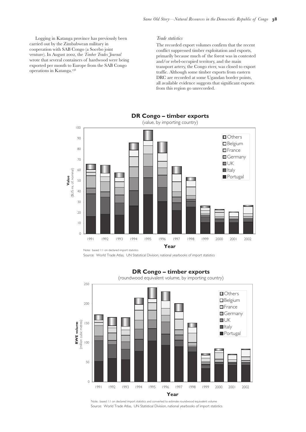are under-declared by as much as  $100\%$ . The park guards are powerless to intervene, as they were disarmed in 1996 on the outbreak of war.

Two senior UPDF officers ordered a number of Ugandan nationals from their own respective ethnic groups, the Konzo and the Hema, to settle on the Congolese side of Virunga-Nord. The Konzo still live in Uganda but have commenced cultivation in the park, commuting across the border. The Hema represent a more serious problem. The estimated families and their 2,800 cows, pose a very severe risk to the integrity of the park. There are between , and 2,000 Ugandan rebels belonging to the ADF (Allied Democratic Front) and NALU (National Army for the Liberation of Uganda) groups. Facing these problems, management of the park is nearly impossible, and much of the park has been severely impacted.

### *Government-held territory*

Limited research suggests that the timber industry in government-held territory has continued, although its circumstances have changed. In many areas, smallscale operators, both legal and illicit (some are presumably in possession of annual cutting permits), have been provided with funds and equipment by large concession holders and other timber industry operators to continue to provide raw materials for the processing industry in and around Kinshasa.

Legitimate timber companies with concessions in government-held territory have been affected by the war, but not too seriously.<sup>233</sup> There are two notable effects. Firstly, some companies have had to alter sources of supply as rebels overtook existing sources. Secondly, the domestic timber market has sharply declined because potential customers do not have the money to buy timber from legal sources. This has rendered much of the industry dependent on the export market. This probably means that domestic supply largely uses illegal, and therefore cheaper, sources of timber.<sup>232</sup>

### *Conflict timber in government-held areas – the Zimbabwe connection*

Global Witness and the UN's Expert Panels have previously reported that since 1998 companies linked to the Zimbabwean army have entered into potentially enormous logging deals with the Kinshasa government and with non-state actors. The largest of these deals saw Socebo (the corporate vehicle created through a ZDF/Congolese joint venture) receive four concessions in the Katanga region totalling around one million ha, with a potential to increase its coverage to a staggering 33 million ha.<sup>234</sup> Socebo is a subsidiary of Cosleg, itself a joint venture between Sengamines and Operation Sovereign Legitimacy (OSLEG), which is largely controlled by the Zimbabwean military and Comiex-Congo.

However, apart from the Katanga concessions, it doesn't appear that the Socebo deal has resulted in many logging operations. According to SPIAF, Socebo is at a virtual standstill, as it seems many of the concession areas were devoid of commercially viable timber stocks. Moreover, SPIAF have no record of an official Socebo concession, indicating that this deal was done outside official state structures.<sup>219</sup> In mid-late 2002 it was reported that Socebo was trying to sell off small stockpiles, just before the withdrawal of Zimbabwean troops.<sup>235</sup> This contrasts with the fact that in 2002 Socebo claimed to be producing 11,000 m<sup>3</sup> of timber per month from Katanga; Global Witness has been unable to verify these figures.

|                          | 1991           | 1992             | 1993           | 1994           | 1995                                          | 1996           | 1997 | 1998           | 1999           | 2000           | 2001                                                  | 2002           |
|--------------------------|----------------|------------------|----------------|----------------|-----------------------------------------------|----------------|------|----------------|----------------|----------------|-------------------------------------------------------|----------------|
| <b>Importing Country</b> |                |                  |                |                |                                               |                |      |                |                |                | Value (US\$ million, c.i.f, nominal)                  |                |
| Portugal                 | 6              | 9                | 8              | 26             | 37                                            | 30             | 22   | 25             | $\overline{0}$ | $ 0\rangle$    | $\vert \ \vert$                                       | $\perp$        |
| Italy                    | 22             | 6                | $\perp$        | 4              | 16                                            | 3              | 7    | 6              | 5              | 3              | 3                                                     | 3              |
| UK                       | 5              | 5                | 8              | 2              | $\begin{array}{c c c c c} \hline \end{array}$ | $\mathbf{L}$   | 5    | $\mathbf{2}$   |                | $\mathbb O$    | $\circ$                                               |                |
| Germany                  | 12             | $\overline{0}$   | $\overline{7}$ | $\overline{0}$ | 12                                            | 7              | 5    | $\overline{4}$ | $\overline{2}$ | $\overline{2}$ |                                                       | $\mathbf{2}$   |
| France                   | 3              | 5                | 5              | $\overline{0}$ | 8                                             | 6              | 9    | 8              | 3              | $\overline{4}$ | 2                                                     | 3              |
| Belgium                  | $\overline{2}$ | 3                | $\overline{4}$ | 6              | 5                                             | 8              | 7    | 6              | $\mathbf{2}$   | $\overline{2}$ | $\overline{4}$                                        | $\overline{7}$ |
| Others                   | 5              | 8                | 5              | 7              | $\overline{10}$                               | $\overline{0}$ | 7    | 3              | $\mathbf{2}$   |                |                                                       | т              |
|                          |                |                  |                |                |                                               |                |      |                |                |                | Roundwood equivalent volume (million m <sup>3</sup> ) |                |
| Portugal                 | 52             | 59               | 57             | 78             | 105                                           | 93             | 90   | 77             | 34             | 44             | 43                                                    | 43             |
| Italy                    | 53             | 36               | 27             | 31             | 32                                            | 28             | 17   | $\perp$        | $\overline{0}$ | 6              | 5                                                     | 6              |
| UK                       | 2              | $\Box$           | 9              | 26             | 22                                            | 31             | 3    | $\overline{4}$ | $\mathbf{2}$   | $\mathbb O$    | $\circ$                                               | $\mathbb O$    |
| Germany                  | 27             | 9                | 17             | 23             | 24                                            | 17             | 4    | 9              | 5              | 8              | $\mathbf{2}$                                          | 5              |
| France                   | 8              | 3                | 4              | 25             | 20                                            | 8              | 27   | 24             | $\overline{0}$ | 6              | 7                                                     | $ 0\rangle$    |
| Belgium                  | 5              | $\boldsymbol{6}$ | 9              | 15             | $\overline{10}$                               | 9              | 9    | 15             | $\overline{7}$ | 5              | 2                                                     | 8              |
| Others                   | 4              | 21               | 23             | 17             | 28                                            | 24             | 21   | $\mathbf{L}$   | $\overline{4}$ | 5              | 2                                                     | $\mathbf{2}$   |

*Table 16: DRC – timber exports (value and RWE volume, by importing country)* 

Source: *World Trade Atlas, Eurostat, UN Statistical Division, national yearbooks of import statistics*

Note 1: HS commodity code – 44

Note 2: importing country declarations assumed to match 1:1 corresponding exports by the given supplying country

Note 3: roundwood equivalent volume is determined by multiplying wood volume by a standard conversion factor e.g. 1.8 (sawn wood)

Note 4: the density of the timber exported from the DRC is assumed to be 1.5 m3 per tonne

Note 5: estimates based on weight or value have been made where volume data appears to be anomalous

Note 6: statistics given to the nearest whole number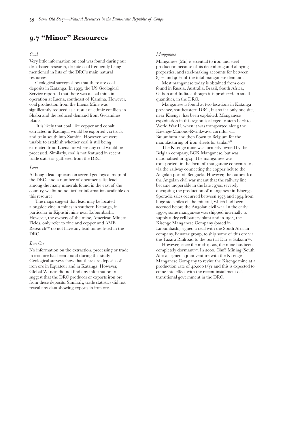Logging in Katanga province has previously been carried out by the Zimbabwean military in cooperation with SAB Congo (a Socebo joint venture). In August 2002, the *Timber Trades Journal* wrote that several containers of hardwood were being exported per month to Europe from the SAB Congo operations in Katanga.

### *Trade statistics*

The recorded export volumes confirm that the recent conflict suppressed timber exploitation and exports, primarily because much of the forest was in contested and/or rebel-occupied territory, and the main transport artery, the Congo river, was closed to export traffic. Although some timber exports from eastern DRC are recorded at some Ugandan border points, all available evidence suggests that significant exports from this region go unrecorded.



Source: World Trade Atlas, UN Statistical Division, national yearbooks of import statistics



### **DR Congo – timber exports**

Source: World Trade Atlas, UN Statistical Division, national yearbooks of import statistics Note: based 1:1 on declared import statistics and converted to estimate roundwood equivalent volume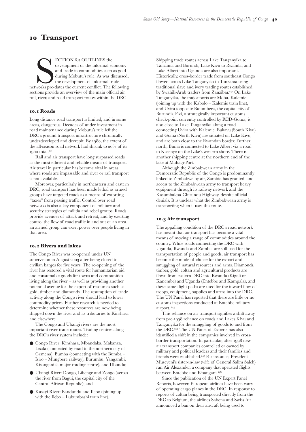# **. "Minor" Resources**

### *Coal*

Very little information on coal was found during our desk-based research, despite coal frequently being mentioned in lists of the DRC's main natural resources.

Geological surveys show that there are coal deposits in Katanga. In 1995, the US Geological Service reported that there was a coal mine in operation at Luena, southeast of Kamina. However, coal production from the Luena Mine was significantly reduced as a result of ethnic conflicts in Shaba and the reduced demand from Gécamines' plants.

It is likely that coal, like copper and cobalt extracted in Katanga, would be exported via truck and train south into Zambia. However, we were unable to establish whether coal is still being extracted from Luena, or where any coal would be processed. Similarly, coal is not featured in recent trade statistics gathered from the DRC

### *Lead*

Although lead appears on several geological maps of the DRC, and a number of documents list lead among the many minerals found in the east of the country, we found no further information available on this resource.

The maps suggest that lead may be located alongside zinc in mines in southern Katanga, in particular in Kipushi mine near Lubumbashi. However, the owners of the mine, American Mineral Fields, only refer to zinc and copper and AME Research<sup>237</sup> do not have any lead mines listed in the DRC.

### *Iron Ore*

No information on the extraction, processing or trade in iron ore has been found during this study. Geological surveys show that there are deposits of iron ore in Equateur and in Katanga. However, Global Witness did not find any information to suggest that the DRC produces or exports iron ore from these deposits. Similarly, trade statistics did not reveal any data showing exports in iron ore.

### *Manganese*

Manganese (Mn) is essential to iron and steel production because of its deoxidising and alloying properties, and steel-making accounts for between  $85\%$  and 90% of the total manganese demand.

Most manganese today is obtained from ores found in Russia, Australia, Brazil, South Africa, Gabon and India, although it is produced, in small quantities, in the DRC.

Manganese is found at two locations in Katanga province, southeastern DRC, but so far only one site, near Kisenge, has been exploited. Manganese exploitation in this region is alleged to stem back to World War II, when it was transported along the Kisenge-Manono-Rwinkwavu corridor via Bujumbura and then flown to Belgium for the manufacturing of iron sheets for tanks.

The Kisenge mine was formerly owned by the Belgian company, BCK Manganese, but was nationalised in 1974. The manganese was transported, in the form of manganese concentrates, via the railway connecting the copper belt to the Angolan port of Benguela. However, the outbreak of the Angolan civil war meant that the railway line became inoperable in the late 1970s, severely disrupting the production of manganese in Kisenge. Sporadic sales occurred between 1975 and 1994 from huge stockpiles of the mineral, which had been accrued before the Angolan civil war. In the early 1990s, some manganese was shipped internally to supply a dry cell battery plant and in 1995, the Kisenge Manganese Company (based in Lubumbashi) signed a deal with the South African company, Benatar group, to ship some of this ore via the Tazara Railroad to the port at Dar es Salaam<sup>239</sup>.

However, since the mid-1990s, the mine has been completely dormant<sup>240</sup>. In 2000, Cluff Mining (South Africa) signed a joint venture with the Kisenge Manganese Company to revive the Kisenge mine at a production rate of  $40,000$  t/yr and this is expected to come into effect with the recent installment of a transitional government in the DRC.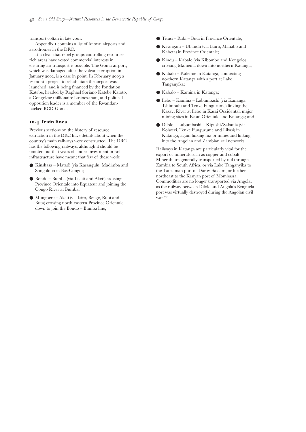# **Transport**

ECTION 6.2 OUTLINES the<br>development of the informal economy<br>and trade in commodities such as gold<br>during Mobutu's rule. As was discussed,<br>the development of informal trade<br>networks pre-dates the current conflict. The follo ECTION 6.2 OUTLINES the development of the informal economy and trade in commodities such as gold during Mobutu's rule. As was discussed, the development of informal trade sections provide an overview of the main official air, rail, river, and road transport routes within the DRC.

### **. Roads**

Long distance road transport is limited, and in some areas, dangerous. Decades of under-investment in road maintenance during Mobutu's rule left the DRC's ground transport infrastructure chronically underdeveloped and decrepit. By 1980, the extent of the all-season road network had shrunk to  $20\%$  of its 1960 total.<sup>241</sup>

Rail and air transport have long surpassed roads as the most efficient and reliable means of transport. Air travel in particular has become vital in areas where roads are impassable and river or rail transport is not available.

Moreover, particularly in northeastern and eastern DRC, road transport has been made lethal as armed groups have targeted roads as a means of extorting "taxes" from passing traffic. Control over road networks is also a key component of military and security strategies of militia and rebel groups. Roads provide avenues of attack and retreat, and by exerting control the flow of road traffic in and out of an area, an armed group can exert power over people living in that area.

### **. Rivers and lakes**

The Congo River was re-opened under UN supervision in August 2003 after being closed to civilian barges for five years. The re-opening of the river has restored a vital route for humanitarian aid and consumable goods for towns and communities living along the river – as well as providing another potential avenue for the export of resources such as gold, timber and diamonds. The resumption of trade activity along the Congo river should lead to lower commodity prices. Further research is needed to determine whether these resources are now being shipped down the river and its tributaries to Kinshasa and elsewhere.

The Congo and Ubangi rivers are the most important river trade routes. Trading centres along the DRC's river system include:

- Congo River: Kinshasa, Mbandaka, Makanza, Lisala (connected by road to the northern city of Gemena), Bumba (connecting with the Bumba – Isiro – Mungbere railway), Burumbu, Yangambi, Kisangani (a major trading centre), and Ubundu;
- Ubangi River: Dongo, Libenge and Zongo (across the river from Bagui, the capital city of the Central African Republic); and
- Kasayi River: Bandundu and Ilebo (joining up with the Ilebo – Lubumbashi train line).

Shipping trade routes across Lake Tanganyika to Tanzania and Burundi, Lake Kivu to Rwanda, and Lake Albert into Uganda are also important. Historically, cross-border trade from southeast Congo flowed across Lake Tanganyika to Tanzania using traditional slave and ivory trading routes established by Swahili-Arab traders from Zanzibar.<sup>242</sup> On Lake Tanganyika, the major ports are Moba, Kalemie (joining up with the Kabolo – Kalemie train line), and Uvira (opposite Bujumbera, the capital city of Burundi). Fizi, a strategically important customs check-point currently controlled by RCD-Goma, is also close to Lake Tanganyika along a road connecting Uvira with Kalemie. Bukavu (South Kivu) and Goma (North Kivu) are situated on Lake Kivu, and are both close to the Rwandan border. Further north, Bunia is connected to Lake Albert via a road to Kasenye on the Lake's western shore. There is another shipping centre at the northern end of the lake at Mahagi-Port.

Although the Zimbabwean army in the Democratic Republic of the Congo is predominantly linked to Zimbabwe by air, Zambia has granted land access to the Zimbabwean army to transport heavy equipment through its railway network and the Kasumbalesa-Chirundu Highway, despite official denials. It is unclear what the Zimbabwean army is transporting when it uses this route.

### **. Air transport**

The appalling condition of the DRC's road network has meant that air transport has become a vital means of moving a range of commodities around the country. While roads connecting the DRC with Uganda, Rwanda and Zambia are still used for the transportation of people and goods, air transport has become the mode of choice for the export and smuggling of natural resources and arms. Diamonds, timber, gold, coltan and agricultural products are flown from eastern DRC into Rwanda (Kigali or Kanembe) and Uganda (Entebbe and Kampala), and these same flight paths are used for the inward flow of troops, equipment, supplies and arms into the DRC. The UN Panel has reported that there are little or no customs inspections conducted at Entebbe military airport.

This reliance on air transport signifies a shift away from pre-1998 reliance on roads and Lakes Kivu and Tanganyika for the smuggling of goods to and from the DRC.<sup>244</sup> The UN Panel of Experts has also identified a shift in the companies involved in crossborder transportation. In particular, after 1998 new air transport companies controlled or owned by military and political leaders and their families and friends were established.<sup>245</sup> For instance, President Museveni's sister-in-law (wife of General Salim Saleh) ran Air Alexander, a company that operated flights between Entebbe and Kisangani.

Since the publication of the UN Expert Panel Reports, however, European airlines have been wary of operating cargo planes in the DRC. In response to reports of coltan being transported directly from the DRC to Belgium, the airlines Sabena and Swiss Air announced a ban on their aircraft being used to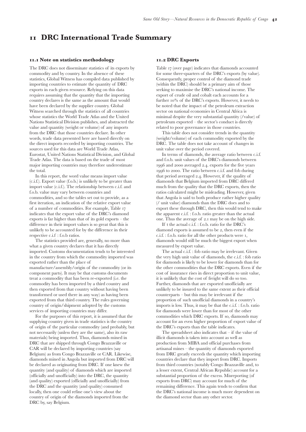transport coltan in late 2001.

Appendix I contains a list of known airports and aerodromes in the DRC.

It is clear that rebel groups controlling resourcerich areas have vested commercial interests in ensuring air transport is possible. The Goma airport, which was damaged after the volcanic eruption in January 2002, is a case in point. In February 2003 a 12 month project to rehabilitate the airport was launched, and is being financed by the Fondation Katebe, headed by Raphael Soriano Katebe Katoto, a Congolese millionaire businessman, and political opposition leader is a member of the Rwandanbacked RCD-Goma.

### **. Train lines**

Previous sections on the history of resource extraction in the DRC have details about when the country's main railways were constructed. The DRC has the following railways, although it should be pointed out that years of under investment in rail infrastructure have meant that few of these work:

- Kinshasa Matadi (via Kasangulu, Madimba and Songolobo in Bas-Congo);
- Bondo Bumba (via Likati and Aketi) crossing Province Orientale into Equateur and joining the Congo River at Bumba;
- Mungbere Aketi (via Isiro, Benge, Rubi and Buta) crossing north-eastern Province Orientale down to join the Bondo – Bumba line;
- Titusi Rubi Buta in Province Orientale;
- Kisangani Ubundu (via Bairo, Maliabo and Kabeta) in Province Orientale;
- Kindu Kabalo (via Kibombo and Kongolo) crossing Maniema down into northern Katanga;
- Kabalo Kalemie in Katanga, connecting northern Katanga with a port at Lake Tanganyika;
- Kabalo Kamina in Katanga;
- Ilebo Kamina Lubumbashi (via Kananga, Tshimbulu and Tenke Fungurume) linking the Kasayi River at Ilebo in Kasai Occidental, major mining sites in Kasai Orientale and Katanga; and
- Dilolo Lubumbashi Kipushi/Sakania (via Kolwezi, Tenke Fungurume and Likasi) in Katanga, again linking major mines and linking into the Angolan and Zambian rail networks.

Railways in Katanga are particularly vital for the export of minerals such as copper and cobalt. Minerals are generally transported by rail through Zambia to South Africa, or via Lake Tanganyika to the Tanzanian port of Dar es Salaam, or further northeast to the Kenyan port of Mombassa. Commodities are no longer transported via Angola, as the railway between Dilolo and Angola's Benguela port was virtually destroyed during the Angolan civil war.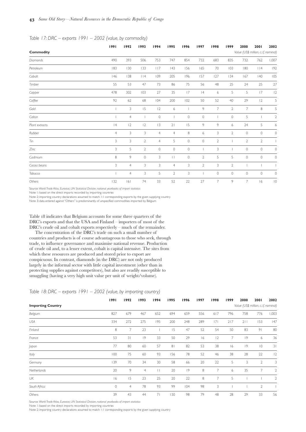# **DRC International Trade Summary**

### **. Note on statistics methodology**

The DRC does not disseminate statistics of its exports by commodity and by country. In the absence of these statistics, Global Witness has compiled data published by importing countries to estimate the quantity of DRC exports in each given resource. Relying on this data requires assuming that the quantity that the importing country declares is the same as the amount that would have been declared by the supplier country. Global Witness searched through the statistics of all countries whose statistics the World Trade Atlas and the United Nations Statistical Division publishes, and abstracted the value and quantity (weight or volume) of any imports from the DRC that those countries declare. In other words, trade data presented here are based directly on the direct imports recorded by importing countries. The sources used for this data are World Trade Atlas, Eurostat, United Nations Statistical Division, and Global Trade Atlas. The data is based on the trade of most major importing countries may therefore underestimate the total.

In this report, the word value means import value (c.i.f.). Export value (f.o.b.) is unlikely to be greater than import value (c.i.f.). The relationship between c.i.f. and f.o.b. value may vary between countries and commodities, and so the tables set out to provide, as a first iteration, an indication of the relative export value of a number of commodities. For example, Table indicates that the export value of the DRC's diamond exports is far higher than that of its gold exports – the difference in their import values is so great that this is unlikely to be accounted for by the difference in their respective c.i.f : f.o.b ratios.

The statistics provided are, generally, no more than what a given country declares that it has directly imported. Customs documentation tends to be interested in the country from which the commodity imported was exported rather than the place of manufacture/assembly/origin of the commodity (or its component parts). It may be that customs documents treat a commodity that has been re-exported (i.e. the commodity has been imported by a third country and then exported from that country without having been transformed or used there in any way) as having been exported from that third country. The rules governing country of origin/shipment adopted by the customs services of importing countries may differ.

For the purposes of this report, it is assumed that the supplying country given in trade statistics is the country of origin of the particular commodity (and probably, but not necessarily (unless they are the same), also its raw materials) being imported. Thus, diamonds mined in DRC that are shipped through Congo Brazzaville or CAR will be declared by importing countries (say Belgium) as from Congo Brazzaville or CAR. Likewise, diamonds mined in Angola but imported from DRC will be declared as originating from DRC. If one knew the quantity (and quality) of diamonds which are imported (officially and unofficially) into the DRC, the quantity (and quality) exported (officially and unofficially) from the DRC and the quantity (and quality) consumed locally, then one could refine one's view about the country of origin of the diamonds imported from the DRC by, say Belgium.

### **. DRC Exports**

Table 17 (over page) indicates that diamonds accounted for some three-quarters of the DRC's exports (by value). Consequently, proper control of the diamond trade (within the DRC) should be a primary aim of those seeking to maximise the DRC's national income. The export of crude oil and cobalt each accounts for a further  $10\%$  of the DRC's exports. However, it needs to be noted that the impact of the petroleum extraction sector on national economies in Central Africa is minimal despite the very substantial quantity (/value) of petroleum exported – the sector's conduct is directly related to poor governance in those countries.

This table does not consider trends in the quantity (weight/volume) of each commodity exported by the DRC. The table does not take account of changes in unit value over the period covered.

In terms of diamonds, the average ratio between c.i.f. and f.o.b. unit values of the DRC's diamonds between 1996 and 2000 averaged 2.4. exports for the five years 1996 to 2000. The ratio between c.i.f. and fob during that period averaged 2.4. However, if the quality of diamonds that Belgium imported from DRC differed much from the quality that the DRC exports, then the ratios calculated might be misleading. However, given that Angola is said to both produce rather higher quality (/ unit value) diamonds than the DRC does and to export these through DRC, then this would tend to make the apparent c.i.f. : f.o.b. ratio greater than the actual one. Thus the average of 2.1 may be on the high side.

If t the actual c.i.f. : f.o.b. ratio for the DRC's diamond exports is assumed to be 2, then even if the c.i.f. : f.o.b. ratio for all the other products were 1, diamonds would still be much the biggest export when measured by export value.

The actual c.i.f. : fob ratio may be irrelevant. Given the very high unit value of diamonds, the c.i.f. : fob ratio for diamonds is likely to be lower for diamonds than for the other commodities that the DRC exports. Even if the cost of insurance rises in direct proportion to unit value, it is unlikely that the cost of freight will do so too. Further, diamonds that are exported unofficially are unlikely to be insured to the same extent as their official counterparts – but this may be irrelevant if the proportion of such unofficial diamonds in a country's imports is low. Thus, it may be that the c.i.f. : f.o.b. ratio for diamonds were lower than for most of the other commodities which DRC exports. If so, diamonds may account for an even higher proportion of export value of the DRC's exports than the table indicates.

The spreadsheet also indicates that – if the value of illicit diamonds is taken into account as well as production from MIBA and official purchases from artisanal mines – the quantity of diamonds exported from DRC greatly exceeds the quantity which importing countries declare that they import from DRC. Imports from third countries (notably Congo Brazzaville and, to a lesser extent, Central African Republic) account for a substantial proportion of the excess. Misreporting (of exports from DRC) may account for much of the remaining difference. This again tends to confirm that the DRC's national income is much more dependent on the diamond sector than any other sector.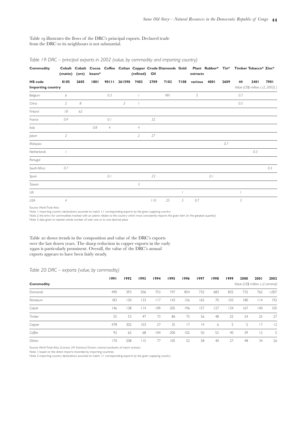|                  | 1991                     | 1992           | 1993           | 1994           | 1995           | 1996        | 1997                | 1998         | 1999           | 2000           | 2001                                 | 2002         |
|------------------|--------------------------|----------------|----------------|----------------|----------------|-------------|---------------------|--------------|----------------|----------------|--------------------------------------|--------------|
| <b>Commodity</b> |                          |                |                |                |                |             |                     |              |                |                | Value (US\$ million, c.i.f, nominal) |              |
| Diamonds         | 490                      | 393            | 506            | 753            | 747            | 854         | 732                 | 683          | 835            | 732            | 762                                  | 1,007        |
| Petroleum        | 183                      | 130            | 133            | 117            | 43             | 156         | 165                 | 70           | 103            | 180            | $ $  4                               | 192          |
| Cobalt           | 146                      | 138            | $ $  4         | 109            | 205            | 196         | 157                 | 127          | 134            | 167            | 40                                   | 105          |
| Timber           | 55                       | 53             | 47             | 73             | 86             | 75          | 56                  | 48           | 25             | 24             | 25                                   | 27           |
| Copper           | 478                      | 302            | 103            | 27             | 35             | 17          | 4                   | 6            | 5              | 5              | 17                                   | 12           |
| Coffee           | 92                       | 62             | 68             | 104            | 200            | 102         | 50                  | 52           | 40             | 29             | 12                                   | 5            |
| Gold             | $\overline{\phantom{a}}$ | 3              | 15             | 12             | 6              |             | 9                   | 7            | $\mathbf{2}$   | $\overline{7}$ | 8                                    | 5            |
| Coltan           |                          | $\overline{4}$ |                | $\circ$        |                | $\mathbb O$ | $\mathsf{O}\xspace$ |              | $\circ$        | 5              |                                      | $\mathbf{2}$ |
| Plant extracts   | 4                        | 2              | 12             | 3              | 21             | 15          | 9                   | 9            | 6              | 24             | 5                                    | 6            |
| Rubber           | $\overline{4}$           | 3              | 3              | $\overline{4}$ | $\overline{4}$ | 8           | 6                   | 3            | $\overline{2}$ | $\circ$        | $\circ$                              | $\circ$      |
| Tin              | 3                        | 3              | $\overline{2}$ | $\overline{4}$ | 5              | $\circ$     | $\mathsf{O}\xspace$ | $\mathbf{2}$ |                | $\mathbf{2}$   | $\overline{2}$                       |              |
| Zinc             | 3                        | 5              | $\mathbf{2}$   | $\circ$        | $\circ$        | $\mathbb O$ |                     | 3            |                | $\circ$        | $\circ$                              | $\circ$      |
| Cadmium          | 8                        | $\overline{9}$ | $\circ$        | 3              | $\vert \vert$  | $\circ$     | $\mathbf{2}$        | 5            | 5              | $\circ$        | $\circ$                              | $\circ$      |
| Cocoa beans      | 3                        | $\overline{4}$ | 3              | 3              | $\overline{4}$ | 3           | $\mathbf{2}$        | 3            | $\mathbf{2}$   |                |                                      |              |
| Tobacco          | $\overline{\phantom{a}}$ | $\overline{4}$ | 3              | 5              | $\mathbf{2}$   | 3           |                     | $\circ$      | $\circ$        | $\mathbf 0$    | $\circ$                              | $\circ$      |
| Others           | 132                      | 6              | 74             | 33             | 52             | 22          | 27                  | 7            | 9              | $\overline{7}$ | 6                                    | $ 0\rangle$  |

*Table 17: DRC – exports 1991 – 2002 (value, by commodity)* 

Source: *World Trade Atlas, Eurostat, UN Statistical Division, national yearbooks of import statistics* Note 1: based on the direct imports recorded by importing countries

Note 2: importing country declarations assumed to match 1:1 corresponding exports by the given supplying country

Note 3: data entered against "Others"is predominantly of unspecified commodities imported by Belgium

Table 18 indicates that Belgium accounts for some three quarters of the DRC's exports and that the USA and Finland – importers of most of the DRC's crude oil and cobalt exports respectively – much of the remainder.

The concentration of the DRC's trade on such a small number of countries and products is of course advantageous to those who seek, through trade, to influence governance and maximise national revenue. Production of crude oil and, to a lesser extent, cobalt is capital intensive. The sites from which these resources are produced and stored prior to export are conspicuous. In contrast, diamonds (in the DRC) are not only produced largely in the informal sector with little capital investment (other than in protecting supplies against competitors), but also are readily susceptible to smuggling (having a very high unit value per unit of weight/volume).

### *Table 18: DRC – exports 1991 – 2002 (value, by importing country)*

|                          | 1991                | 1992           | 1993           | 1994    | 1995           | 1996 | 1997    | 1998           | 1999 | 2000 | 2001                                 | 2002           |
|--------------------------|---------------------|----------------|----------------|---------|----------------|------|---------|----------------|------|------|--------------------------------------|----------------|
| <b>Importing Country</b> |                     |                |                |         |                |      |         |                |      |      | Value (US\$ million, c.i.f, nominal) |                |
| Belgium                  | 827                 | 679            | 467            | 652     | 694            | 659  | 556     | 617            | 796  | 758  | 776                                  | 1,003          |
| USA                      | 334                 | 272            | 275            | 195     | 200            | 248  | 289     | 7              | 217  | 211  | 153                                  | 47             |
| Finland                  | 8                   | $\overline{7}$ | 23             |         | 15             | 47   | 52      | 54             | 50   | 83   | 9 <sub>1</sub>                       | 80             |
| France                   | 53                  | 31             | 9              | 33      | 50             | 29   | 16      | 12             | 7    | 9    | 6                                    | 36             |
| Japan                    | 77                  | 80             | 60             | 57      | 8 <sub>1</sub> | 82   | 53      | 38             | 16   | 9    | $\overline{0}$                       | 31             |
| Italy                    | 100                 | 75             | 60             | 93      | 156            | 78   | 52      | 46             | 38   | 28   | 22                                   | 2              |
| Germany                  | 139                 | 70             | 34             | 30      | 58             | 66   | 20      | 22             | 5    | 3    | $\overline{2}$                       | 3              |
| Netherlands              | 20                  | 9              | $\overline{4}$ | $\perp$ | 20             | 9    | $\,8\,$ | 7              | 6    | 35   | 7                                    | $\overline{2}$ |
| UK                       | 6                   | 15             | 23             | 25      | 20             | 22   | 8       | $\overline{7}$ | 5    |      |                                      | $\overline{2}$ |
| South Africa             | $\mathsf{O}\xspace$ | $\overline{4}$ | 78             | 93      | 99             | 104  | 98      | 3              |      |      | $\mathbf{2}$                         |                |
| Others                   | 39                  | 43             | 44             | 71      | 130            | 98   | 79      | 48             | 28   | 29   | 33                                   | 56             |

Source: *World Trade Atlas, Eurostat, UN Statistical Division, national yearbooks of import statistics* 

Note 1: based on the direct imports recorded by importing countries

Note 2: importing country declarations assumed to match 1:1 corresponding exports by the given supplying country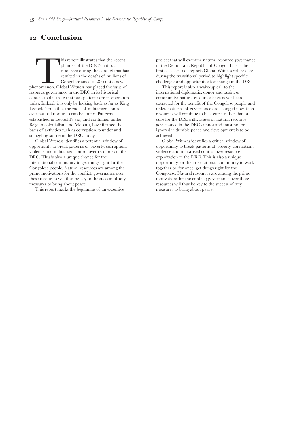### Table 19 illustrates the flows of the DRC's principal exports. Declared trade from the DRC to its neighbours is not substantial.

| <b>Commodity</b>         | (matte) (ore)  |      | beans*  |                |                | (refined) Oil  |      | Cobalt Cobalt Cocoa Coffee Coltan Copper Crude Diamonds Gold Plant Rubber* Tin* Timber Tobacco* Zinc* |      | extracts |      |      |     |                                     |      |
|--------------------------|----------------|------|---------|----------------|----------------|----------------|------|-------------------------------------------------------------------------------------------------------|------|----------|------|------|-----|-------------------------------------|------|
| <b>HS</b> code           | 8105           | 2605 | 1801    |                | 90111 261590   | 7403           | 2709 | 7102                                                                                                  | 7108 | various  | 4001 | 2609 | 44  | 2401                                | 7901 |
| <b>Importing country</b> |                |      |         |                |                |                |      |                                                                                                       |      |          |      |      |     | Value (US\$ million, c.i.f., 2002)) |      |
| Belgium                  | 6              |      |         | 0.3            |                |                |      | 981                                                                                                   |      | 5        |      |      | 0.7 |                                     |      |
| China                    | $\overline{2}$ | 8    |         |                | $\overline{2}$ |                |      |                                                                                                       |      |          |      |      | 0.5 |                                     |      |
| Finland                  | 18             | 62   |         |                |                |                |      |                                                                                                       |      |          |      |      |     |                                     |      |
| France                   | 0.9            |      |         | 0.1            |                |                | 32   |                                                                                                       |      |          |      |      |     |                                     |      |
| Italy                    |                |      | $0.8\,$ | $\overline{4}$ |                | $\overline{4}$ |      |                                                                                                       |      |          |      |      |     |                                     |      |
| Japan                    | $\overline{2}$ |      |         |                |                | $\overline{2}$ | 27   |                                                                                                       |      |          |      |      |     |                                     |      |
| Malaysia                 |                |      |         |                |                |                |      |                                                                                                       |      |          |      | 0.7  |     |                                     |      |
| Netherlands              |                |      |         |                |                |                |      |                                                                                                       |      |          |      |      |     | 0.3                                 |      |
| Portugal                 |                |      |         |                |                |                |      |                                                                                                       |      |          |      |      |     |                                     |      |
| South Africa             | 0.7            |      |         |                |                |                |      |                                                                                                       |      |          |      |      |     |                                     | 0.3  |
| Spain                    |                |      |         | 0.1            |                |                | 23   |                                                                                                       |      |          | 0.1  |      |     |                                     |      |
| Taiwan                   |                |      |         |                |                | 3              |      |                                                                                                       |      |          |      |      |     |                                     |      |
| UK                       |                |      |         |                |                |                |      |                                                                                                       |      |          |      |      |     |                                     |      |
| USA                      | 4              |      |         |                |                |                | 110  | 25                                                                                                    | 3    | 0.7      |      |      | 3   |                                     |      |

### *Table 19: DRC – principal exports in 2002 (value, by commodity and importing country)*

Source: *World Trade Atlas*

Note 1: importing country declarations assumed to match 1:1 corresponding exports by the given supplying country

Note 2: the entry for commodities marked with an asterix relates to the country which most consistently imports the given item (in the greatest quantity)

Note 3: data given to nearest whole number of over one or to one decimal place

Table 20 shows trends in the composition and value of the DRC's exports over the last dozen years. The sharp reduction in copper exports in the early s is particularly prominent. Overall, the value of the DRC's annual exports appears to have been fairly steady.

### *Table 20: DRC – exports (value, by commodity)*

|                  | 1991 | 1992 | 1993   | 1994 | 1995 | 1996 | 1997 | 1998 | 1999                                 | 2000 | 2001    | 2002  |
|------------------|------|------|--------|------|------|------|------|------|--------------------------------------|------|---------|-------|
| <b>Commodity</b> |      |      |        |      |      |      |      |      | Value (US\$ million, c.i.f, nominal) |      |         |       |
| <b>Diamonds</b>  | 490  | 393  | 506    | 753  | 747  | 854  | 732  | 683  | 835                                  | 732  | 762     | 1,007 |
| Petroleum        | 183  | 130  | 133    | 117  | 43   | 156  | 165  | 70   | 103                                  | 180  | $ $   4 | 192   |
| Cobalt           | 46   | 138  | $ $  4 | 109  | 205  | 196  | 157  | 127  | 134                                  | 167  | 40      | 105   |
| Timber           | 55   | 53   | 47     | 73   | 86   | 75   | 56   | 48   | 25                                   | 24   | 25      | 27    |
| Copper           | 478  | 302  | 103    | 27   | 35   | 17   | 4    | 6    | 5                                    | 5    | 17      | 2     |
| Coffee           | 92   | 62   | 68     | 104  | 200  | 102  | 50   | 52   | 40                                   | 29   | 12      | 5     |
| Others           | 170  | 208  | 115    | 77   | 105  | 52   | 58   | 40   | 27                                   | 48   | 34      | 26    |

Source: *World Trade Atlas, Eurostat, UN Statistical Division, national yearbooks of import statistics*

Note 1: based on the direct imports recorded by importing countries

Note 2: importing country declarations assumed to match 1:1 corresponding exports by the given supplying country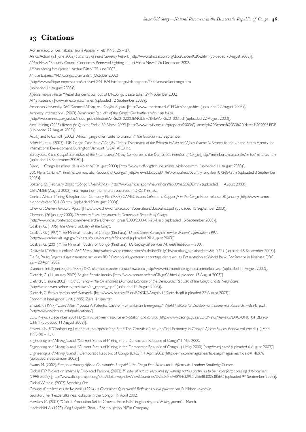# **Conclusion**

This report illustrates that the recent<br>plunder of the DRC's natural<br>resources during the conflict that has<br>resulted in the deaths of millions of<br>Congolese since 1998 is not a new<br>phenomenon. Global Witness has placed the plunder of the DRC's natural resources during the conflict that has resulted in the deaths of millions of Congolese since 1998 is not a new resource governance in the DRC in its historical context to illustrate that past patterns are in operation today. Indeed, it is only by looking back as far as King Leopold's rule that the roots of militarised control over natural resources can be found. Patterns established in Leopold's era, and continued under Belgian colonialism and Mobutu, have formed the basis of activities such as corruption, plunder and smuggling so rife in the DRC today.

Global Witness identifies a potential window of opportunity to break patterns of poverty, corruption, violence and militarised control over resources in the DRC. This is also a unique chance for the international community to get things right for the Congolese people. Natural resources are among the prime motivations for the conflict; governance over these resources will thus be key to the success of any measures to bring about peace.

This report marks the beginning of an extensive

project that will examine natural resource governance in the Democratic Republic of Congo. This is the first of a series of reports Global Witness will release during the transitional period to highlight specific challenges and opportunities for change in the DRC.

This report is also a wake-up call to the international diplomatic, donor and business community: natural resources have never been extracted for the benefit of the Congolese people and unless patterns of governance are changed now, then resources will continue to be a curse rather than a cure for the DRC's ills. Issues of natural resource governance in the DRC cannot and must not be ignored if durable peace and development is to be achieved.

Global Witness identifies a critical window of opportunity to break patterns of poverty, corruption, violence and militarised control over resource exploitation in the DRC. This is also a unique opportunity for the international community to work together to, for once, get things right for the Congolese. Natural resources are among the prime motivations for the conflict; governance over these resources will thus be key to the success of any measures to bring about peace.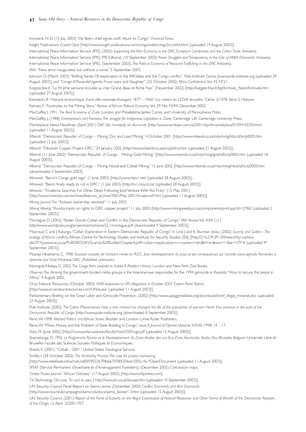# **Citations**

Adriamirado, S."Les nababs."*Jeune Afrique.* 7 Feb 1996 : 25 – 27.

Africa Action (21 June 2002) *Summary of Hard Currency Report.* [http://www.africaaction.org/docs02/cent0206.htm (uploaded 7 August 2003)].

*Africa News.*"Security Council Condemns Renewed Fighting in Ituri Africa News." 26 December 2002.

*African Mining Intelligence.*"Arthur Ditto." 25 June 2003.

*Afrique Express.*"RD Congo: Diamants". (October 2002)

[http://www.afrique-express.com/archive/CENTRALE/rdcongo/rdcongoeco/257diamantslardcongo.htm

(uploaded 14 August 2003)].

*Agence France Presse.*"Rebel dissidents pull out of DRCongo peace talks." 29 November 2002.

AME Research. [www.ame.com.au/mines (uploaded 12 September 2003)].

American University. *DRC Diamond Mining and Conflict Report.* [http://www.american.edu/TED/ice/congo.htm (uploaded 27 August 2003)].

Amnesty International. (2003) *Democratic Republic of the Congo:"Our brothers who help kill us."*

[http://web.amnesty.org/aidoc/aidoc\_pdf.nsf/Index/AFR620102003ENGLISH/\$File/AFR6201003.pdf (uploaded 22 August 2003)].

Anvil Mining. (2003) *Report for Quarter Ended 30 March 2003*. [http://www.anvil.com.au/qtreports/2003/Quarterly%20Report%2030%20March%202003.PDF (Uploaded 22 August 2003)].

Astill, J and R. Carroll. (2002) "African gangs offer route to uranium." *The Guardian,* 25 September.

Baker, M., et al. (2003). "DR Congo Case Study." *Conflict Timber: Dimensions of the Problem in Asia and Africa. Volume III*. Report to the United States Agency for International Development. Burlington.Vermont (USA):ARD Inc.

Baracyetse, P. *The Geopolitical Stakes of the International Mining Companies in the Democratic Republic of Congo.* [http://members.lycos.co.uk/Arrtus/minerals.htm (uploaded 15 September 20030)].

Bijard, L."Congo les mines de la violence"(August 2000) [http://www.c-df.org/tribune\_mines\_violences.html (uploaded 11 August 2003)].

*BBC News On-Line*."Timeline: Democratic Republic of Congo."[http://news.bbc.co.uk/1/hi/world/africa/country\_profiles/1072684.stm (uploaded 3 September 2003)].

Boateng, O. (February 2000) "Congo". *New African.* [http://www.africasia.com/newafrican/feb00/nacs0202.htm (uploaded 11 August 2003)].

CENADEP. (August 2002) Final report on the natural resources in DRC. Kinshasa.

Central African Mining & Exploration Company Plc. (2003) *CAMEC Enters Cobalt and Copper JV in the Congo.* Press release, 30 January. [http://www.camecplc.com/exaco30-1-03.html (uploaded 20 August 2003)].

Chevron. *Chevron Texaco in Africa*. [http://www.chevrontexaco.com/operations/docs/africa.pdf (uploaded 15 September 2003)].

Chevron. (26 January 2000). *Chevron to boost investment in Democratic Republic of Congo.*

[http://www.chevrontexaco.com/news/archive/chevron\_press/2000/2000-01-26-1.asp (uploaded 15 September 2003)].

Coakley, G. (1995) *The Mineral Industry of the Congo.*

Coakley, G. (1997) "The Mineral Industry of Congo (Kinshasa)." *United States Geological Service, Mineral Information 1997*.

[http://www.minerals.usgs.gov/minerals/pubs/country/africa.html (uploaded 20 August 2003)].

Coakley, G. (2001) "The Mineral Industry of Congo (Kinshasa)." *US Geological Services Minerals Yearbook – 2001.*

Delawala, I."What is coltan?" *ABC News.* [http://abcnews.go.com/sections/nightline/DailyNews/coltan\_explainer.html&e=7629 (uploaded 8 September 2003)]. De Sa, Paulo. *Projects d'investissement minier en RDC: Potential d'exportation et partage des revenues*. Presentation at World Bank Conference in Kinshasa. DRC. 22 – 23 April 2002.

Diamond Intelligence. (June 2003) *DRC diamond valuator contract awarded.*[http://www.diamondintelligence.com/default.asp (uploaded 11 August 2003)].

Dietrich, C. (11 January 2002) Belgian Senate Inquiry. [http://www.senate.be/crv/GR/gr-06.html (uploaded 15 August 2003)].

Dietrich, C. (June 2002) *Hard Currency – The Criminalized Diamond Economy of the Democratic Republic of the Congo and its Neighbours.*

[http://action.web.ca/home/pac/attach/hc\_report\_e.pdf (uploaded 14 August 2003)].

Dietrich, C. *Porous borders and diamonds.* [http://www.iss.co.za/Pubs/BOOKS/Angola/16Dietrich.pdf (uploaded 27 August 2003)].

Economist Intelligence Unit. (1995) Zaire. 4<sup>th</sup> quarter.

Emizet, K. (1997) "Zaire After Mobutu:A Potential Case of Humanitarian Emergency." *World Institute for Development Economics Research*, Helsinki, p.21. [http://www.wider.unu.edu/publications/].

EDC News. (December 2001) *DRC: links between resource exploitation and conflict.* [http://www.padrigu.gu.se/EDCNews/Reviews/DRC-UN010412Links-C.html (uploaded 11 August 2003)].

Emizet, K.N. F."Confronting Leaders at the Apex of the State:The Growth of the Unofficial Economy in Congo." *African Studies Review.* Volume 41(1).April 1998: 90 – 137.

*Engineering and Mining Journal.*"Current Status of Mining in the Democratic Republic of Congo." 1 May 2000.

*Engineering and Mining Journal.*"Current Status of Mining in the Democratic Republic of Congo". (1 May 2000) [http://e-mj.com/ (uploaded 6 August 2003)]. *Engineering and Mining Journal* ."Democratic Republic of Congo (DRC)." 1 April 2002. [http://e-mj.com/magazinearticle.asp?magazinearticleid=146976 (uploaded 8 September 2003)].

Ewans, M. (2002). *European Atrocity,African Catastrophe: Leopold II, the Congo Free State and its Aftermath.* London: RoutledgeCurzon.

Global IDP Project on Internally Displaced Persons. (2003). *Plunder of natural resources by warring parties continues to be major factor causing displacement (1998-2003)*. [http://www.db.idpproject.org/Sites/idpSurvey.nsf/wViewCountries/D25D3FEA689FE329C1256B83005385EC (uploaded 9th September 2003)]. Global Witness. (2002) *Branching Out.*

Groupe d'intellectuels de Kolwezi (1996). *La Gécamines: Quel Avenir? Reflexions sur la privatisation*. Publisher unknown.

*Guardian,The*."Peace talks near collapse in the Congo." 19 April 2002.

Hawkins, M. (2003) "Cobalt Production Set to Grow as Price Falls." *Engineering and Mining Journal*, 1 March.

Hochschild,A. (1998). *King Leopold's Ghost*. USA: Houghton Mifflin Company.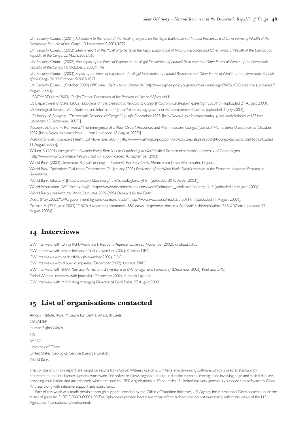Innocenti, N. D. (15 July 2003) "De Beers chief signals swift return to Congo". *Financial Times.*

Insight Publications. *Crystal Clear.* [http://www.insight-publications.com/congo/web/congo5crystlclr.html (uploaded 14 August 2003)].

International Peace Information Service (IPIS). (2002) *Supporting the War Economy in the DRC: European Companies and the Coltan Trade.* Antwerp.

International Peace Information Service (IPIS). IPIS Editorial. (10 September 2003) *Power Struggles and Transparency in the Sale of MIBA Diamonds.* Antwerp. International Peace Information Service (IPIS). (September 2003). *The Political Economy of Resource Trafficking in the DRC*.Antwerp. *IRIN.*"New army inaugurated, but without a name." 5 September 2003.

Johnson, D. (March 2003) "Shifting Sands: Oil exploration in the Rift Valley and the Congo conflict". Pole Institute. Goma. [www.pole-institute.org (uploaded 29 August 2003)] and "Congo-K/Rwanda/Uganda: Proxy wars and Slaughter". (25 October 2002) *Africa Confidential.*Vol. 43. N°21.

*Katgate.free.fr.*"La 44 ème semaine écoulée au cher Grand, Beau et Riche Pays"*.* (November 2002) [http://katgate.free.fr/kg/Archives\_Yabili/Archive6.htm (uploaded 27 August 2003)].

Kewisecki, B."Histoire economique d'une ville coloniale Kisangani: 1877 – 1960." *Les cahiers du CEDAF. Bruxelles.* Cahier 5/1978. Série 2: Histoire.

Kennes, E."Footnotes to the Mining Story." *Review of African Political Economy.* Vol. 29. No. 93/94. December 2002.

MacGaffey, J. 1991. *The Real Economy of Zaire.* London and Philadelphia: James Currey and University of Pennsylvania Press.

MacGaffey, J. (1988) *Entrepeneurs and Parasites:The struggle for indigenous capitalism in Zaire*. Cambridge. UK: Cambridge University Press.

Marketplace News Headlines. (April 2001) *DRC lifts monopoly on diamonds.* [http://www.namibian.com.na/2001/April/marketplace/01E941ED50.html (uploaded 11 August 2003)].

*Mbendi.*"Democratic Republic of Congo – Mining: Zinc and Lead Mining." 4 October 2001. [http://www.mbendi.co.za/indy/ming/ldzc/af/zr/p0005.htm (uploaded 15 July 2003)].

*Mbendi.*"Dikulushi Copper Project, DRC." 24 January 2002 [http://www.mbendi.co.za/proj/p0mz.htm (uploaded 21 August 2003)].

*Mbendi*. (11 June 2002) "Democratic Republic of Congo – Mining: Gold Mining." [http://www.mbendi.co.za/indy/ming/gold/af/zr/p0005.htm (uploaded 18 August 2003)].

*Mbendi.*"Democratic Republic of Congo – Mining: Nickel and Cobalt Mining." 12 June 2002. [http://www.mbendi.co.za/indy/ming/nkcb/af/zr/p0005.htm (downloaded 2 September 2003].

*Mineweb.*"Banro's Congo gold saga". (1 June 2003) [http://www.mips1.net/ (uploaded 28 August 2003)].

*Mineweb.*"Banro finally ready to roll in DRC."(1 July 2003) [http://m1.mny.co.za/ (uploaded 28 August 2003)].

*Minesite.*"Trivalence Searches For Other Deals Following Joint Venture With Rio Tinto". (15 May 2001)

[http://www.minesite.com/archives/features\_archive/2001/May-2001/trivalence9.htm (uploaded 11 August 2003)].

*Mining Journal,The.*"Kolwezi ownership resolved." 11 July 2003.

*Mining Weekly.*"Kumba insists on rights to DRC copper project." 11 July 2003. [http://www.miningweekly.co.za/components/print.asp?id=37962 (uploaded 2 September 2003)].

Montague, D. (2002) "Stolen Goods: Coltan and Conflict in the Democratic Republic of Congo." *SAIS Review*Vol. XXII (1). [

http://www.worldpolicy.org/projects/arms/news/22.1montague.pdf (downloaded 9 September 2003)].

Moyroud, C and J. Katunga,"Coltan Exploration in Eastern Democratic Republic of Congo"in Lind, J and K, Sturman (eds.) (2002) *Scarcity and Surfeit – The ecology of Africa's conflicts*,African Centre for Technology Studies and Institute for Security Studies (ISS). [http://216.239.39.104/search?q=cache:ijykki7F7cJ:www.iss.co.za/PUBS/BOOKS/Scarcity%2BSurfeit/Chapter4.pdf+coltan+exploration+in+eastern+drc&hl=en&start=1&ie=UTF-8 (uploaded 9th September 2003)].

Mubiayi Nkashama, C. 1998. *Situation actuelle de l'artisant minier en R.D.C. face developpement du pays et ses consequences sur l'activite socio-agricole. Remedies a apporter par l'etat.* Kinshasa, DRC (Publisher unknown).

Nzongola-Ntalaja, G. 2002. *The Congo from Leopold to Kabila:A People's History*. London and New York: Zed Books.

*Observer,The*.Among the government-funded militia groups is the Interahamwe, responsible for the 1994 genocide in Rwanda."How to secure the peace in Africa." 4 August 2002.

Oryx Natural Resources. (October 2002) *ONR responses to UN allegations in October 2002 Expert Panel Report.*

[http://www.oryxnaturalresources.com/UNissues/ (uploaded 11 August 2003)].

Parliamentary Briefing on the Great Lakes and Genocide Prevention. (2002) [http://www.appggreatlakes.org/downloads/brief\_illegal\_minerals.doc (uploaded 27 August 2003)].

Pole Institute. (2002) *The Coltan Phenomenon: How a rare mineral has changed the life of the population of war-torn North Kivu province in the east of the Democratic Republic of Congo*. [http://www.pole-institute.org (downloaded 8 September 2003)].

Reno,W. 1998. *Warlord Politics and African States*. Boulder and London: Lynne Ryder Publishers.

Reno,W."Mines, Money, and the Problem of State-Building in Congo."*Issue:A Journal of Opinion*,Volume XXVI/I, 1998: 14 – 17.

Ross, M. (June 2002) [http://www.polisci.ucla.edu/faculty/ross/OilDrugs.pdf (uploaded 15 August 2003)].

Shamelonga, O. 1992. *Le Programme Routier et le Developpement du Zaire.Analse des cas: Bas-Zaire, Bandundu, Shaba, Kivu*. Brussels, Belgium: Universite Libre dr Bruxelles Faculte des Sciences Sociales Politiques et Economiques.

Shedd, K. (2001) "Cobalt – 2001." United States Geological Service.

Smillie, I. (28 October 2002) *The Kimberley Process:The case for proper monitoring*.

[http://www.reliefweb.int/w/rwb.nsf/0/09922679fb6675f385256c61005c1fa1?OpenDocument (uploaded 11 August 2003)].

SPIAF (Service Permanent d'Inventaire et d'Amenagament Forestiers). (December 2002) Concession maps.

*Timber Trades Journal*."African Odyssey"(17 August 2002). [http://www.ttjonline.com].

Tin Technology On-Line. *Tin and its uses*. [ http://www.itri.co.uk/tinuses.htm (uploaded 10 September 2003)].

UN Security Council Panel Report on Sierra Leone. (December 2000) *Conflict Diamonds and Illicit Diamonds.*

[http://www.niza.nl/uk/campaigns/diamonds/docs/sierra\_leone/1-3.htm (uploaded 15 August 2003)].

UN Security Council. (2001) *Report of the Panel of Experts on the Illegal Exploitation of Natural Resources and Other Forms of Wealth of the Democratic Republic of the Congo.* 12 April , S/2001/357.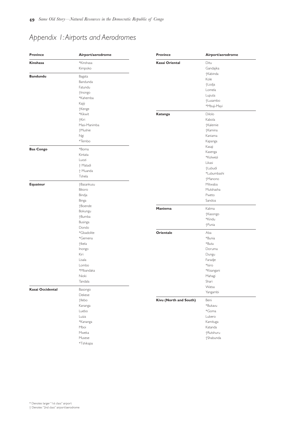UN Security Council. (2001) *Addendum to the report of the Panel of Experts on the Illegal Exploitation of Natural Resources and Other Forms of Wealth of the Democratic Republic of the Congo*. 13 November, S/2001/1072.

UN Security Council. (2002) *Interim report of the Panel of Experts on the Illegal Exploitation of Natural Resources and Other Forms of Wealth of the Democratic Republic of the Congo*, 22 May, S/2002/565.

UN Security Council. (2002) *Final report of the Panel of Experts on the Illegal Exploitation of Natural Resources and Other Forms of Wealth of the Democratic Republic of the Congo*. 16 October. S/2002/1146.

UN Security Council. (2003) *Report of the Panel of Experts on the Illegal Exploitation of Natural Resources and Other Forms of Wealth of the Democratic Republic of the Congo*. 20 23 October. S/2003/1027.

UN Security Council. (October 2002) *DRC loses US\$8m pa on diamonds.* [http://www.globalpolicy.org/security/issues/congo/2002/1028loses.htm (uploaded 5 August 2003)].

USAID/ARD. (May 2003) *Conflict Timber: Dimensions of the Problem in Asia and Africa.*Vol III.

US Department of State. (2002). *Background note: Democratic Republic of Congo*. [http://www.state.gov/r/pa/ei/bgn/2823.htm (uploaded 21 August 2003)]. US Geological Service."Zinc Statistics and Information."[http://minerals.usgs.gov/minerals/pubs/commodity/zinc/, (uploaded 31 July 2003)].

US Library of Congress. "Democratic Republic of Congo." *Up-Info.* December 1993. [http://www.1upinfo.com/country-guide-study/zaire/zaire135.html (uploaded 15 September 2003)].

Vlassenroot, K and H, Romkema."The Emergence of a New Order? Resources and War in Eastern Congo."*Journal of Humanitarian Assistance.* 28 October 2002. [http://www.jha.ac/articles/a111.htm (uploaded 18 August 2003)].

*Washington Post.*"Diamond Heist". (28 November 2001) [http://www.washingtonpost.com/wp-adv/specialsales/spotlight/congo/diamond.html (downloaded 11 August 2003)].

Willum, B. (2001). *Foreign Aid to Rwanda: Purely Beneficial or Contributing to War?* Political Science dissertation, University of Copenhagen. [http://www.willum.com/dissertation/3rpa.PDF (downloaded 10 September 2003)].

World Bank (2003) *Democratic Republic of Congo – Economic Recovery Credit*. Memo from James Wolfensohn, 18 June.

World Bank Operations Evaluation Department (21 January 2003) *Evaluation of the World Bank Group's Activities in the Extractive Industries. Factoring in Governance.*

World Bank.'Glossary'. [http://www.worldbank.org/html/schools/glossary.htm (uploaded: 30 October 2003)].

World Information*. DRC Country Profile* [http://www.worldinformation.com/world/print/print\_profile.asp?country=243 (uploaded 14 August 2003)]. World Resources Institute. *World Resources 2002-2004 Decisions for the Earth*.

*Woza.* (May 2002)."DRC government tightens diamond trade."[http://www.woza.co.za/may02/drc09.htm (uploaded 11 August 2003)]. Zajtman,A. (27 August 2003) "DRC's disappearing diamonds". *BBC News.* [http://news.bbc.co.uk/go/pr/fr/-/1/hi/world/africa/3186207.stm (uploaded 27 August 2003)].

# **Interviews**

GW interview with Onno Ruhl,World Bank Resident Representative (25 November 2002). Kinshasa, DRC.

GW interview with senior forestry official (November 2002). Kinshasa, DRC.

GW interviews with park officials (November 2002). DRC.

GW interviews with timber companies. (December 2002) Kinshasa, DRC.

GW interview with SPIAF (Service Permanent d'Inventaire et d'Amenagament Forestiers) (December 2002). Kinshasa, DRC.

Global Witness interview with journalist (December 2002). Kampala, Uganda.

GW interview with Mr Vic King, Managing Director of Gold Fields, 27 August 2003.

# **List of organisations contacted**

African Institute, Royal Museum for Central Africa, Brussels. **CENADEP** Human Rights Watch IPIS RAND University of Ghent United States Geological Service (George Coakley) World Bank

The conclusions in this report are based on results from Global Witness' use of i2 Limited's award-winning software, which is used as standard by enforcement and intelligence agencies worldwide.The software allows organisations to undertake complex investigations involving huge and varied datasets, providing visualisation and analysis tools which are used by 1500 organisations in 90 countries. i2 Limited has very generously supplied this software to Global Witness, along with intensive support and consultancy.

Part of this work was made possible through support provided by the Office of Transition Initiatives, U.S. Agency for International Development, under the terms of grant no. DOT-G-00-03-00001-00.The opinions expressed herein are those of the authors and do not necessarily reflect the views of the U.S. Agency for International Development.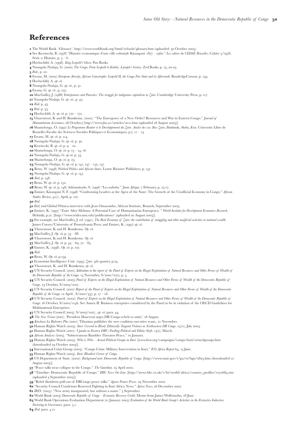# *Appendix 1:Airports and Aerodromes*

| <b>Province</b>         | Airport/aerodrome | <b>Province</b>        | Airport/aerodrome |  |  |
|-------------------------|-------------------|------------------------|-------------------|--|--|
| Kinshasa                | *Kinshasa         | <b>Kasai Oriental</b>  | Ditu              |  |  |
|                         | Kimpoko           |                        | Gandajika         |  |  |
|                         |                   |                        | †Kabinda          |  |  |
| <b>Bandundu</b>         | Bagata            |                        | Kole              |  |  |
|                         | Bandunda          |                        | +Lodja            |  |  |
|                         | Fatundu           |                        | Lomela            |  |  |
|                         | †Inongo           |                        | Luputa            |  |  |
|                         | *Kahemba          |                        |                   |  |  |
|                         | Kajiji            |                        | +Lusambo          |  |  |
|                         | †Kenge            |                        | *Mbuji-Mayi       |  |  |
|                         | *Kikwit           | Katanga                | Dilolo            |  |  |
|                         | †Kiri             |                        | Kabola            |  |  |
|                         | Masi-Manimba      |                        | †Kalemie          |  |  |
|                         | †Mushie           |                        | †Kamina           |  |  |
|                         | Ngi               |                        | Kaniama           |  |  |
|                         |                   |                        |                   |  |  |
|                         | *Tembo            |                        | Kapanga           |  |  |
| <b>Bas Congo</b>        | *Boma             |                        | Kasaji            |  |  |
|                         | Kintata           |                        | Kasenga           |  |  |
|                         | Luozi             |                        | *Kolwezi          |  |  |
|                         | + Matadi          |                        | Likasi            |  |  |
|                         | + Muanda          |                        | +Lubudi           |  |  |
|                         | Tshela            |                        | *Lubumbashi       |  |  |
|                         |                   |                        | †Manono           |  |  |
| Equateur                | †Basankusu        |                        | Mitwaba           |  |  |
|                         | Bikoro            |                        | Mutshasha         |  |  |
|                         | Bindja            |                        | Pweto             |  |  |
|                         | Binga             |                        | Sandoa            |  |  |
|                         | +Boende           |                        |                   |  |  |
|                         | Bokungu           | Maniema                | Kalima            |  |  |
|                         | +Bumba            |                        | †Kasongo          |  |  |
|                         |                   |                        | *Kindu            |  |  |
|                         | Businga           |                        | +Punia            |  |  |
|                         | Dondo             |                        |                   |  |  |
|                         | *Gbadolite        | Orientale              | Aba               |  |  |
|                         | *Gemena           |                        | *Bunia            |  |  |
| <b>Kasai Occidental</b> | †lkela            |                        | *Buta             |  |  |
|                         | Inongo            |                        | Doruma            |  |  |
|                         | Kiri              |                        | Dungu             |  |  |
|                         | Lisala            |                        | Faradje           |  |  |
|                         | Lombo             |                        | *Isiro            |  |  |
|                         | *Mbandaka         |                        | *Kisangani        |  |  |
|                         | Nioki             |                        | Mahagi            |  |  |
|                         | Tandala           |                        | Shari             |  |  |
|                         |                   |                        | Watsa             |  |  |
|                         | Basongo           |                        | Yangambi          |  |  |
|                         | Dekese            |                        |                   |  |  |
|                         | †llebo            | Kivu (North and South) | Beni              |  |  |
|                         | Kananga           |                        | *Bukavu           |  |  |
|                         | Luebo             |                        | *Goma             |  |  |
|                         | Luiza             |                        | Lubero            |  |  |
|                         | *Kananga          |                        | Kamituga          |  |  |
|                         | Mboi              |                        | Katanda           |  |  |
|                         | Mweka             |                        | †Rutshuru         |  |  |
|                         | Musese            |                        | †Shabunda         |  |  |
|                         | *Tshikapa         |                        |                   |  |  |
|                         |                   |                        |                   |  |  |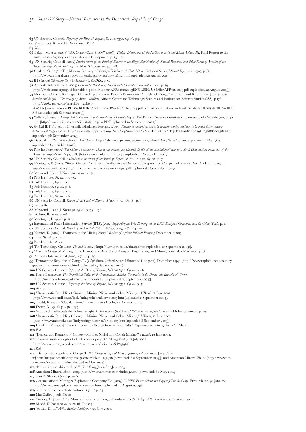# **References**

- **1** The World Bank. 'Glossary'. http://www.worldbank.org/html/schools/glossary.htm (uploaded: 30 October 2003).
- **2** See Kewisecki, B. (1978) "Histoire economique d'une ville coloniale Kisangani: 1877 1960." Les cahiers du CEDAF, Bruxelles, Cahier 5/1978. Série 2: Histoire, p.  $3 - 6$ .
- Hochschild, A. (). *King Leopold's Ghost*. Pan Books.
- 4 Nzongola-Ntalaja, G. (2002) The Congo: From Leopold to Kabila. A people's history. Zed Books, p. 13, 20-23.
- **5** *Ibid.*, p. 22.
- 6 Ewans, M. (2002) *European Atrocity, African Catastrophe: Leopold II, the Congo Free State and its Aftermath.* RoutledgeCurzon, p. 159.
- Hochschild, A. *op. cit.*
- 8 Nzongola-Ntalaja, G. op. cit., p. 31.
- **g** Ewans, G. op. cit., p. 237.
- **10** MacGaffey, J. (1988) *Entrepeneurs and Parasites: The struggle for indigenous capitalism in Zaire*. Cambridge University Press, p. 117.
- **11** Nzongola-Ntalaja, G. op. cit., p. 42.
- **12** *Ibid.* p. 43.
- **13** *Ibid.* p. 33.
- **14** Hochschild, A. *op. cit.* p. 170 172.
- **15** Vlassenroot, K and H. Romkema. (2002). "The Emergence of a New Order? Resources and War in Eastern Congo." *Journal of Humanitarian Assistance*, 28 October. [ http://www.jha.ac/articles/a111.htm (uploaded 18 August 2003)].
- Shamelonga, O. () *Le Programme Routier et le Developpement du Zaire. Analse des cas: Bas-Zaire, Bandundu, Shaba, Kivu*. Universite Libre de Bruxelles Faculte des Sciences Sociales Politiques et Economiques, p.7,  $11 - 13$ .
- **17** Ewans, M. op. cit. p. 114.
- **18** Nzongola-Ntalaja, G. op. cit. p. 30.
- **19** Kewisecki, B. *op. cit.* p. 9 10.
- **20** Shamelonga, O. *op. cit.* p. 13 14, 16.
- 21 Nzongola-Ntalaja, G. op cit. p. 53.
- **22** Shamelonga, O. op. cit. p. 23.
- **23** Nzongola-Ntalaja, G. *op. cit.* p. 141, 147 152, 157.
- 24 Reno, W. (1998) Warlord Politics and African States. Lynne Rienner Publishers, p. 147.
- 25 Nzongola-Ntalaja, G. op. cit. p. 147.
- **26** *Ibid.* p. 148.
- 27 Reno, W. op. cit. p. 152.
- **28** Reno, W. *op. cit.* p. 148; Adriamirado, S. (1996) "Les nabobs." *Juene Afrique*, 7 February, p. 25-17.
- Emizet, Kisangani N. F. () "Confronting Leaders at the Apex of the State: The Growth of the Unofficial Economy in Congo." *African Studies Review,* 41(1), April, p. 107.
- *Ibid*.
- 31 Ibid; and Global Witness interview with Jean Omasombo, African Institute, Brussels, September 2003.
- 32 Emizet, K. (1997) "Zaire After Mobutu: A Potential Case of Humanitarian Emergency. " World Institute for Development Economics Research, Helsinki, p.21. [http://www.wider.unu.edu/publications/ (uploaded 20 August 2003)].
- **33** For example, see MacGaffey, J. ed. (1991), *The Real Economy of Zaire: the contribution of smuggling and other unofficial activities to national wealth.* James Currey/University of Pennsylvania Press; and Emizet, K. (1997) op. cit.
- Vlassenroot, K and H. Romkema. *Op. cit.*
- **35** MacGaffey, J. Op. cit. p.  $53 88$ .
- Vlassenroot, K and H. Romkema. *Op. cit.*
- **37** MacGaffey, J. Op. cit. p.  $43 69$ ,  $72 83$ .
- 38 Emizet, K. (1998). Op. cit. p. 107.
- 
- *Ibid*.
- **40** Reno, W. Op. cit. p.159.
- 41 Economist Intelligence Unit. (1995) Zaire. 4th quarter, p.24.
- Vlassenroot, K. and H. Romkema, *op. cit.*
- 43 UN Security Council. (2001) *Addendum to the report of the Panel of Experts on the Illegal Exploitation of Natural Resources and Other Forms of Wealth of the Democratic Republic of the Congo.* 13 November, S/2001/1072, p. 5.
- 44 UN Security Council. (2003) Panel of Experts on the Illegal Exploitation of Natural Resources and Other Forms of Wealth of the Democratic Republic of *Congo.* 23 October, S/2003/1027.
- 45 UN Security Council. (2001) Report of the Panel of Experts on the Illegal Exploitation of Natural Resources and Other Forms of Wealth of the Democratic *Republic of the Congo.* 12 April ,  $S/2001/357$ , p.  $17 - 18$ .
- 46 UN Security Council. (2002). Panel of Experts on the Illegal Exploitation of Natural Resources and Other Forms of Wealth of the Democratic Republic of *Congo.* 16 October, S/2002/1146. See Annex II: Business enterprises considered by the Panel to be in violation of the OECD Guidelines for Multinational Enterprises.
- 47 UN Security Council (2003). S/2003/1027., op. cit. para. 44.
- 48 The New Vision (2001). 'President Museveni urges DR Congo rebels to unite,' 18 August.
- 49 Kinshasa La Reference Plus (2001). Tibasima publishes the new coalition executive team,, 21 November.
- **50** Human Rights Watch (2003). *Ituri: Covered in Blood; Ethnically Targeted Violence in Northeastern DR Congo.* 15(11), July 2003.
- 51 Human Rights Watch (2001). *Uganda in Eastern DRC: Fuelling Political and Ethnic Strife*. 13(2), March.
- *African Analysis (*). "Subterranean Rumbles Threaten Peace," January.
- **53** Human Rights Watch (2003). Who is Who Armed Political Groups in Ituri. [www.hrw.org/campaigns/congo/ituri/armedgroups.htm (downloaded 29 October 2003)].
- **54** International Crisis Group (2003). "Congo Crisis: Military Intervention in Ituri," ICG Africa Report 64, 13 June.
- 55 Human Rights Watch (2003). *Ituri: Bloodiest Corner of Congo*.
- 56 US Department of State. (2002). Background note: Democratic Republic of Congo. [http://www.state.gov/r/pa/ei/bgn/2823.htm (downloaded 21 August 2003)].
- **57** "Peace talks near collapse in the Congo." *The Guardian*. 19 April 2002.
- **58** "Timeline: Democratic Republic of Congo." *BBC News On-Line*. [http://news.bbc.co.uk/1/hi/world/africa/country\_profiles/1072684.stm  $\pmod{3}$  September 2003)].
- 59 "Rebel dissidents pull out of DRCongo peace talks." *Agence France Presse*. 29 November 2002.
- **60** "Security Council Condemns Renewed Fighting in Ituri Africa News." *Africa News.* 26 December 2002.
- **61 IRIN.** (2003). "New army inaugurated, but without a name." 5 September.
- 62 World Bank (2003) *Democratic Republic of Congo Economic Recovery Credit*. Memo from James Wolfensohn, 18 June.
- 63 World Bank Operations Evaluation Department (21 January 2003) *Evaluation of the World Bank Group's Activities in the Extractive Industries. Factoring in Governance*. para. 5.1.
- **64** *Ibid.* para. 4.11.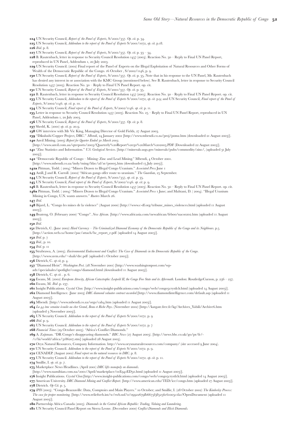- **65** UN Security Council, *Report of the Panel of Experts*,  $S/2001/357$ . *Op. cit.* p.41.
- Vlassenroot, K. and H. Romkema. *Op. cit.*

*Ibid*.

- 68 Baker , M. et al. (2003) "DR Congo Case Study." *Conflict Timber: Dimensions of the Problem in Asia and Africa, Volume III*, Final Report to the United States Agency for International Development, p.  $13 - 14$ .
- 69 UN Security Council. (2002) Interim report of the Panel of Experts on the Illegal Exploitation of Natural Resources and Other Forms of Wealth of the *Democratic Republic of the Congo*, 22 May,  $S/2002/565$ , p. 7 -8.
- Coakley, G. () "The Mineral Industry of Congo (Kinshasa)." *United States Geological Service, Mineral Information* , p. J. [http://www.minerals.usgs.gov/minerals/pubs/country/africa.html (uploaded 20 August 2003)].
- **71** IPIS (2002) Supporting the War Economy in the DRC. p. 9.
- **72** Amnesty International. (2003) *Democratic Republic of the Congo:* "Our brothers who help kill us." p. 29.
- [http://web.amnesty.org/aidoc/aidoc\_pdf.nsf/Index/AFR620102003ENGLISH/US\$File/AFR6201003.pdf (uploaded 22 August 2003)]. **73** Moyroud, C and J. Katunga, "Coltan Exploration in Eastern Democratic Republic of Congo" in Lind, J and K, Sturman (eds.) (2002) *Scarcity and Surfeit – The ecology of Africa's conflicts*, African Centre for Technology Studies and Institute for Security Studies (ISS), p..
- [http://216.239.39.104/search?q=cache:ijykki7F7cJ:www.iss.co.za/PUBS/BOOKS/Scarcity%2BSurfeit/Chapter4.pdf+coltan+exploration+in+eastern+drc&hl=en&start=1&ie=UT
- F-8 (uploaded 9th September 2003)].
- 74 Willum, B. (2001). *Foreign Aid to Rwanda: Purely Beneficial or Contributing to War?* Political Science dissertation, University of Copenhagen, p. 40 41. [http://www.willum.com/dissertation/3rpa.PDF (uploaded 10 September 2003)].
- **75** Global IDP Project on Internally Displaced Persons.. (2003). Plunder of natural resources by warring parties continues to be major factor causing displacement (1998-2003). [http://www.db.idpproject.org/Sites/idpSurvey.nsf/wViewCountries/D25D3FEA689FE329C1256B83005385EC (uploaded 9th September 2003)].
- Delawala, I. "What is coltan?" *ABC News.* [http://abcnews.go.com/sections/nightline/DailyNews/coltan\_explainer.html&e= (uploaded 8 September 2003)].
- **77** Pole Institute. (2002) The Coltan Phenomenon: How a rare mineral has changed the life of the population of war-torn North Kivu province in the east of the *Democratic Republic of Congo*, p. 8. [http://www.pole-institute.org/ (uploaded 8 September 2003)].
- 78 UN Security Council, *Addendum to the report of the Panel of Experts*,  $S/2001/1072$ . Op. cit.. p. 7
- **79** Montague, D. (2002) "Stolen Goods: Coltan and Conflict in the Democratic Republic of Congo." *SAIS Review* Vol. XXII (1), p. 107. [ http://www.worldpolicy.org/projects/arms/news/22.1montague.pdf (uploaded 9 September 2003)].
- 80 Moyroud, C and J. Katunga. op. cit. p. 174.
- **81** Pole Institute. *Op. cit.* p.  $5 6$ .
- **82** Pole Institute, *Op. cit.* p. 6.
- **83** Pole Institute, *Op. cit.* p. 6.
- **84** Pole Institute, *Op. cit.* p. 6.
- **85** Pole Institute, *Op. cit.* p. 6.
- 
- 86 UN Security Council, *Report of the Panel of Experts*, S/2001/357. Op. cit.. p. 8
- $87$  *Ibid.* p.16.
- **88** Moyroud, C and J. Katunga. *op. cit.* p.175 176.
- 89 Willum, B. op. cit. p. 28.
- **90** Montague, D. op. cit. p. 112.
- **g1** International Peace Information Service (IPIS). (2002) Supporting the War Economy in the DRC: European Companies and the Coltan Trade, p. 11.
- 92 UN Security Council, *Report of the Panel of Experts*, S/2001/357. Op. cit. p. 30.
- 93 Kennes, E. (2002). "Footnotes to the Mining Story." Review of African Political Economy, December, p. 605.
- **94** IPIS. *Op. cit.* p.  $11 12$ .
- Pole Institute. *op .cit.*
- **96** Tin Technology On-Line. *Tin and its uses*. [ http://www.itri.co.uk/tinuses.htm (uploaded 10 September 2003)].
- **97** "Current Status of Mining in the Democratic Republic of Congo." Engineering and Mining Journal, 1 May 2000, p. 8
- **98** Amnesty International (2003). Op. cit. p. 29.
- <sup>99</sup> "Democratic Republic of Congo." *Up-Info* (from United States Library of Congress), December 1993. [http://www.upinfo.com/countryguide-study/zaire/zaire135.html (uploaded 15 September 2003)].
- **100** UN Security Council, *Report of the Panel of Experts*,  $S/2001/357$ . *Op. cit.* p. 46.
- Pierre Baracyetse, *The Geopolitical Stakes of the International Mining Companies in the Democratic Republic of Congo*.
- [http://members.lycos.co.uk/Arrtus/minerals.htm (uploaded 15 September 2003)].
- **102** UN Security Council, *Report of the Panel of Experts*, S/2001/357. Op. cit. p. 31.
- *IO3 Ibid.* p. 11.
- **104** "Democratic Republic of Congo Mining: Nickel and Cobalt Mining." *MBendi*, 12 June 2002.
- [http://www.mbendi.co.za/indy/ming/nkcb/af/zr/pooo5.htm (uploaded 2 September 2003].
- 105 Shedd, K. (2001) "Cobalt 2001." United States Geological Service, p. 20.1.
- **106** Ewans, M. *op. cit.* p.  $236 237$ .
- <sup>10</sup>7 Groupe d'intellectuels de Kolwezi (1996). *La Gécamines: Quel Avenir? Reflexions sur la privatisation*. Publisher unknown, p. 22.
- 108 "Democratic Republic of Congo Mining: Nickel and Cobalt Mining," *MBendi*, 12 June 2002.
- [[http://www.mbendi.co.za/indy/ming/nkcb/af/zr/pooo5.htm (uploaded 8 September 2003)].
- **109** Hawkins, M. (2003) "Cobalt Production Set to Grow as Price Falls." *Engineering and Mining Journal*, 1 March.
- *Ibid.*
- **111** "Democratic Republic of Congo Mining: Nickel and Cobalt Mining." *MBendi*, 12 June 2002.
- **112** "Kumba insists on rights to DRC copper project." *Mining Weekly*, 11 July 2003.
- [http://www.miningweekly.co.za/components/print.asp?id=37962]
- *Ibid.*
- **114** "Democratic Republic of Congo (DRC)." *Engineering and Mining Journal*, *I April 2002*. [http://e-
- mj.com/magazinearticle.asp?magazinearticleid= (downloaded September )]; and American Mineral Fields [http://www.am-
- min.com/index3.htm] (downloaded to May 2004).
- **115** "Kolwezi ownership resolved." The Mining Journal, 11 July 2003.
- **116** American Mineral Fields 2004 [http://www.am-min.com/index3.htm] (downloaded 1 May 2004).
- **117** Kim B. Shedd. *Op. cit.* p. 20.6.
- **118** Central African Mining & Exploration Company Plc. (2003) *CAMEC Enters Cobalt and Copper JV in the Congo*. Press release, 30 January. [http://www.camec-plc.com/exaco30-1-03.html (uploaded 20 August 2003)].
- **119** Groupe d'intellectuels de Kolwezi. Op. cit. p. 24.
- **120** MacGaffey, J (ed). Op. cit.
- **121** Coakley, G. (2001) "The Mineral Industry of Congo (Kinshasa)." *U.S. Geological Services Minerals Yearbook* 2001.
- **122** Shedd, K (2001) op. cit. p. 20.16, Table 7.
- 123 "Arthur Ditto," Africa Mining Intelligence, 25 June 2003.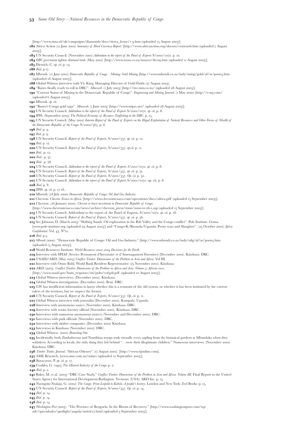- **124** UN Security Council, *Report of the Panel of Experts*, S/2001/357. Op. cit. p. 34.
- **125** UN Security Council, *Addendum to the report of the Panel of Experts*  $S/2001/1072$ , *op. cit.* p.18.
- *I26 Ibid.* p. 8.
- **127** UN Security Council, *Report of the Panel of Experts*, S/2001/357. Op. cit. p. 33 34.
- 128 B. Rautenbach, letter in response to Security Council Resolution 1457 (2003). Reaction No. 30 Reply to Final UN Panel Report, reproduced in UN Panel, Addendum 1, 20 July 2003.

**129** UN Security Council. (2002) Final report of the Panel of Experts on the Illegal Exploitation of Natural Resources and Other Forms of Wealth of the Democratic Republic of the Congo. 16 October,  $S/2002/1146$ , p. 9.

130 UN Security Council, Report of the Panel of Experts, S/2001/357. Op. cit. p. 35. Note that in his response to the UN Panel, Mr. Rautenbach has denied any interest in or association with the KMC Group (mentioned below). See B. Rautenbach, letter in response to Security Council Resolution 1457 (2003). Reaction No. 30 - Reply to Final UN Panel Report. op. cit.

- **131** UN Security Council, *Report of the Panel of Experts*, S/2001/357. Op. cit. p. 35.
- **132** B. Rautenbach, letter in response to Security Council Resolution 1457 (2003). Reaction No. 30 Reply to Final UN Panel Report. op. cit.
- **133** UN Security Council, *Addendum to the report of the Panel of Experts S/2001/1072, op. cit.* p.g; and UN Security Council, *Final report of the Panel of Experts*,  $S/2002/1146$ . *op. cit.* p. 10.

**134** UN Security Council, *Final report of the Panel of Experts*,  $S/2002/1146$ . *op. cit.* p. 11.

- 135 Letter in response to Security Council Resolution 1457 (2003). Reaction No. 25 Reply to Final UN Panel Report, reproduced in UN Panel, Addendum 1, 20 July 2003.
- **136** UN Security Council, *Report of the Panel of Experts*, S/2001/357. Op. cit. p. 8.
- **137** Shedd, K. (2001) op. cit. p. 20.9.
- **138** GW interview with Mr Vic King, Managing Director of Gold Fields, 27 August 2003.
- 139 "Dikulushi Copper Project, DRC." *Mbendi*, 24 January 2002 [http://www.mbendi.co.za/proj/pomz.htm (downloaded 21 August 2003)]. **140** Anvil Mining. (2003) Report for Quarter Ended 30 March 2003
- [http://www.anvil.com.au/qtreports/2003/Quarterly%20Report%2030%20March%202003.PDF (Downloaded 22 August 2003)].
- "Zinc Statistics and Information." *U.S. Geological Services.* [http://minerals.usgs.gov/minerals/pubs/commodity/zinc/, (uploaded July  $(2002)$ ].
- 142 "Democratic Republic of Congo Mining: Zinc and Lead Mining." Mbendi, 4 October 2001.
- [http://www.mbendi.co.za/indy/ming/ldzc/af/zr/pooo5.htm (downloaded 15 July 2003)].

**142a** Pittman, Todd. (2004) "Miners Drawn to Illegal Congo Uranium." Associated Press June 1

**143** Astill, J and R. Carroll. (2002) "African gangs offer route to uranium." The Guardian, 25 September.

**144** UN Security Council, *Report of the Panel of Experts*,  $S/2001/357$ , *op. cit.* p. 35.

**145** UN Security Council, *Final report of the Panel of Experts*,  $S/2002/1146$ . *op. cit.* p. 9.

 $\texttt{r46}$  B. Rautenbach, letter in response to Security Council Resolution 1457 (2003). Reaction No. 30 - Reply to Final UN Panel Report. op. cit.

 $\mathbf{r}_4$ 6a Pittman, Todd. (2004) "Miners Drawn to Illegal Congo Uranium." *Associated Press* **1** June; and Mahtani, D. (2004). "Illegal Uranium Mining in Congo, U.N. wants answers." Rueters March 26.

*Ibid.*

**148** Bijard, L. "Congo les mines de la violence" (August 2000) [http://www.c-df.org/tribune\_mines\_violences.html (uploaded 11 August  $(2003)$ ].

149 Boateng, O. (February 2000) "Congo". *New African*. [http://www.africasia.com/newafrican/feboo/nacso202.htm (uploaded 11 August  $(2003)]$ .

*Ibid.*

**151** Dietrich, C. (June 2002) Hard Currency - The Criminalized Diamond Economy of the Democratic Republic of the Congo and its Neighbours. p.5 [http://action.web.ca/home/pac/attach/hc\_report\_e.pdf (uploaded 14 August 2003)].

- *Ibid*. p.
- **153** *Ibid.*, p. 10.
- *Ibid.* p.

**155** Strabrawa, A. (2003). *Environmental Endowment and Conflict: The Case of Diamonds in the Democratic Republic of the Congo.* 

- [http://www.uvm.edu/~shali/drc.pdf (uploaded 1 October 2003)].
- **156** Dietrich, C. op cit, p. 4.

**157** "Diamond Heist". *Washington Post.* (28 November 2001) [http://www.washingtonpost.com/wp-

adv/specialsales/spotlight/congo/diamond.html (downloaded 11 August 2003)].

**158** Dietrich, C. op cit. . p. 6.

159 Ewans, M. (2002) European Atrocity, African Catastrophe: Leopold II, the Congo Free State and its Aftermath. London: RoutledgeCurzon, p. 236 - 237.

**160** Ewans, M. *Ibid* .p. 237.

161 Insight Publications. *Crystal Clear.* [http://www.insight-publications.com/congo/web/congo5crystlclr.html (uploaded 14 August 2003)].

- **162** Diamond Intelligence. (June 2003) *DRC diamond valuator contract awarded*.[http://www.diamondintelligence.com/default.asp (uploaded 11 August  $2003$ ]
- $\texttt{163}$  Mbendi. [http://www.mbendi.co.za/orgs/cah4.htm (uploaded 11 August 2003)].

<sup>16</sup>4 La 44 ème semaine écoulée au cher Grand, Beau et Riche Pays. (November 2002) [http://katgate.free.fr/kg/Archives\_Yabili/Archive6.htm  $(uploaded g November 2003)$ ].

- **165** UN Security Council. *Addendum to the report of the Panel of Experts* S/2001/1072. p. 9
- **166** *Ibid.* p. 9.
- **167** UN Security Council. *Addendum to the report of the Panel of Experts* S/2001/1072. p. 7
- **168** Financial Times (29 October 2003). "Africa's Conflict Diamonds."
- **169** A. Zajtman. "DR Congo's disappearing diamonds." *BBC News* (27 August 2003). [http://news.bbc.co.uk/go/pr/fr/-
- / $1/hi$ /world/africa/3 $186$ 207.stm] (uploaded 28 August 2003).
- **170** Oryx Natural Resources, Company Information. http://www.oryxnaturalresources.com/company/ (site accessed 9 June 2004).

**171** UN Security Council. *Addendum to the report of the Panel of Experts*  $S/2001/1072$ . p. 9.

- **172** CENADEP. (August 2002) *Final report on the natural resources in DRC*. p. 8.
- **173** UN Security Council. *Addendum to the report of the Panel of Experts*  $S/2001/1072$ . *op. cit.* p. 11.
- Smillie, I. *op. cit.* p*. .*
- **175** Marketplace News Headlines. (April 2001) *DRC lifts monopoly on diamonds*.
- [http://www.namibian.com.na/2001/April/marketplace/01E941ED50.html (uploaded 11 August 2003)].

**176** Insight Publications. *Crystal Clear.*[http://www.insight-publications.com/congo/web/congoscrystlclr.html (uploaded 14 August 2003)].

- 177 American University. *DRC Diamond Mining and Conflict Report*. [http://www.american.edu/TED/ice/congo.htm (uploaded 27 August 2003)]. **178** Dietrich. Op Cit. p. 5.
- 179 IPIS (2003). "Congo-Brazzaville: Data, Comptoirs and Main Players." 10 October; and Smillie, I. (28 October 2002) The Kimberley Process: The case for proper monitoring. [http://www.reliefweb.int/w/rwb.nsf/o/09922679fb6675f385256c61005c1fa1?OpenDocument (uploaded 11 August  $2003$ ].
- **180** Partnership Africa Canada (2003). *Diamonds in the Central African Republic: Trading, Valuing and Laundering.*

 **181 UN** Security Council Panel Report on Sierra Leone. (December 2000) *Conflict Diamonds and Illicit Diamonds*.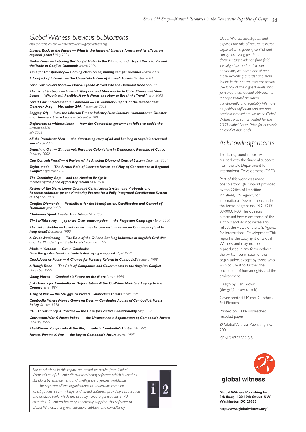[http://www.niza.nl/uk/campaigns/diamonds/docs/sierra\_leone/1-3.htm (uploaded 15 August 2003)].

- **182** Africa Action (21 June 2002) *Summary of Hard Currency Report.* [http://www.africaaction.org/docso2/cento206.htm (uploaded 7 August  $2002$ ]
- 183 UN Security Council. (November 2001) *Addendum to the report of the Panel of Experts*  $S/2001/1072$ . p. 10.
- **184** DRC government tightens diamond trade. (May 2002) [http://www.woza.co.za/mayo2/drco9.htm (uploaded 11 August 2003)].
- **185** Dietrich, C. op. cit. p. 13.
- **186** *Ibid.* p.17.
- <sup>18</sup>7 Mbendi. (11 June 2002) *Democratic Republic of Congo Mining: Gold Mining* [http://www.mbendi.co.za/indy/ming/gold/af/zr/pooo5.htm (uploaded 18 August 2003)].
- **188** Global Witness interview with Vic King, Managing Director of Gold Fields (27 August 2003).
- **189** "Banro finally ready to roll in DRC". *Mineweb* .(1 July 2003) [http://m1.mny.co.za/ (uploaded 28 August 2003)].
- **190** "Current Status of Mining in the Democratic Republic of Congo". *Engineering and Mining Journal.* (1 May 2000) [http://e-mj.com/
- $(\text{uploaded } 6 \text{ August } 2003)].$
- Mbendi. *op. cit.*
- 192 "Banro's Congo gold saga". *Mineweb.* (1 June 2003) [http://www.mipsr.net/ (uploaded 28 August 2003)].
- **193** UN Security Council. *Addendum to the report of the Panel of Experts*  $S/2001/1072$ . *op. cit.* p. 8.
- **104** IPIS. (September 2003) *The Political Economy of Resource Trafficking in the DRC*. p. 15.
- **195** UN Security Council. (May 2002) *Interim Report of the Panel of Experts on the Illegal Exploitation of Natural Resources and Other Forms of Wealth of the Democratic Republic of the Congo.*  $S/2002/565$ . p. 8.
- *I***96** *Ibid.* p. 9.
- **197** *Ibid.* p. 9.
- **108** UN Security Council. *Report of the Panel of Experts*, S/2001/257, *op. cit.* p. 12.
- *IQQ Ibid.* p. 12.
- **200** UN Security Council. *Report of the Panel of Experts*, S/2001/357. *op.cit.* p. 11.
- **201** *Ibid.*. p. 12.
- **202** *Ibid.*. p. 37.
- 203 *Ibid.*. p. 28.
- **204** UN Security Council. *Addendum to the report of the Panel of Experts S/2001/1072, op. cit.* p. 8.
- 205 UN Security Council. *Report of the Panel of Experts*, S/2001/357. op. cit. p. 31.
- **206** UN Security Council. *Report of the Panel of Experts*. S/2001/357. Op. cit. p. 32.
- **207** UN Security Council. *Addendum to the report of the Panel of Experts* S/2001/1072. op. cit. p. 8.
- $\frac{1}{208}$  *Ibid.* p. 8.
- 209 IPIS. op. cit. p. 17-18..
- 210 Mbendi. (18 July 2000) *Democratic Republic of Congo: Oil And Gas Industry.*
- 211 Chevron. *Chevron Texaco in Africa*. [http://www.chevrontexaco.com/operations/docs/africa.pdf (uploaded 15 September 2003)].
- 212 Chevron. (26 January 2000). *Chevron to boost investment in Democratic Republic of Congo.*
- [http://www.chevrontexaco.com/news/archive/chevron\_press/2000/2000-01-26-1.asp (uploaded 15 September 2003)].
- 213 UN Security Council. Addendum to the report of the Panel of Experts. S/2001/1072. op. cit. p. 18.
- 214 UN Security Council, *Report of the Panel of Experts*, S/2001/357. op. cit. p. 36.
- 215 See Johnson, D. (March 2003) "Shifting Sands: Oil exploration in the Rift Valley and the Congo conflict". Pole Institute. Goma.
- [www.pole-institute.org (uploaded 29 August 2003]] and "Congo-K/Rwanda/Uganda: Proxy wars and Slaughter". (25 October 2002) *Africa Confidential.* Vol. 43. N°21.
- 216 *Ibid.* p.5.
- 217 Mbendi (2000). "Democratic Republic of Congo: Oil and Gas Industry." [http://www.mbendi.co.za/indy/oilg/af/zr/pooo5.htm  $(\text{uploaded 15 August 2003})$ ].
- World Resources Institute. *World Resources - Decisions for the Earth*.
- **219** Interview with SPIAF (Service Permanent d'Inventaire et d'Amenagament Forestiers) (December 2002). Kinshasa. DRC.
- 220 USAID/ARD. (May 2003) *Conflict Timber: Dimensions of the Problem in Asia and Africa*. Vol III.
- 221 Interview with Onno Ruhl, World Bank Resident Representative (25 November 2002). Kinshasa.
- ARD (). *Conflict Timber: Dimensions of the Problem in Africa and Asia. Volume : African cases.*
- [http://www.usaid.gov/hum\_response/oti/pubs/vol3afr.pdf (uploaded to August 2003)].
- 223 Global Witness interviews. (December 2002). Kinshasa.
- 224 Global Witness investigations. (December 2002). Beni. DRC.
- **225 GW** has insufficient information to know whether this is a remnant of the old system, or whether it has been instituted by the current rulers of the territory, but we suspect the former.
- 226 UN Security Council, *Report of the Panel of Experts*, S/2001/357. Op. cit. p. 11.
- 227 Global Witness interview with journalist (December 2002). Kampala. Uganda.
- 228 Interview with anonymous source (November 2002). Kinshasa. DRC.
- 229 Interview with senior forestry official (November 2002). Kinshasa. DRC.
- 230 Interviews with numerous anonymous sources (November and December 2002). DRC.
- 231 Interviews with park officials (November 2002). DRC.
- 232 Interviews with timber companies. (December 2002) Kinshasa.
- 233 Interviews in Kinshasa (November 2002). DRC.
- 234 Global Witness. (2002) Branching Out.
- 235 Incidentally, both Zimbabwean and Namibian troops took virtually every sapling from the botanical gardens at Mbandaka when they withdrew. According to locals, the only thing they left behind "...were their illegitimate children." Numerous interviews. (November 2002) Kinshasa. DRC.
- 236 Timber Trades Journal. "African Odyssey" (17 August 2002). [http://www.ttjonline.com].
- 237 AME Research. [www.ame.com.au/mines (uploaded 12 September 2003)].
- 238 Baracyetse, P. op. cit. p. 17.
- **239** Coakley, G. (1995) The Mineral Industry of the Congo. p. 2.
- **240** *Ibid.* p. 2.
- 241 Baker, M. et al. (2003) "DRC Case Study," Conflict Timber: Dimensions of the Problem in Asia and Africa. Volume III. Final Report to the United States Agency for International Development.Burlington. Vermont. (USA): ARD Inc. p. 15.
- 242 Nzongola-Ntalaja, G. (2002) The Congo: From Leopold to Kabila. A people's history. London and New York: Zed Books. p. 15.
- 243 UN Security Council. *Report of the Panel of Experts.* S/2001/357. Op. cit. p. 14.
- **244** *Ibid.* p. 14.
- **245** *Ibid.* p. *14*.
- **246** *Ibid.* p. 14.
- *Washington Post* (). "The Province of Benguela: In the Bloom of Recovery." [http://www.washingtonpost.com/wpadv/specialsales/spotlight/angola/article17.html (uploaded 3 September 2003)].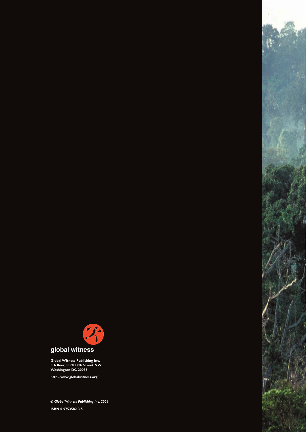# *Global Witness' previous publications*

*also available on our website: http://www.globalwitness.org*

*Liberia: Back to the Future — What is the future of Liberia's forests and its effects on regional peace? May 2004*

*Broken Vows — Exposing the 'Loupe' Holes in the Diamond Industry's Efforts to Prevent the Trade in Conflict Diamonds March 2004*

*Time for Transparency — Coming clean on oil, mining and gas revenues March 2004*

*A Conflict of Interests — The Uncertain Future of Burma's Forests October 2003*

*For a Few Dollars More — How Al Qaeda Moved into the Diamond Trade April 2003 The Usual Suspects — Liberia's Weapons and Mercenaries in Côte d'Ivoire and Sierra Leone — Why it's still Possible, How it Works and How to Break the Trend March 2003*

*Forest Law Enforcement in Cameroon — 1st Summary Report of the Independent Observer, May — November 2001 November 2002*

*Logging Off — How the Liberian Timber Industry Fuels Liberia's Humanitarian Disaster and Threatens Sierra Leone in September 2002*

*Deforestation without limits — How the Cambodian government failed to tackle the untouchables July 2002*

*All the Presidents' Men — the devastating story of oil and banking in Angola's privatised war March 2002*

*Branching Out — Zimbabwe's Resource Colonialism in Democratic Republic of Congo February 2002*

**Can Controls Work? - A Review of the Angolan Diamond Control System December 2001** 

*Taylor-made — The Pivotal Role of Liberia's Forests and Flag of Convenience in Regional Conflict September 2001*

*The Credibility Gap — and the Need to Bridge It Increasing the pace of forestry reform May 2001*

*Review of the Sierra Leone Diamond Certification System and Proposals and Recommendations for the Kimberley Process for a Fully Integrated Certification System (FICS) April 2001*

*Conflict Diamonds — Possibilities for the Identification, Certification and Control of* **Diamonds** *lune* 2000

*Chainsaws Speak Louder Than Words May 2000*

*Timber Takeaway — Japanese Over-comsumption — the Forgotten Campaign March 2000*

*The Untouchables — Forest crimes and the concessionaires—can Cambodia afford to keep them? December 1999*

*A Crude Awakening — The Role of the Oil and Banking Industries in Angola's Civil War and the Plundering of State Assets December 1999*

*Made in Vietnam — Cut in Cambodia*

*How the garden furniture trade is destroying rainforests April 1999*

*Crackdown or Pause — A Chance for Forestry Reform in Cambodia? February 1999*

*A Rough Trade — The Role of Companies and Governments in the Angolan Conflict December 1998*

*Going Places — Cambodia's Future on the Move March 1998*

*Just Deserts for Cambodia — Deforestation & the Co-Prime Ministers' Legacy to the* **Country** *June* 199

*A Tug of War — the Struggle to Protect Cambodia's Forests March 1997*

*Cambodia,Where Money Grows on Trees — Continuing Abuses of Cambodia's Forest Policy October 1996*

*RGC Forest Policy & Practice — the Case for Positive Conditionality May 1996*

*Corruption,War & Forest Policy — the Unsustainable Exploitation of Cambodia's Forests February 1996*

*Thai-Khmer Rouge Links & the Illegal Trade in Cambodia's Timber July 1995 Forests, Famine & War — the Key to Cambodia's Future March 1995*

*The conclusions in this report are based on results from Global Witness' use of i2 Limited's award-winning software, which is used as standard by enforcement and intelligence agencies worldwide.*

*The software allows organisations to undertake complex investigations involving huge and varied datasets, providing visualisation and analysis tools which are used by 1500 organisations in 90 countries. i2 Limited has very generously supplied this software to Global Witness, along with intensive support and consultancy.*



*Global Witness investigates and exposes the role of natural resource exploitation in funding conflict and corruption. Using first-hand documentary evidence from field investigations and undercover operations, we name and shame those exploiting disorder and state failure in the natural resource sector. We lobby at the highest levels for a joined-up international approach to manage natural resources transparently and equitably.We have no political affiliation and are nonpartisan everywhere we work. Global Witness was co-nominated for the 2003 Nobel Peace Prize for our work on conflict diamonds.*

# *Acknowledgements*

This background report was realised with the financial support from the UK Department for International Development (DfID).

Part of this work was made possible through support provided by the Office of Transition Initiatives, U.S.Agency for International Development, under the terms of grant no. DOT-G-00- 03-00001-00.The opinions expressed herein are those of the authors and do not necessarily reflect the views of the U.S.Agency for International Development.This report is the copyright of Global Witness, and may not be reproduced in any form without the written permission of the organisation, except by those who wish to use it to further the protection of human rights and the environment.

Design by Dan Brown (design@dbrown.co.uk).

Cover photo © Michel Gunther / Still Pictures.

Printed on 100% unbleached recycled paper.

© Global Witness Publishing Inc. 2004

ISBN 0 9753582 3 5



global witness

**Global Witness Publishing Inc. 8th floor, 1120 19th Street NW Washington DC 20036**

**http://www.globalwitness.org/**